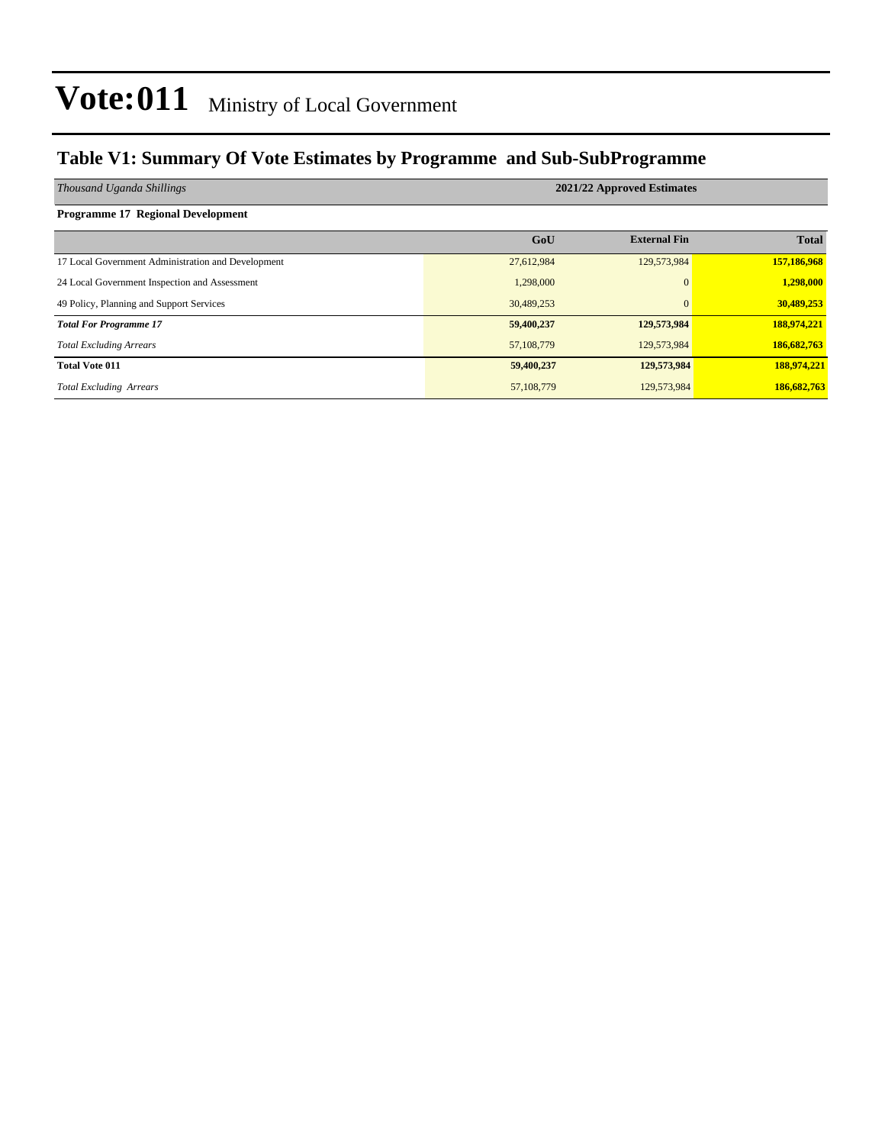### **Table V1: Summary Of Vote Estimates by Programme and Sub-SubProgramme**

| Thousand Uganda Shillings                          | 2021/22 Approved Estimates |                     |              |  |  |  |  |
|----------------------------------------------------|----------------------------|---------------------|--------------|--|--|--|--|
| <b>Programme 17 Regional Development</b>           |                            |                     |              |  |  |  |  |
|                                                    | GoU                        | <b>External Fin</b> | <b>Total</b> |  |  |  |  |
| 17 Local Government Administration and Development | 27,612,984                 | 129,573,984         | 157,186,968  |  |  |  |  |
| 24 Local Government Inspection and Assessment      | 1,298,000                  | $\Omega$            | 1,298,000    |  |  |  |  |
| 49 Policy, Planning and Support Services           | 30,489,253                 | $\Omega$            | 30,489,253   |  |  |  |  |
| <b>Total For Programme 17</b>                      | 59,400,237                 | 129,573,984         | 188,974,221  |  |  |  |  |
| <b>Total Excluding Arrears</b>                     | 57,108,779                 | 129,573,984         | 186,682,763  |  |  |  |  |
| <b>Total Vote 011</b>                              | 59,400,237                 | 129,573,984         | 188,974,221  |  |  |  |  |
| <b>Total Excluding Arrears</b>                     | 57,108,779                 | 129,573,984         | 186,682,763  |  |  |  |  |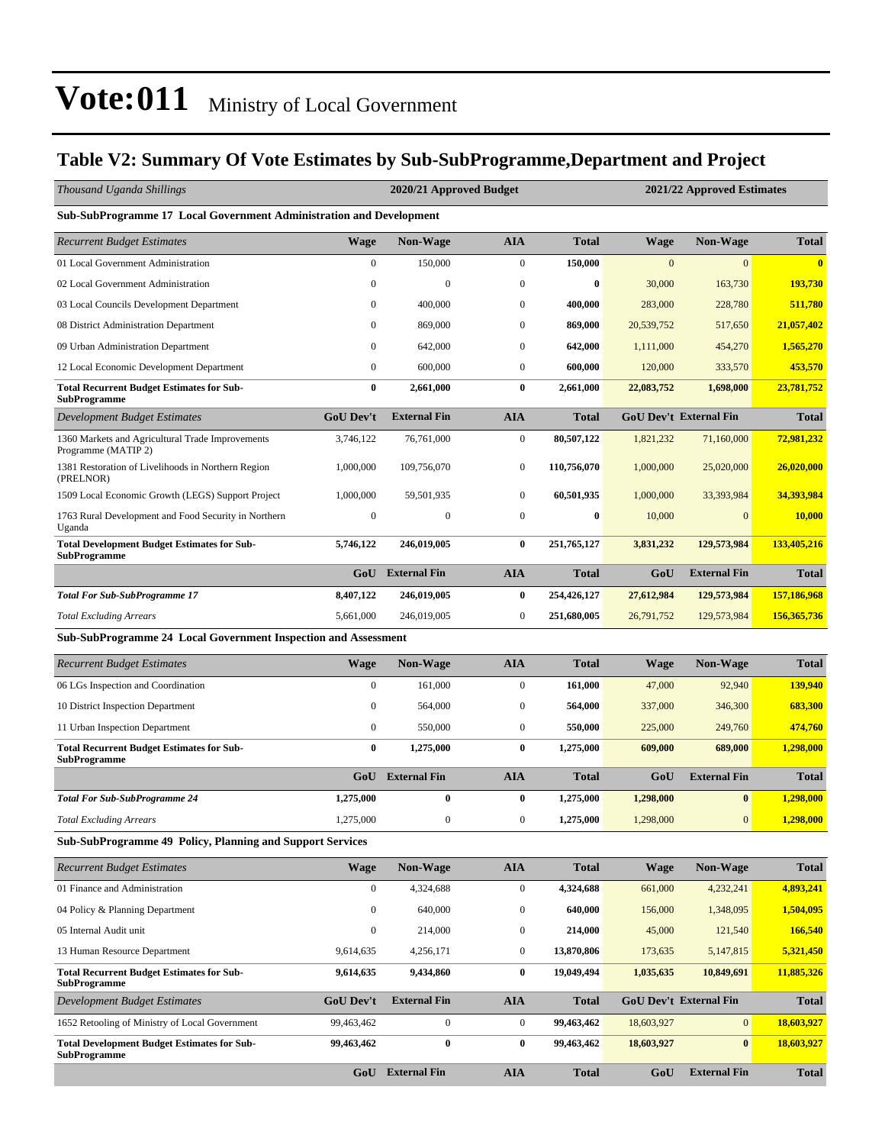### **Table V2: Summary Of Vote Estimates by Sub-SubProgramme,Department and Project**

| Thousand Uganda Shillings                                                 |                  | 2020/21 Approved Budget |                  |              |              | 2021/22 Approved Estimates    |              |  |  |  |
|---------------------------------------------------------------------------|------------------|-------------------------|------------------|--------------|--------------|-------------------------------|--------------|--|--|--|
| Sub-SubProgramme 17 Local Government Administration and Development       |                  |                         |                  |              |              |                               |              |  |  |  |
| <b>Recurrent Budget Estimates</b>                                         | <b>Wage</b>      | <b>Non-Wage</b>         | <b>AIA</b>       | <b>Total</b> | Wage         | <b>Non-Wage</b>               | <b>Total</b> |  |  |  |
| 01 Local Government Administration                                        | $\mathbf{0}$     | 150,000                 | $\boldsymbol{0}$ | 150,000      | $\mathbf{0}$ | $\overline{0}$                | $\mathbf{0}$ |  |  |  |
| 02 Local Government Administration                                        | $\mathbf{0}$     | $\boldsymbol{0}$        | $\boldsymbol{0}$ | $\bf{0}$     | 30,000       | 163,730                       | 193,730      |  |  |  |
| 03 Local Councils Development Department                                  | $\mathbf{0}$     | 400,000                 | $\boldsymbol{0}$ | 400,000      | 283,000      | 228,780                       | 511,780      |  |  |  |
| 08 District Administration Department                                     | $\mathbf{0}$     | 869,000                 | $\mathbf{0}$     | 869,000      | 20,539,752   | 517,650                       | 21,057,402   |  |  |  |
| 09 Urban Administration Department                                        | $\mathbf{0}$     | 642,000                 | $\mathbf{0}$     | 642,000      | 1,111,000    | 454,270                       | 1,565,270    |  |  |  |
| 12 Local Economic Development Department                                  | $\boldsymbol{0}$ | 600,000                 | $\boldsymbol{0}$ | 600,000      | 120,000      | 333,570                       | 453,570      |  |  |  |
| <b>Total Recurrent Budget Estimates for Sub-</b><br><b>SubProgramme</b>   | $\bf{0}$         | 2,661,000               | $\bf{0}$         | 2,661,000    | 22,083,752   | 1,698,000                     | 23,781,752   |  |  |  |
| <b>Development Budget Estimates</b>                                       | <b>GoU Dev't</b> | <b>External Fin</b>     | <b>AIA</b>       | <b>Total</b> |              | GoU Dev't External Fin        | <b>Total</b> |  |  |  |
| 1360 Markets and Agricultural Trade Improvements<br>Programme (MATIP 2)   | 3,746,122        | 76,761,000              | $\boldsymbol{0}$ | 80,507,122   | 1,821,232    | 71,160,000                    | 72,981,232   |  |  |  |
| 1381 Restoration of Livelihoods in Northern Region<br>(PRELNOR)           | 1,000,000        | 109,756,070             | $\boldsymbol{0}$ | 110,756,070  | 1,000,000    | 25,020,000                    | 26,020,000   |  |  |  |
| 1509 Local Economic Growth (LEGS) Support Project                         | 1,000,000        | 59,501,935              | $\boldsymbol{0}$ | 60,501,935   | 1,000,000    | 33,393,984                    | 34,393,984   |  |  |  |
| 1763 Rural Development and Food Security in Northern<br>Uganda            | $\boldsymbol{0}$ | $\boldsymbol{0}$        | $\mathbf{0}$     | $\bf{0}$     | 10,000       | $\overline{0}$                | 10,000       |  |  |  |
| <b>Total Development Budget Estimates for Sub-</b><br><b>SubProgramme</b> | 5,746,122        | 246,019,005             | $\bf{0}$         | 251,765,127  | 3,831,232    | 129,573,984                   | 133,405,216  |  |  |  |
|                                                                           |                  | GoU External Fin        | <b>AIA</b>       | <b>Total</b> | GoU          | <b>External Fin</b>           | <b>Total</b> |  |  |  |
| <b>Total For Sub-SubProgramme 17</b>                                      | 8,407,122        | 246,019,005             | $\bf{0}$         | 254,426,127  | 27,612,984   | 129,573,984                   | 157,186,968  |  |  |  |
| <b>Total Excluding Arrears</b>                                            | 5,661,000        | 246,019,005             | $\boldsymbol{0}$ | 251,680,005  | 26,791,752   | 129,573,984                   | 156,365,736  |  |  |  |
| Sub-SubProgramme 24 Local Government Inspection and Assessment            |                  |                         |                  |              |              |                               |              |  |  |  |
| <b>Recurrent Budget Estimates</b>                                         | <b>Wage</b>      | Non-Wage                | <b>AIA</b>       | <b>Total</b> | Wage         | <b>Non-Wage</b>               | <b>Total</b> |  |  |  |
| 06 LGs Inspection and Coordination                                        | $\mathbf{0}$     | 161,000                 | $\boldsymbol{0}$ | 161,000      | 47,000       | 92,940                        | 139,940      |  |  |  |
| 10 District Inspection Department                                         | $\mathbf{0}$     | 564,000                 | $\boldsymbol{0}$ | 564,000      | 337,000      | 346,300                       | 683,300      |  |  |  |
| 11 Urban Inspection Department                                            | $\mathbf{0}$     | 550,000                 | $\boldsymbol{0}$ | 550,000      | 225,000      | 249,760                       | 474,760      |  |  |  |
| <b>Total Recurrent Budget Estimates for Sub-</b><br><b>SubProgramme</b>   | $\bf{0}$         | 1,275,000               | $\bf{0}$         | 1,275,000    | 609,000      | 689,000                       | 1,298,000    |  |  |  |
|                                                                           | GoU              | <b>External Fin</b>     | <b>AIA</b>       | Total        | GoU          | <b>External Fin</b>           | <b>Total</b> |  |  |  |
| <b>Total For Sub-SubProgramme 24</b>                                      | 1,275,000        | $\bf{0}$                | $\bf{0}$         | 1,275,000    | 1,298,000    | $\bf{0}$                      | 1,298,000    |  |  |  |
| <b>Total Excluding Arrears</b>                                            | 1,275,000        | $\boldsymbol{0}$        | $\boldsymbol{0}$ | 1,275,000    | 1,298,000    | $\mathbf{0}$                  | 1,298,000    |  |  |  |
| Sub-SubProgramme 49 Policy, Planning and Support Services                 |                  |                         |                  |              |              |                               |              |  |  |  |
| <b>Recurrent Budget Estimates</b>                                         | <b>Wage</b>      | <b>Non-Wage</b>         | <b>AIA</b>       | <b>Total</b> | <b>Wage</b>  | <b>Non-Wage</b>               | <b>Total</b> |  |  |  |
| 01 Finance and Administration                                             | $\boldsymbol{0}$ | 4,324,688               | $\boldsymbol{0}$ | 4,324,688    | 661,000      | 4,232,241                     | 4,893,241    |  |  |  |
| 04 Policy & Planning Department                                           | $\mathbf{0}$     | 640,000                 | $\boldsymbol{0}$ | 640,000      | 156,000      | 1,348,095                     | 1,504,095    |  |  |  |
| 05 Internal Audit unit                                                    | $\boldsymbol{0}$ | 214,000                 | $\boldsymbol{0}$ | 214,000      | 45,000       | 121,540                       | 166,540      |  |  |  |
| 13 Human Resource Department                                              | 9,614,635        | 4,256,171               | $\boldsymbol{0}$ | 13,870,806   | 173,635      | 5,147,815                     | 5,321,450    |  |  |  |
| <b>Total Recurrent Budget Estimates for Sub-</b><br><b>SubProgramme</b>   | 9,614,635        | 9,434,860               | $\bf{0}$         | 19,049,494   | 1,035,635    | 10,849,691                    | 11,885,326   |  |  |  |
| <b>Development Budget Estimates</b>                                       | <b>GoU Dev't</b> | <b>External Fin</b>     | <b>AIA</b>       | <b>Total</b> |              | <b>GoU Dev't External Fin</b> | <b>Total</b> |  |  |  |
| 1652 Retooling of Ministry of Local Government                            | 99,463,462       | $\boldsymbol{0}$        | $\boldsymbol{0}$ | 99,463,462   | 18,603,927   | $\mathbf{0}$                  | 18,603,927   |  |  |  |
| <b>Total Development Budget Estimates for Sub-</b><br><b>SubProgramme</b> | 99,463,462       | $\pmb{0}$               | $\bf{0}$         | 99,463,462   | 18,603,927   | $\bf{0}$                      | 18,603,927   |  |  |  |
|                                                                           |                  | GoU External Fin        | <b>AIA</b>       | <b>Total</b> | GoU          | <b>External Fin</b>           | <b>Total</b> |  |  |  |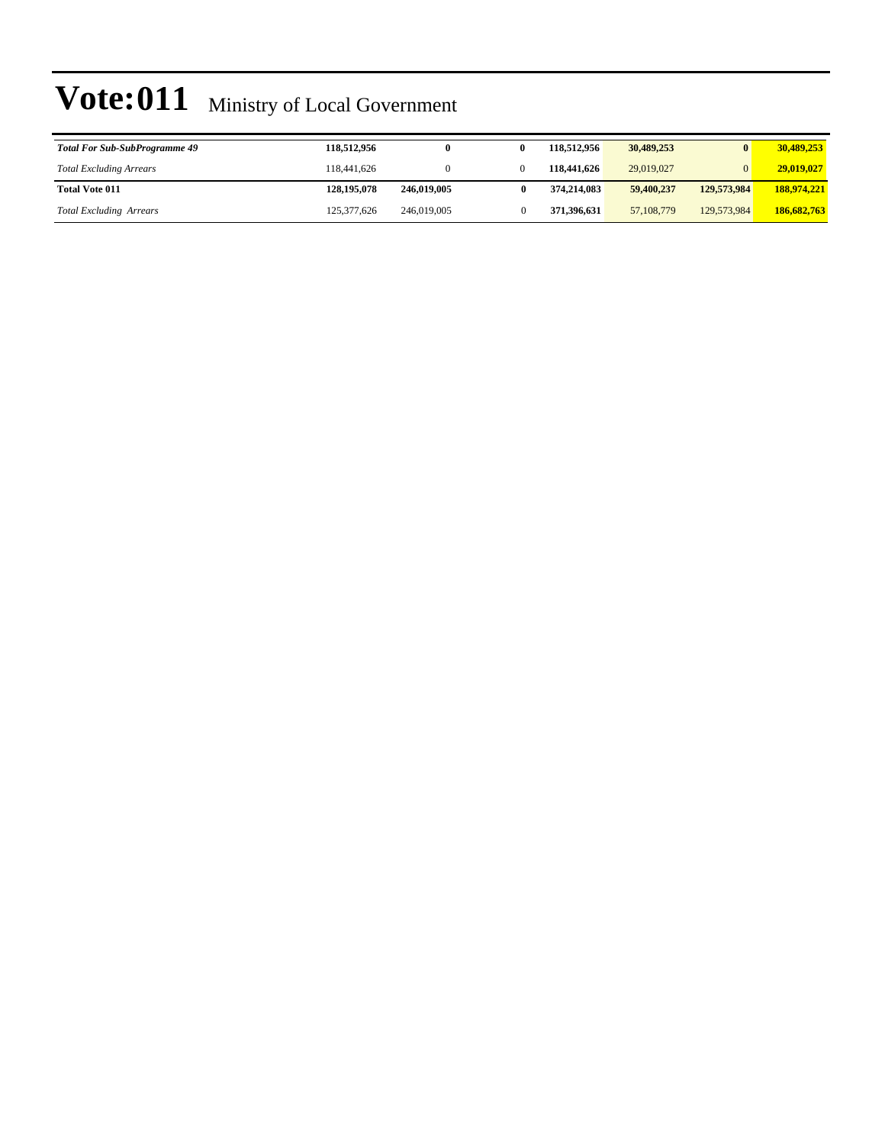| <b>Total For Sub-SubProgramme 49</b> | 118,512,956 | 0           | 118.512.956 | 30,489,253   |             | 30,489,253  |
|--------------------------------------|-------------|-------------|-------------|--------------|-------------|-------------|
| <b>Total Excluding Arrears</b>       | 118,441,626 |             | 118,441,626 | 29,019,027   |             | 29,019,027  |
| <b>Total Vote 011</b>                | 128,195,078 | 246,019,005 | 374.214.083 | 59,400,237   | 129,573,984 | 188,974,221 |
| <b>Total Excluding Arrears</b>       | 125,377,626 | 246,019,005 | 371,396,631 | 57, 108, 779 | 129,573,984 | 186,682,763 |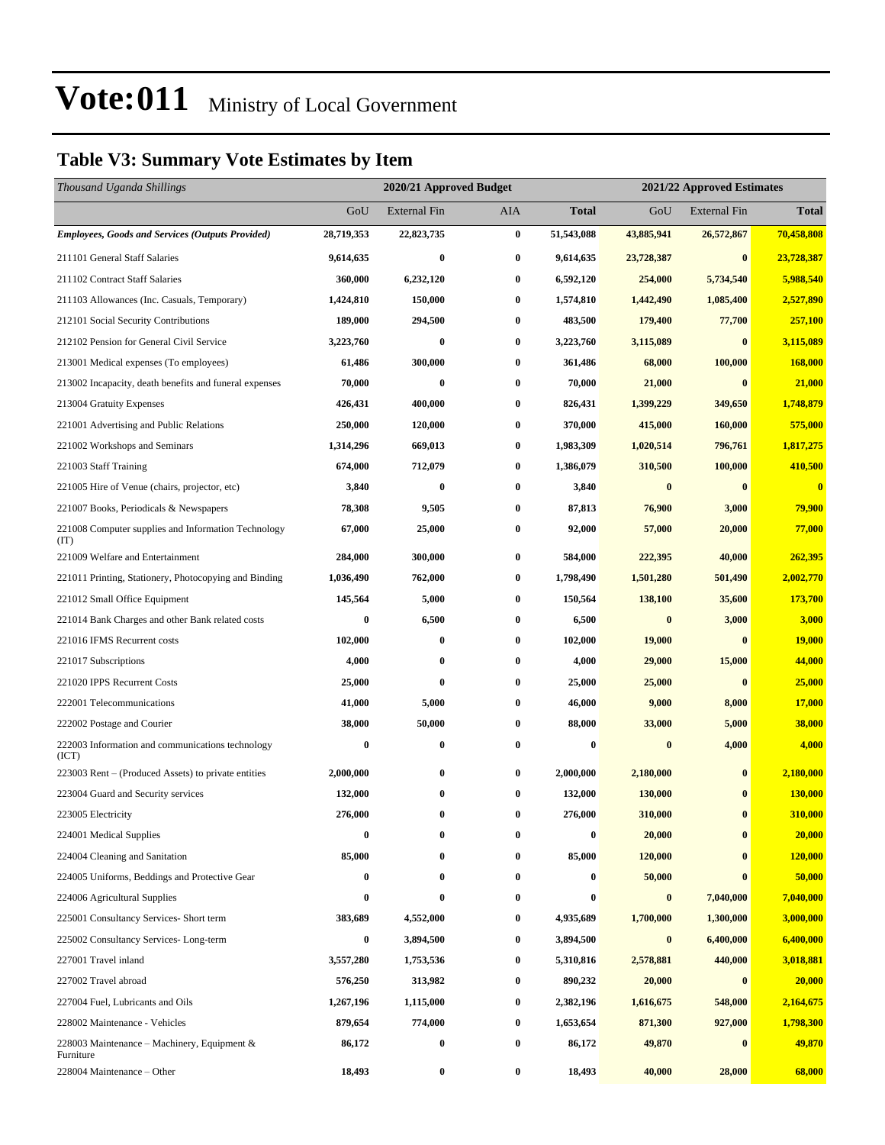### **Table V3: Summary Vote Estimates by Item**

| Thousand Uganda Shillings                                   |            | 2020/21 Approved Budget |          |              | 2021/22 Approved Estimates |                     |               |
|-------------------------------------------------------------|------------|-------------------------|----------|--------------|----------------------------|---------------------|---------------|
|                                                             | GoU        | External Fin            | AIA      | <b>Total</b> | GoU                        | <b>External Fin</b> | <b>Total</b>  |
| <b>Employees, Goods and Services (Outputs Provided)</b>     | 28,719,353 | 22,823,735              | $\bf{0}$ | 51,543,088   | 43,885,941                 | 26,572,867          | 70,458,808    |
| 211101 General Staff Salaries                               | 9,614,635  | $\bf{0}$                | $\bf{0}$ | 9,614,635    | 23,728,387                 | $\bf{0}$            | 23,728,387    |
| 211102 Contract Staff Salaries                              | 360,000    | 6,232,120               | $\bf{0}$ | 6,592,120    | 254,000                    | 5,734,540           | 5,988,540     |
| 211103 Allowances (Inc. Casuals, Temporary)                 | 1,424,810  | 150,000                 | $\bf{0}$ | 1,574,810    | 1,442,490                  | 1,085,400           | 2,527,890     |
| 212101 Social Security Contributions                        | 189,000    | 294,500                 | $\bf{0}$ | 483,500      | 179,400                    | 77,700              | 257,100       |
| 212102 Pension for General Civil Service                    | 3,223,760  | 0                       | $\bf{0}$ | 3,223,760    | 3,115,089                  | $\bf{0}$            | 3,115,089     |
| 213001 Medical expenses (To employees)                      | 61,486     | 300,000                 | $\bf{0}$ | 361,486      | 68,000                     | 100,000             | 168,000       |
| 213002 Incapacity, death benefits and funeral expenses      | 70,000     | $\bf{0}$                | $\bf{0}$ | 70,000       | 21,000                     | $\boldsymbol{0}$    | 21,000        |
| 213004 Gratuity Expenses                                    | 426,431    | 400,000                 | $\bf{0}$ | 826,431      | 1,399,229                  | 349,650             | 1,748,879     |
| 221001 Advertising and Public Relations                     | 250,000    | 120,000                 | $\bf{0}$ | 370,000      | 415,000                    | 160,000             | 575,000       |
| 221002 Workshops and Seminars                               | 1,314,296  | 669,013                 | $\bf{0}$ | 1,983,309    | 1,020,514                  | 796,761             | 1,817,275     |
| 221003 Staff Training                                       | 674,000    | 712,079                 | $\bf{0}$ | 1,386,079    | 310,500                    | 100,000             | 410,500       |
| 221005 Hire of Venue (chairs, projector, etc)               | 3,840      | $\bf{0}$                | $\bf{0}$ | 3,840        | $\boldsymbol{0}$           | $\bf{0}$            | $\bf{0}$      |
| 221007 Books, Periodicals & Newspapers                      | 78,308     | 9,505                   | $\bf{0}$ | 87,813       | 76,900                     | 3,000               | 79,900        |
| 221008 Computer supplies and Information Technology<br>(TT) | 67,000     | 25,000                  | $\bf{0}$ | 92,000       | 57,000                     | 20,000              | 77,000        |
| 221009 Welfare and Entertainment                            | 284,000    | 300,000                 | $\bf{0}$ | 584,000      | 222,395                    | 40,000              | 262,395       |
| 221011 Printing, Stationery, Photocopying and Binding       | 1,036,490  | 762,000                 | $\bf{0}$ | 1,798,490    | 1,501,280                  | 501,490             | 2,002,770     |
| 221012 Small Office Equipment                               | 145,564    | 5,000                   | $\bf{0}$ | 150,564      | 138,100                    | 35,600              | 173,700       |
| 221014 Bank Charges and other Bank related costs            | 0          | 6,500                   | $\bf{0}$ | 6,500        | $\bf{0}$                   | 3,000               | 3,000         |
| 221016 IFMS Recurrent costs                                 | 102,000    | 0                       | $\bf{0}$ | 102,000      | 19,000                     | $\bf{0}$            | <b>19,000</b> |
| 221017 Subscriptions                                        | 4,000      | 0                       | $\bf{0}$ | 4,000        | 29,000                     | 15,000              | 44,000        |
| 221020 IPPS Recurrent Costs                                 | 25,000     | 0                       | $\bf{0}$ | 25,000       | 25,000                     | $\bf{0}$            | 25,000        |
| 222001 Telecommunications                                   | 41,000     | 5,000                   | $\bf{0}$ | 46,000       | 9,000                      | 8,000               | 17,000        |
| 222002 Postage and Courier                                  | 38,000     | 50,000                  | $\bf{0}$ | 88,000       | 33,000                     | 5,000               | 38,000        |
| 222003 Information and communications technology<br>(ICT)   | $\bf{0}$   | 0                       | $\bf{0}$ | 0            | $\bf{0}$                   | 4,000               | 4,000         |
| 223003 Rent – (Produced Assets) to private entities         | 2,000,000  | 0                       | $\bf{0}$ | 2,000,000    | 2,180,000                  | $\bf{0}$            | 2,180,000     |
| 223004 Guard and Security services                          | 132,000    | 0                       | $\bf{0}$ | 132,000      | 130,000                    | $\bf{0}$            | 130,000       |
| 223005 Electricity                                          | 276,000    | 0                       | $\bf{0}$ | 276,000      | 310,000                    | $\bf{0}$            | 310,000       |
| 224001 Medical Supplies                                     | 0          | 0                       | $\bf{0}$ | 0            | 20,000                     | $\bf{0}$            | 20,000        |
| 224004 Cleaning and Sanitation                              | 85,000     | 0                       | 0        | 85,000       | 120,000                    | $\bf{0}$            | 120,000       |
| 224005 Uniforms, Beddings and Protective Gear               | 0          | 0                       | $\bf{0}$ | 0            | 50,000                     | $\bf{0}$            | 50,000        |
| 224006 Agricultural Supplies                                | 0          | 0                       | $\bf{0}$ | 0            | $\bf{0}$                   | 7,040,000           | 7,040,000     |
| 225001 Consultancy Services- Short term                     | 383,689    | 4,552,000               | $\bf{0}$ | 4,935,689    | 1,700,000                  | 1,300,000           | 3,000,000     |
| 225002 Consultancy Services-Long-term                       | 0          | 3,894,500               | $\bf{0}$ | 3,894,500    | $\bf{0}$                   | 6,400,000           | 6,400,000     |
| 227001 Travel inland                                        | 3,557,280  | 1,753,536               | $\bf{0}$ | 5,310,816    | 2,578,881                  | 440,000             | 3,018,881     |
| 227002 Travel abroad                                        | 576,250    | 313,982                 | $\bf{0}$ | 890,232      | 20,000                     | $\bf{0}$            | 20,000        |
| 227004 Fuel, Lubricants and Oils                            | 1,267,196  | 1,115,000               | $\bf{0}$ | 2,382,196    | 1,616,675                  | 548,000             | 2,164,675     |
| 228002 Maintenance - Vehicles                               | 879,654    | 774,000                 | $\bf{0}$ | 1,653,654    | 871,300                    | 927,000             | 1,798,300     |
| 228003 Maintenance – Machinery, Equipment &<br>Furniture    | 86,172     | 0                       | $\bf{0}$ | 86,172       | 49,870                     | $\bf{0}$            | 49,870        |
| 228004 Maintenance – Other                                  | 18,493     | 0                       | $\bf{0}$ | 18,493       | 40,000                     | 28,000              | 68,000        |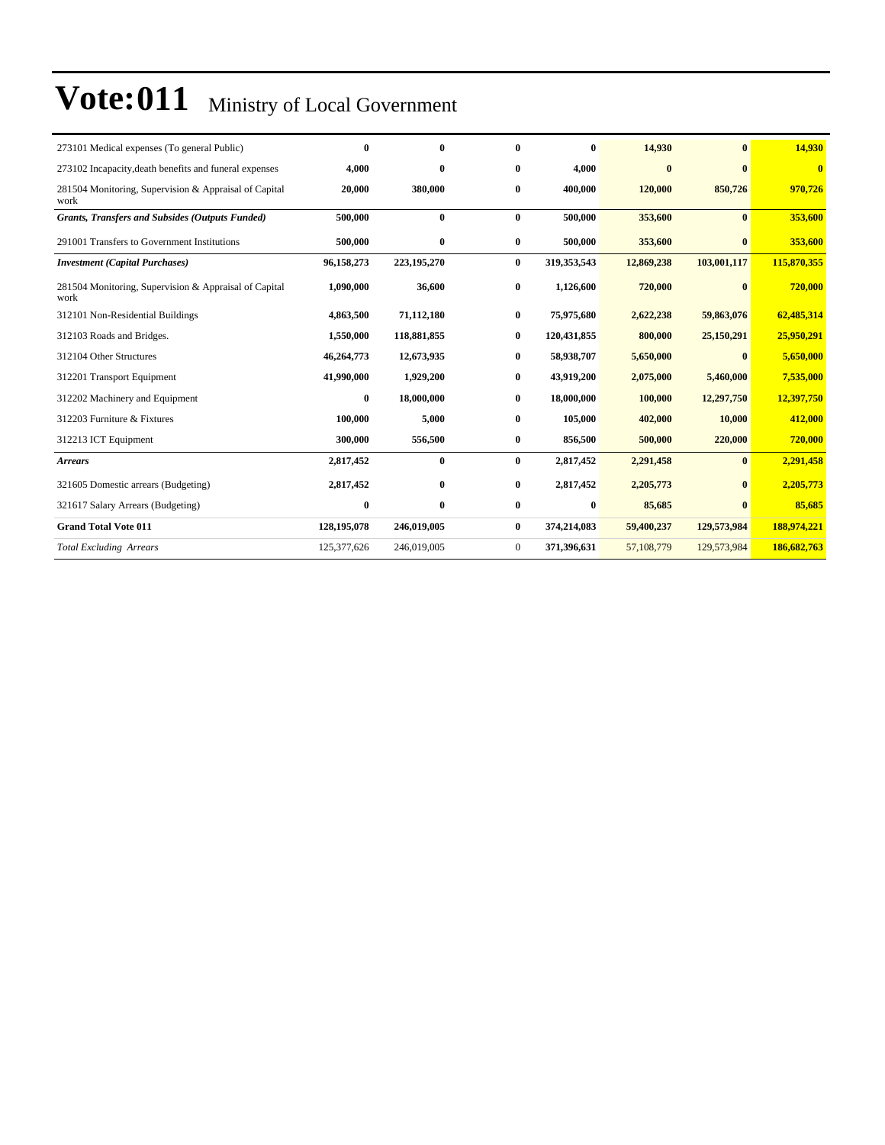| 273101 Medical expenses (To general Public)                   | $\bf{0}$    | $\mathbf{0}$ | 0              | $\bf{0}$    | 14,930     | $\mathbf{0}$ | 14,930      |
|---------------------------------------------------------------|-------------|--------------|----------------|-------------|------------|--------------|-------------|
| 273102 Incapacity, death benefits and funeral expenses        | 4,000       | $\bf{0}$     | 0              | 4,000       | $\bf{0}$   | 0            | $\bf{0}$    |
| 281504 Monitoring, Supervision & Appraisal of Capital<br>work | 20,000      | 380,000      | 0              | 400.000     | 120,000    | 850,726      | 970,726     |
| <b>Grants, Transfers and Subsides (Outputs Funded)</b>        | 500,000     | $\bf{0}$     | $\mathbf{0}$   | 500,000     | 353,600    | $\mathbf{0}$ | 353,600     |
| 291001 Transfers to Government Institutions                   | 500,000     | $\bf{0}$     | $\bf{0}$       | 500,000     | 353,600    | $\mathbf{0}$ | 353,600     |
| <b>Investment</b> (Capital Purchases)                         | 96,158,273  | 223,195,270  | $\bf{0}$       | 319,353,543 | 12,869,238 | 103,001,117  | 115,870,355 |
| 281504 Monitoring, Supervision & Appraisal of Capital<br>work | 1,090,000   | 36,600       | $\bf{0}$       | 1,126,600   | 720,000    | $\mathbf{0}$ | 720,000     |
| 312101 Non-Residential Buildings                              | 4,863,500   | 71,112,180   | $\bf{0}$       | 75,975,680  | 2,622,238  | 59,863,076   | 62,485,314  |
| 312103 Roads and Bridges.                                     | 1,550,000   | 118,881,855  | $\bf{0}$       | 120,431,855 | 800,000    | 25,150,291   | 25,950,291  |
| 312104 Other Structures                                       | 46,264,773  | 12,673,935   | 0              | 58,938,707  | 5,650,000  | 0            | 5,650,000   |
| 312201 Transport Equipment                                    | 41,990,000  | 1,929,200    | $\bf{0}$       | 43,919,200  | 2,075,000  | 5,460,000    | 7,535,000   |
| 312202 Machinery and Equipment                                | $\bf{0}$    | 18,000,000   | 0              | 18,000,000  | 100.000    | 12,297,750   | 12,397,750  |
| 312203 Furniture & Fixtures                                   | 100,000     | 5,000        | $\bf{0}$       | 105,000     | 402,000    | 10,000       | 412,000     |
| 312213 ICT Equipment                                          | 300,000     | 556,500      | $\bf{0}$       | 856,500     | 500,000    | 220,000      | 720,000     |
| <b>Arrears</b>                                                | 2,817,452   | $\bf{0}$     | $\bf{0}$       | 2,817,452   | 2,291,458  | $\bf{0}$     | 2,291,458   |
| 321605 Domestic arrears (Budgeting)                           | 2,817,452   | $\bf{0}$     | $\bf{0}$       | 2,817,452   | 2,205,773  | $\bf{0}$     | 2,205,773   |
| 321617 Salary Arrears (Budgeting)                             | $\bf{0}$    | $\bf{0}$     | $\bf{0}$       | 0           | 85,685     | $\mathbf{0}$ | 85,685      |
| <b>Grand Total Vote 011</b>                                   | 128,195,078 | 246,019,005  | $\bf{0}$       | 374,214,083 | 59,400,237 | 129,573,984  | 188,974,221 |
| <b>Total Excluding Arrears</b>                                | 125,377,626 | 246,019,005  | $\overline{0}$ | 371,396,631 | 57,108,779 | 129,573,984  | 186,682,763 |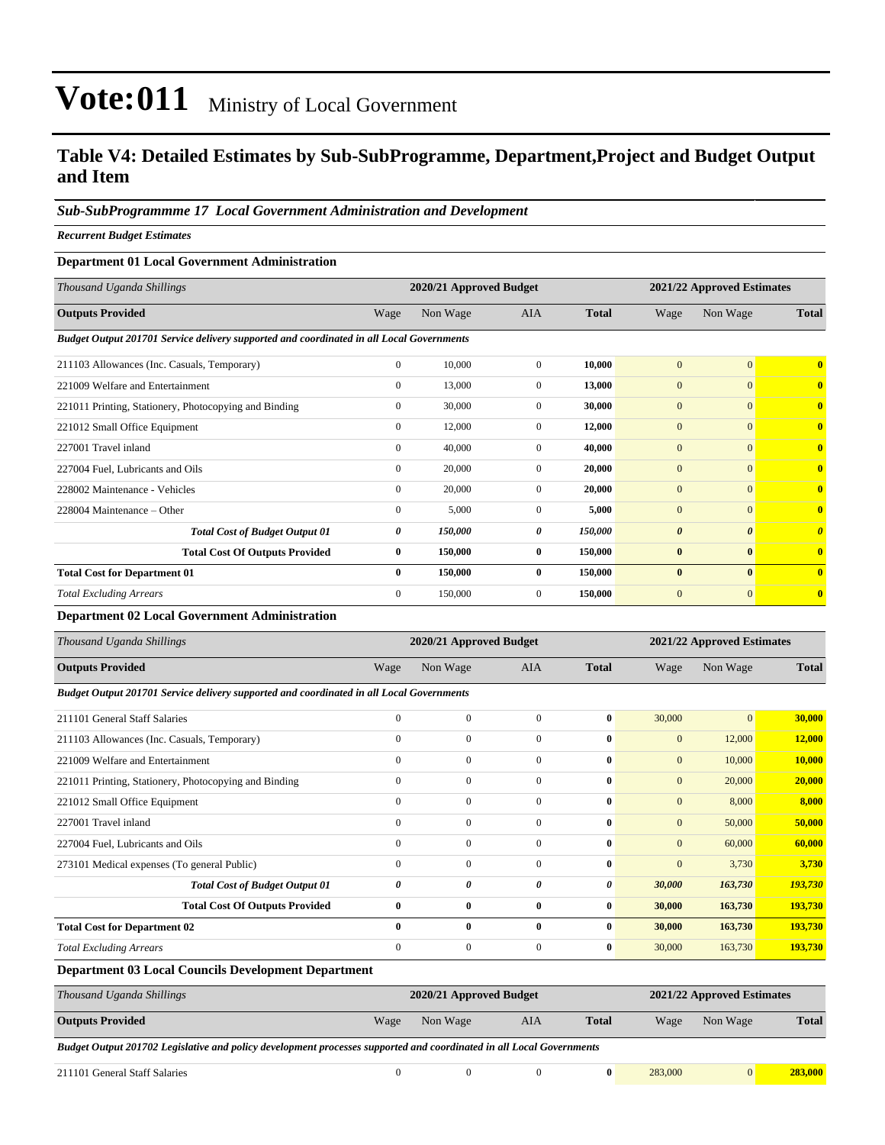### **Table V4: Detailed Estimates by Sub-SubProgramme, Department,Project and Budget Output and Item**

#### *Sub-SubProgrammme 17 Local Government Administration and Development*

*Recurrent Budget Estimates*

#### **Department 01 Local Government Administration**

| Thousand Uganda Shillings                                                                |              | 2020/21 Approved Budget |                |              | 2021/22 Approved Estimates |                       |                         |
|------------------------------------------------------------------------------------------|--------------|-------------------------|----------------|--------------|----------------------------|-----------------------|-------------------------|
| <b>Outputs Provided</b>                                                                  | Wage         | Non Wage                | <b>AIA</b>     | <b>Total</b> | Wage                       | Non Wage              | <b>Total</b>            |
| Budget Output 201701 Service delivery supported and coordinated in all Local Governments |              |                         |                |              |                            |                       |                         |
| 211103 Allowances (Inc. Casuals, Temporary)                                              | $\mathbf{0}$ | 10,000                  | $\overline{0}$ | 10,000       | $\overline{0}$             | $\overline{0}$        | $\overline{\mathbf{0}}$ |
| 221009 Welfare and Entertainment                                                         | $\mathbf{0}$ | 13,000                  | $\Omega$       | 13,000       | $\overline{0}$             | $\overline{0}$        | $\mathbf{0}$            |
| 221011 Printing, Stationery, Photocopying and Binding                                    | $\mathbf{0}$ | 30,000                  | $\overline{0}$ | 30,000       | $\mathbf{0}$               | $\overline{0}$        | $\mathbf{0}$            |
| 221012 Small Office Equipment                                                            | $\mathbf{0}$ | 12,000                  | $\overline{0}$ | 12,000       | $\mathbf{0}$               | $\overline{0}$        | $\bf{0}$                |
| 227001 Travel inland                                                                     | $\mathbf{0}$ | 40,000                  | $\mathbf{0}$   | 40.000       | $\mathbf{0}$               | $\overline{0}$        | $\overline{0}$          |
| 227004 Fuel, Lubricants and Oils                                                         | $\mathbf{0}$ | 20,000                  | $\overline{0}$ | 20,000       | $\mathbf{0}$               | $\overline{0}$        | $\bf{0}$                |
| 228002 Maintenance - Vehicles                                                            | $\mathbf{0}$ | 20,000                  | $\overline{0}$ | 20,000       | $\mathbf{0}$               | $\overline{0}$        | $\bf{0}$                |
| 228004 Maintenance – Other                                                               | $\mathbf{0}$ | 5,000                   | $\overline{0}$ | 5,000        | $\mathbf{0}$               | $\overline{0}$        | $\mathbf{0}$            |
| <b>Total Cost of Budget Output 01</b>                                                    | 0            | 150,000                 | 0              | 150,000      | $\boldsymbol{\theta}$      | $\boldsymbol{\theta}$ | $\boldsymbol{\theta}$   |
| <b>Total Cost Of Outputs Provided</b>                                                    | $\bf{0}$     | 150,000                 | $\bf{0}$       | 150,000      | $\bf{0}$                   | $\bf{0}$              | $\overline{\mathbf{0}}$ |
| <b>Total Cost for Department 01</b>                                                      | $\mathbf{0}$ | 150,000                 | $\mathbf{0}$   | 150,000      | $\bf{0}$                   | $\mathbf{0}$          | $\mathbf{0}$            |
| <b>Total Excluding Arrears</b>                                                           | $\mathbf{0}$ | 150,000                 | $\overline{0}$ | 150,000      | $\mathbf{0}$               | $\mathbf{0}$          | $\bf{0}$                |

#### **Department 02 Local Government Administration**

| Thousand Uganda Shillings                                                                |              | 2020/21 Approved Budget |              |              | 2021/22 Approved Estimates |              |              |
|------------------------------------------------------------------------------------------|--------------|-------------------------|--------------|--------------|----------------------------|--------------|--------------|
| <b>Outputs Provided</b>                                                                  | Wage         | Non Wage                | <b>AIA</b>   | <b>Total</b> | Wage                       | Non Wage     | <b>Total</b> |
| Budget Output 201701 Service delivery supported and coordinated in all Local Governments |              |                         |              |              |                            |              |              |
| 211101 General Staff Salaries                                                            | $\mathbf{0}$ | $\mathbf{0}$            | $\mathbf{0}$ | $\mathbf{0}$ | 30,000                     | $\mathbf{0}$ | 30,000       |
| 211103 Allowances (Inc. Casuals, Temporary)                                              | $\mathbf{0}$ | $\mathbf{0}$            | $\mathbf{0}$ | $\mathbf{0}$ | $\mathbf{0}$               | 12,000       | 12,000       |
| 221009 Welfare and Entertainment                                                         | $\mathbf{0}$ | $\mathbf{0}$            | $\mathbf{0}$ | $\mathbf{0}$ | $\mathbf{0}$               | 10,000       | 10,000       |
| 221011 Printing, Stationery, Photocopying and Binding                                    | $\mathbf{0}$ | $\overline{0}$          | $\mathbf{0}$ | $\bf{0}$     | $\mathbf{0}$               | 20,000       | 20,000       |
| 221012 Small Office Equipment                                                            | $\Omega$     | $\mathbf{0}$            | $\Omega$     | $\mathbf{0}$ | $\mathbf{0}$               | 8,000        | 8,000        |
| 227001 Travel inland                                                                     | $\Omega$     | $\mathbf{0}$            | $\Omega$     | $\mathbf{0}$ | $\mathbf{0}$               | 50,000       | 50,000       |
| 227004 Fuel, Lubricants and Oils                                                         | $\mathbf{0}$ | $\mathbf{0}$            | $\Omega$     | $\mathbf{0}$ | $\mathbf{0}$               | 60,000       | 60,000       |
| 273101 Medical expenses (To general Public)                                              | $\mathbf{0}$ | $\mathbf{0}$            | $\mathbf{0}$ | $\mathbf{0}$ | $\mathbf{0}$               | 3,730        | 3,730        |
| <b>Total Cost of Budget Output 01</b>                                                    | 0            | 0                       | 0            | 0            | 30,000                     | 163,730      | 193,730      |
| <b>Total Cost Of Outputs Provided</b>                                                    | $\bf{0}$     | $\bf{0}$                | $\bf{0}$     | $\bf{0}$     | 30,000                     | 163,730      | 193,730      |
| <b>Total Cost for Department 02</b>                                                      | $\mathbf{0}$ | $\bf{0}$                | $\mathbf{0}$ | $\mathbf{0}$ | 30,000                     | 163,730      | 193,730      |
| <b>Total Excluding Arrears</b>                                                           | $\Omega$     | $\mathbf{0}$            | $\mathbf{0}$ | $\bf{0}$     | 30,000                     | 163,730      | 193,730      |
| $\sim$ $\sim$ $\sim$ $\sim$ $\sim$<br>. .<br>$\cdots$                                    |              |                         |              |              |                            |              |              |

#### **Department 03 Local Councils Development Department**

| Thousand Uganda Shillings                                                                                            |            | 2020/21 Approved Budget |     | 2021/22 Approved Estimates |         |          |              |
|----------------------------------------------------------------------------------------------------------------------|------------|-------------------------|-----|----------------------------|---------|----------|--------------|
| <b>Outputs Provided</b>                                                                                              | Wage       | Non Wage                | AIA | <b>Total</b>               | Wage    | Non Wage | <b>Total</b> |
| Budget Output 201702 Legislative and policy development processes supported and coordinated in all Local Governments |            |                         |     |                            |         |          |              |
| 211101 General Staff Salaries                                                                                        | $^{\circ}$ |                         |     |                            | 283,000 | 0        | 283,000      |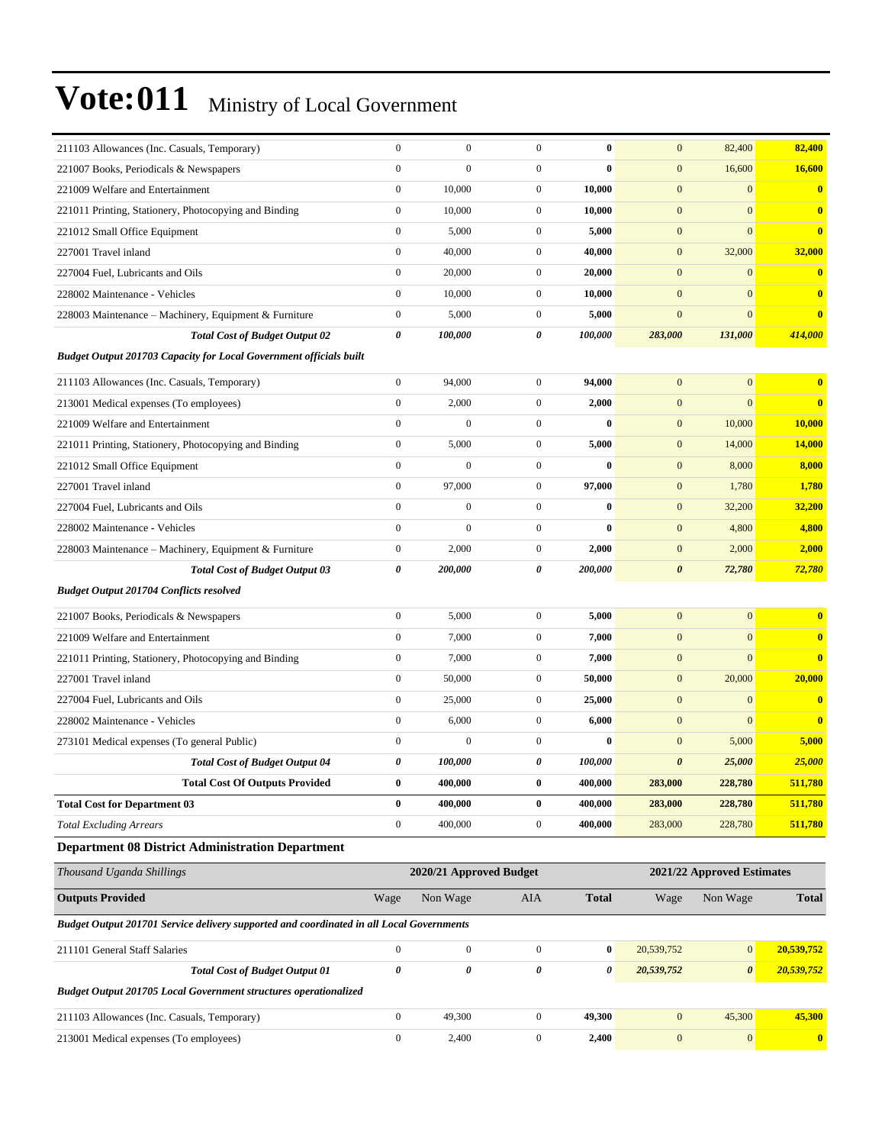| 211103 Allowances (Inc. Casuals, Temporary)                                              | $\mathbf{0}$     | $\boldsymbol{0}$        | $\boldsymbol{0}$ | $\bf{0}$     | $\mathbf{0}$          | 82,400                     | 82,400        |
|------------------------------------------------------------------------------------------|------------------|-------------------------|------------------|--------------|-----------------------|----------------------------|---------------|
| 221007 Books, Periodicals & Newspapers                                                   | $\mathbf{0}$     | $\boldsymbol{0}$        | $\boldsymbol{0}$ | $\bf{0}$     | $\mathbf{0}$          | 16,600                     | 16,600        |
| 221009 Welfare and Entertainment                                                         | $\boldsymbol{0}$ | 10,000                  | $\boldsymbol{0}$ | 10,000       | $\mathbf{0}$          | $\mathbf{0}$               | $\bf{0}$      |
| 221011 Printing, Stationery, Photocopying and Binding                                    | $\boldsymbol{0}$ | 10,000                  | $\mathbf{0}$     | 10,000       | $\mathbf{0}$          | $\mathbf{0}$               | $\bf{0}$      |
| 221012 Small Office Equipment                                                            | $\mathbf{0}$     | 5,000                   | $\mathbf{0}$     | 5,000        | $\mathbf{0}$          | $\mathbf{0}$               | $\bf{0}$      |
| 227001 Travel inland                                                                     | $\mathbf{0}$     | 40,000                  | $\mathbf{0}$     | 40,000       | $\mathbf{0}$          | 32,000                     | 32,000        |
| 227004 Fuel, Lubricants and Oils                                                         | $\mathbf{0}$     | 20,000                  | $\mathbf{0}$     | 20,000       | $\mathbf{0}$          | $\mathbf{0}$               | $\bf{0}$      |
| 228002 Maintenance - Vehicles                                                            | $\boldsymbol{0}$ | 10,000                  | $\mathbf{0}$     | 10,000       | $\mathbf{0}$          | $\mathbf{0}$               | $\bf{0}$      |
| 228003 Maintenance - Machinery, Equipment & Furniture                                    | $\boldsymbol{0}$ | 5,000                   | $\mathbf{0}$     | 5,000        | $\mathbf{0}$          | $\mathbf{0}$               | $\mathbf{0}$  |
| <b>Total Cost of Budget Output 02</b>                                                    | 0                | 100,000                 | 0                | 100,000      | 283,000               | 131,000                    | 414,000       |
| <b>Budget Output 201703 Capacity for Local Government officials built</b>                |                  |                         |                  |              |                       |                            |               |
| 211103 Allowances (Inc. Casuals, Temporary)                                              | $\boldsymbol{0}$ | 94,000                  | $\mathbf{0}$     | 94,000       | $\mathbf{0}$          | $\mathbf{0}$               | $\bf{0}$      |
| 213001 Medical expenses (To employees)                                                   | $\boldsymbol{0}$ | 2,000                   | $\mathbf{0}$     | 2,000        | $\mathbf{0}$          | $\mathbf{0}$               | $\bf{0}$      |
| 221009 Welfare and Entertainment                                                         | $\boldsymbol{0}$ | $\boldsymbol{0}$        | $\boldsymbol{0}$ | $\bf{0}$     | $\mathbf{0}$          | 10,000                     | 10,000        |
| 221011 Printing, Stationery, Photocopying and Binding                                    | $\boldsymbol{0}$ | 5,000                   | $\mathbf{0}$     | 5,000        | $\mathbf{0}$          | 14,000                     | 14,000        |
| 221012 Small Office Equipment                                                            | $\mathbf{0}$     | $\mathbf{0}$            | $\mathbf{0}$     | $\bf{0}$     | $\mathbf{0}$          | 8,000                      | 8,000         |
| 227001 Travel inland                                                                     | $\mathbf{0}$     | 97,000                  | $\mathbf{0}$     | 97,000       | $\mathbf{0}$          | 1,780                      | 1,780         |
| 227004 Fuel, Lubricants and Oils                                                         | $\mathbf{0}$     | $\boldsymbol{0}$        | $\boldsymbol{0}$ | $\bf{0}$     | $\mathbf{0}$          | 32,200                     | <b>32,200</b> |
| 228002 Maintenance - Vehicles                                                            | $\boldsymbol{0}$ | $\boldsymbol{0}$        | $\boldsymbol{0}$ | $\bf{0}$     | $\mathbf{0}$          | 4,800                      | 4,800         |
| 228003 Maintenance - Machinery, Equipment & Furniture                                    | $\boldsymbol{0}$ | 2,000                   | $\mathbf{0}$     | 2,000        | $\mathbf{0}$          | 2,000                      | 2,000         |
| <b>Total Cost of Budget Output 03</b>                                                    | 0                | 200,000                 | 0                | 200,000      | $\boldsymbol{\theta}$ | 72,780                     | 72,780        |
| <b>Budget Output 201704 Conflicts resolved</b>                                           |                  |                         |                  |              |                       |                            |               |
| 221007 Books, Periodicals & Newspapers                                                   | $\boldsymbol{0}$ | 5,000                   | $\mathbf{0}$     | 5,000        | $\mathbf{0}$          | $\mathbf{0}$               | $\bf{0}$      |
| 221009 Welfare and Entertainment                                                         | $\mathbf{0}$     | 7,000                   | $\mathbf{0}$     | 7,000        | $\mathbf{0}$          | $\mathbf{0}$               | $\bf{0}$      |
| 221011 Printing, Stationery, Photocopying and Binding                                    | $\boldsymbol{0}$ | 7,000                   | $\mathbf{0}$     | 7,000        | $\mathbf{0}$          | $\mathbf{0}$               | $\bf{0}$      |
| 227001 Travel inland                                                                     | $\boldsymbol{0}$ | 50,000                  | $\mathbf{0}$     | 50,000       | $\mathbf{0}$          | 20,000                     | 20,000        |
| 227004 Fuel, Lubricants and Oils                                                         | $\boldsymbol{0}$ | 25,000                  | $\mathbf{0}$     | 25,000       | $\mathbf{0}$          | $\mathbf{0}$               | $\mathbf{0}$  |
| 228002 Maintenance - Vehicles                                                            | $\mathbf{0}$     | 6,000                   | $\mathbf{0}$     | 6,000        | $\mathbf{0}$          | $\mathbf{0}$               | $\bf{0}$      |
| 273101 Medical expenses (To general Public)                                              | $\boldsymbol{0}$ | $\boldsymbol{0}$        | $\boldsymbol{0}$ | $\bf{0}$     | $\mathbf{0}$          | 5,000                      | 5,000         |
| <b>Total Cost of Budget Output 04</b>                                                    | 0                | 100,000                 | 0                | 100,000      | $\boldsymbol{\theta}$ | 25,000                     | <b>25,000</b> |
| <b>Total Cost Of Outputs Provided</b>                                                    | $\bf{0}$         | 400,000                 | $\bf{0}$         | 400,000      | 283,000               | 228,780                    | 511,780       |
| <b>Total Cost for Department 03</b>                                                      | $\bf{0}$         | 400,000                 | $\bf{0}$         | 400,000      | 283,000               | 228,780                    | 511,780       |
| <b>Total Excluding Arrears</b>                                                           | $\boldsymbol{0}$ | 400,000                 | $\boldsymbol{0}$ | 400,000      | 283,000               | 228,780                    | 511,780       |
| <b>Department 08 District Administration Department</b>                                  |                  |                         |                  |              |                       |                            |               |
| Thousand Uganda Shillings                                                                |                  | 2020/21 Approved Budget |                  |              |                       | 2021/22 Approved Estimates |               |
| <b>Outputs Provided</b>                                                                  | Wage             | Non Wage                | AIA              | <b>Total</b> | Wage                  | Non Wage                   | <b>Total</b>  |
| Budget Output 201701 Service delivery supported and coordinated in all Local Governments |                  |                         |                  |              |                       |                            |               |
| 211101 General Staff Salaries                                                            | $\boldsymbol{0}$ | $\boldsymbol{0}$        | $\boldsymbol{0}$ | $\bf{0}$     | 20,539,752            | $\boldsymbol{0}$           | 20,539,752    |
| <b>Total Cost of Budget Output 01</b>                                                    | 0                | $\pmb{\theta}$          | 0                | 0            | 20,539,752            | $\boldsymbol{\theta}$      | 20,539,752    |
| <b>Budget Output 201705 Local Government structures operationalized</b>                  |                  |                         |                  |              |                       |                            |               |
| 211103 Allowances (Inc. Casuals, Temporary)                                              | $\boldsymbol{0}$ | 49,300                  | $\boldsymbol{0}$ | 49,300       | $\boldsymbol{0}$      | 45,300                     | 45,300        |
| 213001 Medical expenses (To employees)                                                   | $\boldsymbol{0}$ | 2,400                   | $\boldsymbol{0}$ | 2,400        | $\boldsymbol{0}$      | $\boldsymbol{0}$           | $\bf{0}$      |
|                                                                                          |                  |                         |                  |              |                       |                            |               |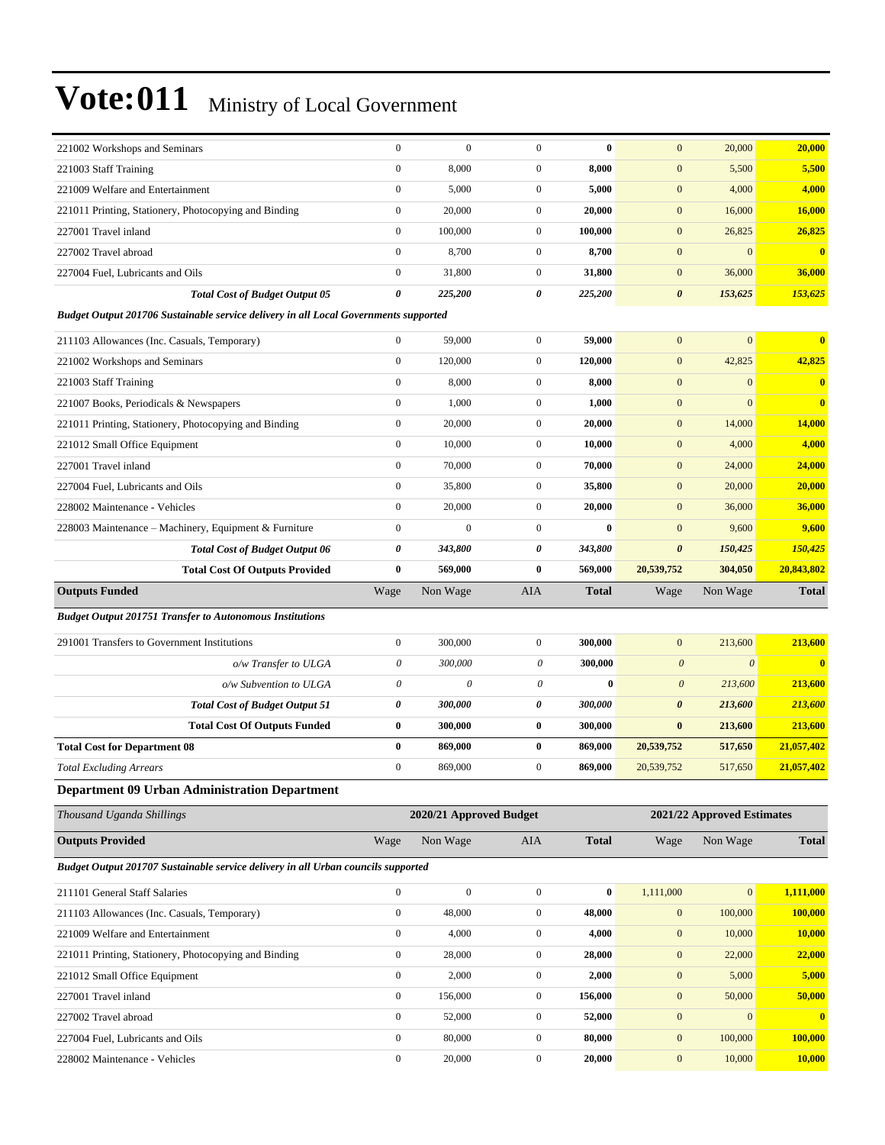| 221002 Workshops and Seminars                                                        | $\boldsymbol{0}$                     | $\boldsymbol{0}$        | $\mathbf{0}$                         | $\bf{0}$         | $\mathbf{0}$          | 20,000                     | 20,000                  |
|--------------------------------------------------------------------------------------|--------------------------------------|-------------------------|--------------------------------------|------------------|-----------------------|----------------------------|-------------------------|
| 221003 Staff Training                                                                | $\boldsymbol{0}$                     | 8,000                   | $\mathbf{0}$                         | 8,000            | $\mathbf{0}$          | 5,500                      | 5,500                   |
| 221009 Welfare and Entertainment                                                     | $\boldsymbol{0}$                     | 5,000                   | $\mathbf{0}$                         | 5,000            | $\mathbf{0}$          | 4,000                      | 4,000                   |
| 221011 Printing, Stationery, Photocopying and Binding                                | $\boldsymbol{0}$                     | 20,000                  | $\mathbf{0}$                         | 20,000           | $\boldsymbol{0}$      | 16,000                     | 16,000                  |
| 227001 Travel inland                                                                 | $\boldsymbol{0}$                     | 100,000                 | $\mathbf{0}$                         | 100,000          | $\mathbf{0}$          | 26,825                     | 26,825                  |
| 227002 Travel abroad                                                                 | $\boldsymbol{0}$                     | 8,700                   | $\mathbf{0}$                         | 8,700            | $\mathbf{0}$          | $\mathbf{0}$               | $\overline{\mathbf{0}}$ |
| 227004 Fuel, Lubricants and Oils                                                     | $\boldsymbol{0}$                     | 31,800                  | $\mathbf{0}$                         | 31,800           | $\boldsymbol{0}$      | 36,000                     | 36,000                  |
| <b>Total Cost of Budget Output 05</b>                                                | 0                                    | 225,200                 | 0                                    | 225,200          | $\boldsymbol{\theta}$ | 153,625                    | 153,625                 |
| Budget Output 201706 Sustainable service delivery in all Local Governments supported |                                      |                         |                                      |                  |                       |                            |                         |
| 211103 Allowances (Inc. Casuals, Temporary)                                          | $\mathbf{0}$                         | 59,000                  | $\mathbf{0}$                         | 59,000           | $\mathbf{0}$          | $\boldsymbol{0}$           | $\bf{0}$                |
| 221002 Workshops and Seminars                                                        | $\boldsymbol{0}$                     | 120,000                 | $\mathbf{0}$                         | 120,000          | $\mathbf{0}$          | 42,825                     | 42,825                  |
| 221003 Staff Training                                                                | $\boldsymbol{0}$                     | 8,000                   | $\mathbf{0}$                         | 8,000            | $\mathbf{0}$          | $\mathbf{0}$               | $\bf{0}$                |
| 221007 Books, Periodicals & Newspapers                                               | $\mathbf{0}$                         | 1,000                   | $\mathbf{0}$                         | 1,000            | $\mathbf{0}$          | $\overline{0}$             | $\bf{0}$                |
| 221011 Printing, Stationery, Photocopying and Binding                                | $\boldsymbol{0}$                     | 20,000                  | $\mathbf{0}$                         | 20,000           | $\mathbf{0}$          | 14,000                     | 14,000                  |
| 221012 Small Office Equipment                                                        | $\boldsymbol{0}$                     | 10.000                  | $\mathbf{0}$                         | 10,000           | $\boldsymbol{0}$      | 4,000                      | 4,000                   |
| 227001 Travel inland                                                                 | $\boldsymbol{0}$                     | 70,000                  | $\mathbf{0}$                         | 70,000           | $\mathbf{0}$          | 24,000                     | 24,000                  |
| 227004 Fuel. Lubricants and Oils                                                     | $\boldsymbol{0}$                     | 35,800                  | $\mathbf{0}$                         | 35,800           | $\mathbf{0}$          | 20,000                     | 20,000                  |
| 228002 Maintenance - Vehicles                                                        | $\mathbf{0}$                         | 20,000                  | $\mathbf{0}$                         | 20,000           | $\mathbf{0}$          | 36,000                     | 36,000                  |
| 228003 Maintenance - Machinery, Equipment & Furniture                                | $\boldsymbol{0}$                     | $\mathbf{0}$            | $\mathbf{0}$                         | $\bf{0}$         | $\mathbf{0}$          | 9,600                      | 9,600                   |
| <b>Total Cost of Budget Output 06</b>                                                | 0                                    | 343,800                 | 0                                    | 343,800          | $\boldsymbol{\theta}$ | 150,425                    | 150,425                 |
| <b>Total Cost Of Outputs Provided</b>                                                | $\bf{0}$                             | 569,000                 | $\bf{0}$                             | 569,000          | 20,539,752            | 304,050                    | 20,843,802              |
| <b>Outputs Funded</b>                                                                | Wage                                 | Non Wage                | AIA                                  | <b>Total</b>     | Wage                  | Non Wage                   | <b>Total</b>            |
| <b>Budget Output 201751 Transfer to Autonomous Institutions</b>                      |                                      |                         |                                      |                  |                       |                            |                         |
| 291001 Transfers to Government Institutions                                          | $\boldsymbol{0}$                     | 300,000                 | $\mathbf{0}$                         | 300,000          | $\mathbf{0}$          | 213,600                    | 213,600                 |
| o/w Transfer to ULGA                                                                 | $\boldsymbol{\theta}$                | 300,000                 | 0                                    | 300,000          | $\boldsymbol{0}$      | $\boldsymbol{\theta}$      | $\overline{\mathbf{0}}$ |
| o/w Subvention to ULGA                                                               | $\boldsymbol{\theta}$                | 0                       | 0                                    | $\bf{0}$         | $\boldsymbol{\theta}$ | 213,600                    | 213,600                 |
| <b>Total Cost of Budget Output 51</b>                                                | 0                                    | 300,000                 | 0                                    | 300,000          | $\boldsymbol{\theta}$ | 213,600                    | 213,600                 |
| <b>Total Cost Of Outputs Funded</b>                                                  | $\bf{0}$                             | 300,000                 | $\bf{0}$                             | 300,000          | $\bf{0}$              | 213,600                    | 213,600                 |
| <b>Total Cost for Department 08</b>                                                  | $\bf{0}$                             | 869,000                 | $\bf{0}$                             | 869,000          | 20,539,752            | 517,650                    | 21,057,402              |
| <b>Total Excluding Arrears</b>                                                       | $\boldsymbol{0}$                     | 869,000                 | $\mathbf{0}$                         | 869,000          | 20,539,752            | 517,650                    | 21,057,402              |
| <b>Department 09 Urban Administration Department</b>                                 |                                      |                         |                                      |                  |                       |                            |                         |
| Thousand Uganda Shillings                                                            |                                      |                         |                                      |                  |                       | 2021/22 Approved Estimates |                         |
|                                                                                      |                                      |                         |                                      |                  |                       |                            |                         |
|                                                                                      |                                      | 2020/21 Approved Budget |                                      |                  |                       |                            |                         |
| <b>Outputs Provided</b>                                                              | Wage                                 | Non Wage                | AIA                                  | <b>Total</b>     | Wage                  | Non Wage                   | <b>Total</b>            |
| Budget Output 201707 Sustainable service delivery in all Urban councils supported    |                                      |                         |                                      |                  |                       |                            |                         |
| 211101 General Staff Salaries                                                        | $\boldsymbol{0}$                     | $\boldsymbol{0}$        | $\boldsymbol{0}$                     | $\bf{0}$         | 1,111,000             | $\mathbf{0}$               | 1,111,000               |
| 211103 Allowances (Inc. Casuals, Temporary)                                          | $\boldsymbol{0}$                     | 48,000                  | $\boldsymbol{0}$                     | 48,000           | $\boldsymbol{0}$      | 100,000                    | 100,000                 |
| 221009 Welfare and Entertainment                                                     | $\boldsymbol{0}$                     | 4,000                   | $\boldsymbol{0}$                     | 4,000            | $\boldsymbol{0}$      | 10,000                     | 10,000                  |
| 221011 Printing, Stationery, Photocopying and Binding                                | $\boldsymbol{0}$                     | 28,000                  | $\boldsymbol{0}$                     | 28,000           | $\boldsymbol{0}$      | 22,000                     | 22,000                  |
| 221012 Small Office Equipment                                                        | $\boldsymbol{0}$                     | 2,000                   | $\boldsymbol{0}$                     | 2,000            | $\boldsymbol{0}$      | 5,000                      | 5,000                   |
| 227001 Travel inland                                                                 | $\boldsymbol{0}$                     | 156,000                 | $\boldsymbol{0}$                     | 156,000          | $\boldsymbol{0}$      | 50,000                     | 50,000                  |
| 227002 Travel abroad                                                                 | $\boldsymbol{0}$                     | 52,000                  | $\boldsymbol{0}$                     | 52,000           | $\boldsymbol{0}$      | $\boldsymbol{0}$           | $\bf{0}$                |
| 227004 Fuel, Lubricants and Oils                                                     | $\boldsymbol{0}$<br>$\boldsymbol{0}$ | 80,000                  | $\boldsymbol{0}$<br>$\boldsymbol{0}$ | 80,000<br>20,000 | $\boldsymbol{0}$      | 100,000                    | 100,000                 |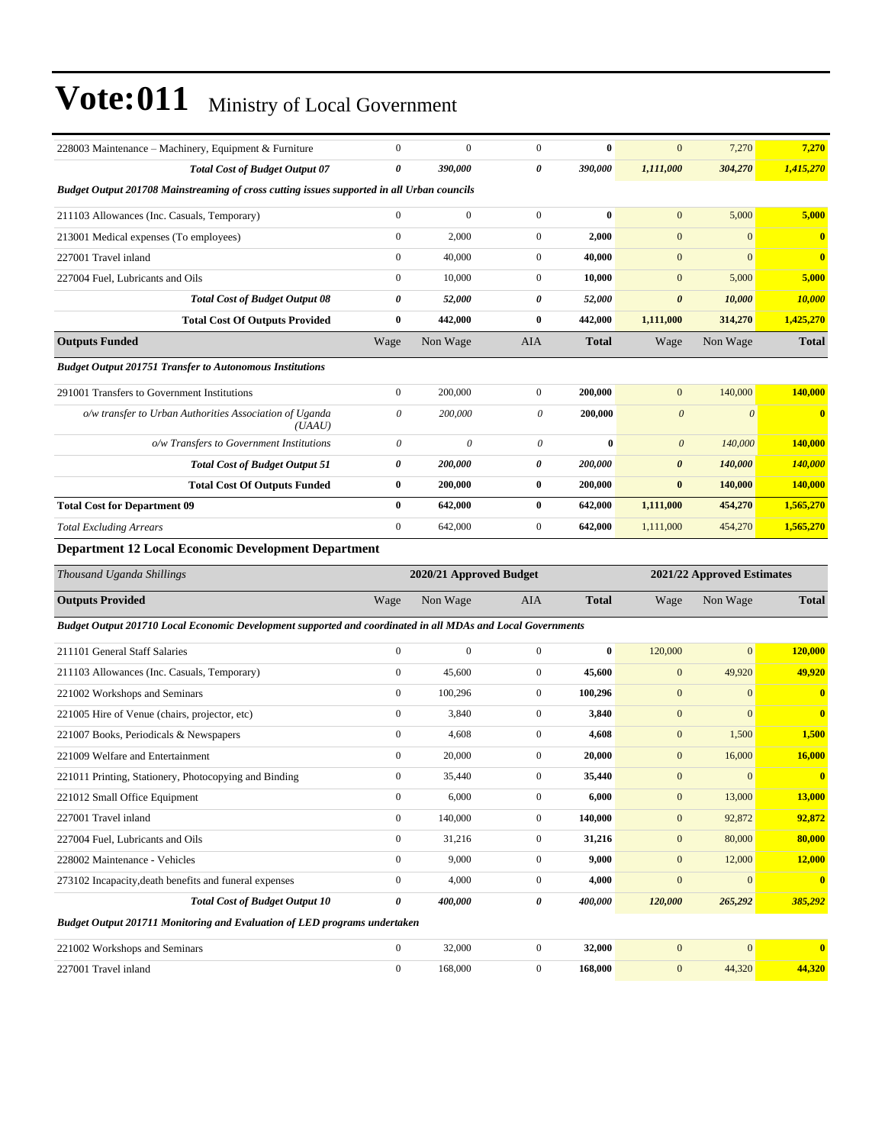| 228003 Maintenance – Machinery, Equipment & Furniture                                                       |                  |                         |                       |              |                       |                            |                |
|-------------------------------------------------------------------------------------------------------------|------------------|-------------------------|-----------------------|--------------|-----------------------|----------------------------|----------------|
|                                                                                                             | $\boldsymbol{0}$ | $\boldsymbol{0}$        | $\mathbf{0}$          | $\bf{0}$     | $\mathbf{0}$          | 7,270                      | 7,270          |
| <b>Total Cost of Budget Output 07</b>                                                                       | 0                | 390,000                 | 0                     | 390,000      | 1,111,000             | 304,270                    | 1,415,270      |
| Budget Output 201708 Mainstreaming of cross cutting issues supported in all Urban councils                  |                  |                         |                       |              |                       |                            |                |
| 211103 Allowances (Inc. Casuals, Temporary)                                                                 | $\boldsymbol{0}$ | $\boldsymbol{0}$        | $\overline{0}$        | $\bf{0}$     | $\mathbf{0}$          | 5,000                      | 5,000          |
| 213001 Medical expenses (To employees)                                                                      | $\boldsymbol{0}$ | 2,000                   | $\mathbf{0}$          | 2,000        | $\overline{0}$        | $\mathbf{0}$               | $\bf{0}$       |
| 227001 Travel inland                                                                                        | $\overline{0}$   | 40,000                  | $\mathbf{0}$          | 40,000       | $\mathbf{0}$          | $\mathbf{0}$               | $\bf{0}$       |
| 227004 Fuel, Lubricants and Oils                                                                            | $\mathbf{0}$     | 10,000                  | $\overline{0}$        | 10,000       | $\mathbf{0}$          | 5,000                      | 5,000          |
| <b>Total Cost of Budget Output 08</b>                                                                       | 0                | 52,000                  | 0                     | 52,000       | $\pmb{\theta}$        | 10,000                     | 10,000         |
| <b>Total Cost Of Outputs Provided</b>                                                                       | $\bf{0}$         | 442,000                 | $\bf{0}$              | 442,000      | 1,111,000             | 314,270                    | 1,425,270      |
| <b>Outputs Funded</b>                                                                                       | Wage             | Non Wage                | AIA                   | <b>Total</b> | Wage                  | Non Wage                   | <b>Total</b>   |
| <b>Budget Output 201751 Transfer to Autonomous Institutions</b>                                             |                  |                         |                       |              |                       |                            |                |
| 291001 Transfers to Government Institutions                                                                 | $\boldsymbol{0}$ | 200,000                 | $\mathbf{0}$          | 200,000      | $\overline{0}$        | 140,000                    | 140,000        |
| o/w transfer to Urban Authorities Association of Uganda<br>(UAAU)                                           | $\theta$         | 200,000                 | $\theta$              | 200,000      | $\boldsymbol{\theta}$ | $\theta$                   | $\bf{0}$       |
| o/w Transfers to Government Institutions                                                                    | $\theta$         | $\boldsymbol{\theta}$   | $\boldsymbol{\theta}$ | $\bf{0}$     | $\boldsymbol{\theta}$ | 140,000                    | 140,000        |
| <b>Total Cost of Budget Output 51</b>                                                                       | 0                | 200,000                 | 0                     | 200,000      | 0                     | 140,000                    | <b>140,000</b> |
| <b>Total Cost Of Outputs Funded</b>                                                                         | 0                | 200,000                 | $\bf{0}$              | 200,000      | $\bf{0}$              | 140,000                    | 140,000        |
| <b>Total Cost for Department 09</b>                                                                         | 0                | 642,000                 | $\bf{0}$              | 642,000      | 1,111,000             | 454,270                    | 1,565,270      |
| <b>Total Excluding Arrears</b>                                                                              | $\boldsymbol{0}$ | 642,000                 | $\mathbf{0}$          | 642,000      | 1,111,000             | 454,270                    | 1,565,270      |
| <b>Department 12 Local Economic Development Department</b>                                                  |                  |                         |                       |              |                       |                            |                |
| Thousand Uganda Shillings                                                                                   |                  | 2020/21 Approved Budget |                       |              |                       | 2021/22 Approved Estimates |                |
| <b>Outputs Provided</b>                                                                                     |                  |                         |                       |              |                       |                            |                |
|                                                                                                             | Wage             | Non Wage                | AIA                   | <b>Total</b> | Wage                  | Non Wage                   | <b>Total</b>   |
| Budget Output 201710 Local Economic Development supported and coordinated in all MDAs and Local Governments |                  |                         |                       |              |                       |                            |                |
| 211101 General Staff Salaries                                                                               | $\boldsymbol{0}$ | $\boldsymbol{0}$        | $\mathbf{0}$          | $\bf{0}$     | 120,000               | $\mathbf{0}$               | 120,000        |
| 211103 Allowances (Inc. Casuals, Temporary)                                                                 | $\overline{0}$   | 45,600                  | $\overline{0}$        | 45,600       | $\overline{0}$        | 49,920                     | 49,920         |
| 221002 Workshops and Seminars                                                                               | $\boldsymbol{0}$ | 100,296                 | $\mathbf{0}$          | 100,296      | $\mathbf{0}$          | $\mathbf{0}$               | $\bf{0}$       |
| 221005 Hire of Venue (chairs, projector, etc)                                                               | $\boldsymbol{0}$ | 3,840                   | $\mathbf{0}$          | 3,840        | $\boldsymbol{0}$      | $\overline{0}$             | $\bf{0}$       |
| 221007 Books, Periodicals & Newspapers                                                                      | $\boldsymbol{0}$ | 4,608                   | $\mathbf{0}$          | 4,608        | $\mathbf{0}$          | 1,500                      | 1,500          |
| 221009 Welfare and Entertainment                                                                            | $\boldsymbol{0}$ | 20,000                  | $\overline{0}$        | 20,000       | $\mathbf{0}$          | 16,000                     | 16,000         |
| 221011 Printing, Stationery, Photocopying and Binding                                                       | $\boldsymbol{0}$ | 35,440                  | $\boldsymbol{0}$      | 35,440       | $\boldsymbol{0}$      | $\boldsymbol{0}$           |                |
| 221012 Small Office Equipment                                                                               | $\boldsymbol{0}$ | 6,000                   | $\boldsymbol{0}$      | 6,000        | $\boldsymbol{0}$      | 13,000                     | <b>13,000</b>  |
| 227001 Travel inland                                                                                        | $\boldsymbol{0}$ | 140,000                 | $\boldsymbol{0}$      | 140,000      | $\boldsymbol{0}$      | 92,872                     | 92,872         |
| 227004 Fuel, Lubricants and Oils                                                                            | $\boldsymbol{0}$ | 31,216                  | $\boldsymbol{0}$      | 31,216       | $\boldsymbol{0}$      | 80,000                     | 80,000         |
| 228002 Maintenance - Vehicles                                                                               | $\boldsymbol{0}$ | 9,000                   | $\mathbf{0}$          | 9,000        | $\mathbf{0}$          | 12,000                     | 12,000         |
| 273102 Incapacity, death benefits and funeral expenses                                                      | $\boldsymbol{0}$ | 4,000                   | $\boldsymbol{0}$      | 4,000        | $\mathbf{0}$          | $\bf{0}$                   | $\bf{0}$       |
| <b>Total Cost of Budget Output 10</b>                                                                       | 0                | 400,000                 | 0                     | 400,000      | 120,000               | 265,292                    | 385,292        |

| 22100<br>J02 Workshops and Seminars<br>∠∠  |  | <b>32.000</b> |  |
|--------------------------------------------|--|---------------|--|
| 227001<br>el inland<br><b>Travel</b><br>-- |  |               |  |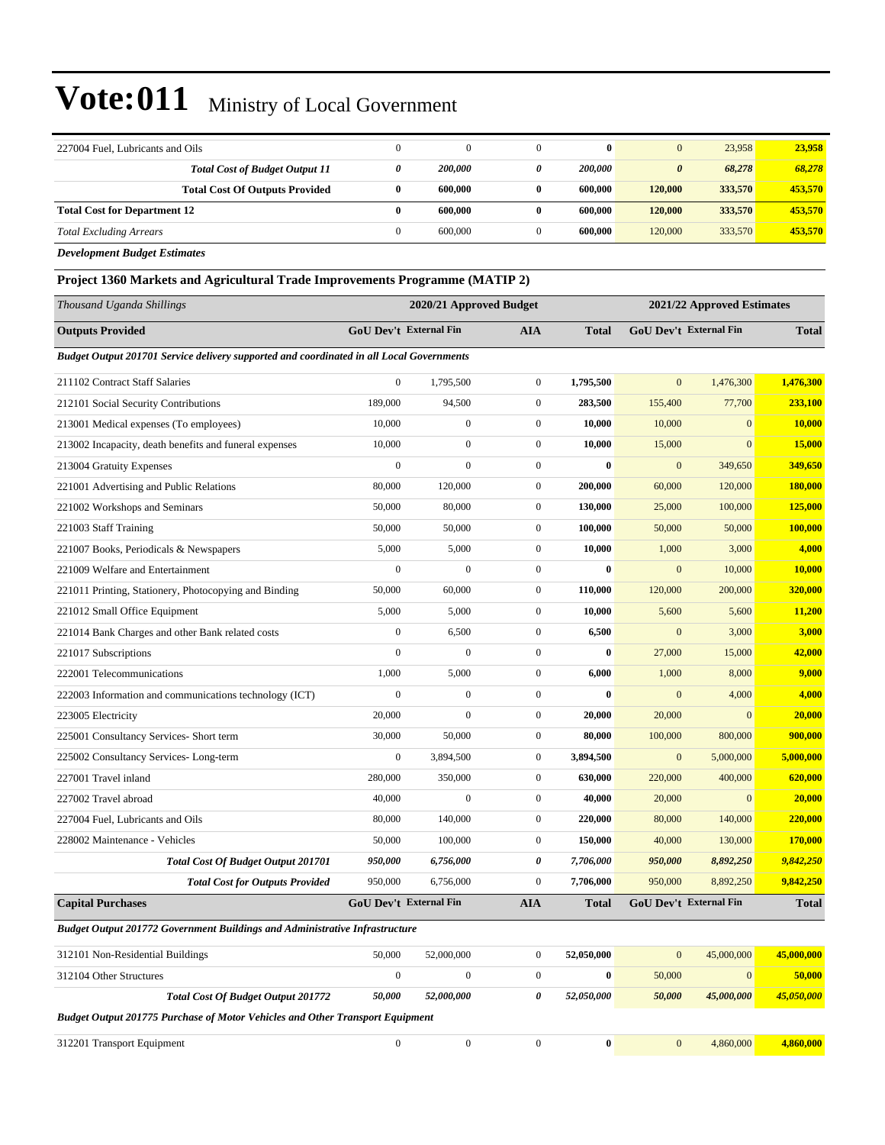| 227004 Fuel, Lubricants and Oils                                                                | $\boldsymbol{0}$              | $\mathbf{0}$            | $\mathbf{0}$          | $\bf{0}$     | $\boldsymbol{0}$       | 23,958                        | 23,958        |
|-------------------------------------------------------------------------------------------------|-------------------------------|-------------------------|-----------------------|--------------|------------------------|-------------------------------|---------------|
| <b>Total Cost of Budget Output 11</b>                                                           | 0                             | <i><b>200,000</b></i>   | 0                     | 200,000      | $\boldsymbol{\theta}$  | 68,278                        | 68,278        |
| <b>Total Cost Of Outputs Provided</b>                                                           | $\bf{0}$                      | 600,000                 | $\bf{0}$              | 600,000      | 120,000                | 333,570                       | 453,570       |
| <b>Total Cost for Department 12</b>                                                             | $\bf{0}$                      | 600,000                 | $\bf{0}$              | 600,000      | 120,000                | 333,570                       | 453,570       |
| <b>Total Excluding Arrears</b>                                                                  | $\boldsymbol{0}$              | 600,000                 | $\boldsymbol{0}$      | 600,000      | 120,000                | 333,570                       | 453,570       |
| <b>Development Budget Estimates</b>                                                             |                               |                         |                       |              |                        |                               |               |
| Project 1360 Markets and Agricultural Trade Improvements Programme (MATIP 2)                    |                               |                         |                       |              |                        |                               |               |
| Thousand Uganda Shillings                                                                       |                               | 2020/21 Approved Budget |                       |              |                        | 2021/22 Approved Estimates    |               |
| <b>Outputs Provided</b>                                                                         | <b>GoU Dev't External Fin</b> |                         | AIA                   | <b>Total</b> | GoU Dev't External Fin |                               | <b>Total</b>  |
| <b>Budget Output 201701 Service delivery supported and coordinated in all Local Governments</b> |                               |                         |                       |              |                        |                               |               |
| 211102 Contract Staff Salaries                                                                  | $\boldsymbol{0}$              | 1,795,500               | $\mathbf{0}$          | 1,795,500    | $\mathbf{0}$           | 1,476,300                     | 1,476,300     |
| 212101 Social Security Contributions                                                            | 189,000                       | 94,500                  | $\mathbf{0}$          | 283,500      | 155,400                | 77,700                        | 233,100       |
| 213001 Medical expenses (To employees)                                                          | 10,000                        | $\mathbf{0}$            | $\mathbf{0}$          | 10,000       | 10,000                 | $\overline{0}$                | 10,000        |
| 213002 Incapacity, death benefits and funeral expenses                                          | 10,000                        | $\boldsymbol{0}$        | $\mathbf{0}$          | 10,000       | 15,000                 | $\mathbf{0}$                  | <b>15,000</b> |
| 213004 Gratuity Expenses                                                                        | $\boldsymbol{0}$              | $\boldsymbol{0}$        | $\mathbf{0}$          | $\bf{0}$     | $\boldsymbol{0}$       | 349,650                       | 349,650       |
| 221001 Advertising and Public Relations                                                         | 80,000                        | 120,000                 | $\mathbf{0}$          | 200,000      | 60,000                 | 120,000                       | 180,000       |
| 221002 Workshops and Seminars                                                                   | 50,000                        | 80,000                  | $\mathbf{0}$          | 130,000      | 25,000                 | 100,000                       | 125,000       |
| 221003 Staff Training                                                                           | 50,000                        | 50,000                  | $\boldsymbol{0}$      | 100,000      | 50,000                 | 50,000                        | 100,000       |
| 221007 Books, Periodicals & Newspapers                                                          | 5,000                         | 5,000                   | $\mathbf{0}$          | 10,000       | 1,000                  | 3,000                         | 4,000         |
| 221009 Welfare and Entertainment                                                                | $\boldsymbol{0}$              | $\mathbf{0}$            | $\mathbf{0}$          | $\bf{0}$     | $\mathbf{0}$           | 10,000                        | 10,000        |
| 221011 Printing, Stationery, Photocopying and Binding                                           | 50,000                        | 60,000                  | $\mathbf{0}$          | 110,000      | 120,000                | 200,000                       | 320,000       |
| 221012 Small Office Equipment                                                                   | 5,000                         | 5,000                   | $\mathbf{0}$          | 10,000       | 5,600                  | 5,600                         | 11,200        |
| 221014 Bank Charges and other Bank related costs                                                | $\mathbf{0}$                  | 6,500                   | $\boldsymbol{0}$      | 6,500        | $\mathbf{0}$           | 3,000                         | 3,000         |
| 221017 Subscriptions                                                                            | $\boldsymbol{0}$              | $\mathbf{0}$            | $\mathbf{0}$          | $\bf{0}$     | 27,000                 | 15,000                        | 42,000        |
| 222001 Telecommunications                                                                       | 1,000                         | 5,000                   | $\mathbf{0}$          | 6,000        | 1,000                  | 8,000                         | 9,000         |
| 222003 Information and communications technology (ICT)                                          | $\boldsymbol{0}$              | $\mathbf{0}$            | $\boldsymbol{0}$      | $\bf{0}$     | $\mathbf{0}$           | 4,000                         | 4,000         |
| 223005 Electricity                                                                              | 20,000                        | $\mathbf{0}$            | $\mathbf{0}$          | 20,000       | 20,000                 | $\mathbf{0}$                  | 20,000        |
| 225001 Consultancy Services- Short term                                                         | 30,000                        | 50,000                  | $\boldsymbol{0}$      | 80,000       | 100,000                | 800,000                       | 900,000       |
| 225002 Consultancy Services-Long-term                                                           | $\boldsymbol{0}$              | 3,894,500               | $\boldsymbol{0}$      | 3,894,500    | $\mathbf{0}$           | 5,000,000                     | 5,000,000     |
| 227001 Travel inland                                                                            | 280,000                       | 350,000                 | $\mathbf{0}$          | 630,000      | 220,000                | 400,000                       | 620,000       |
| 227002 Travel abroad                                                                            | 40,000                        | $\boldsymbol{0}$        | $\boldsymbol{0}$      | 40,000       | 20,000                 | $\boldsymbol{0}$              | 20,000        |
| 227004 Fuel, Lubricants and Oils                                                                | 80,000                        | 140,000                 | $\boldsymbol{0}$      | 220,000      | 80,000                 | 140,000                       | 220,000       |
| 228002 Maintenance - Vehicles                                                                   | 50,000                        | 100,000                 | $\boldsymbol{0}$      | 150,000      | 40,000                 | 130,000                       | 170,000       |
| <b>Total Cost Of Budget Output 201701</b>                                                       | 950,000                       | 6,756,000               | $\boldsymbol{\theta}$ | 7,706,000    | 950,000                | 8,892,250                     | 9,842,250     |
| <b>Total Cost for Outputs Provided</b>                                                          | 950,000                       | 6,756,000               | $\mathbf{0}$          | 7,706,000    | 950,000                | 8,892,250                     | 9,842,250     |
| <b>Capital Purchases</b>                                                                        | <b>GoU Dev't External Fin</b> |                         | <b>AIA</b>            | <b>Total</b> |                        | <b>GoU Dev't External Fin</b> | <b>Total</b>  |
| <b>Budget Output 201772 Government Buildings and Administrative Infrastructure</b>              |                               |                         |                       |              |                        |                               |               |
| 312101 Non-Residential Buildings                                                                | 50,000                        | 52,000,000              | $\mathbf{0}$          | 52,050,000   | $\mathbf{0}$           | 45,000,000                    | 45,000,000    |
| 312104 Other Structures                                                                         | $\boldsymbol{0}$              | $\boldsymbol{0}$        | $\boldsymbol{0}$      | $\bf{0}$     | 50,000                 | $\boldsymbol{0}$              | 50,000        |
| <b>Total Cost Of Budget Output 201772</b>                                                       | 50,000                        | 52,000,000              | $\boldsymbol{\theta}$ | 52,050,000   | 50,000                 | 45,000,000                    | 45,050,000    |
| <b>Budget Output 201775 Purchase of Motor Vehicles and Other Transport Equipment</b>            |                               |                         |                       |              |                        |                               |               |
| 312201 Transport Equipment                                                                      | $\boldsymbol{0}$              | $\boldsymbol{0}$        | $\boldsymbol{0}$      | $\pmb{0}$    | $\mathbf{0}$           | 4,860,000                     | 4,860,000     |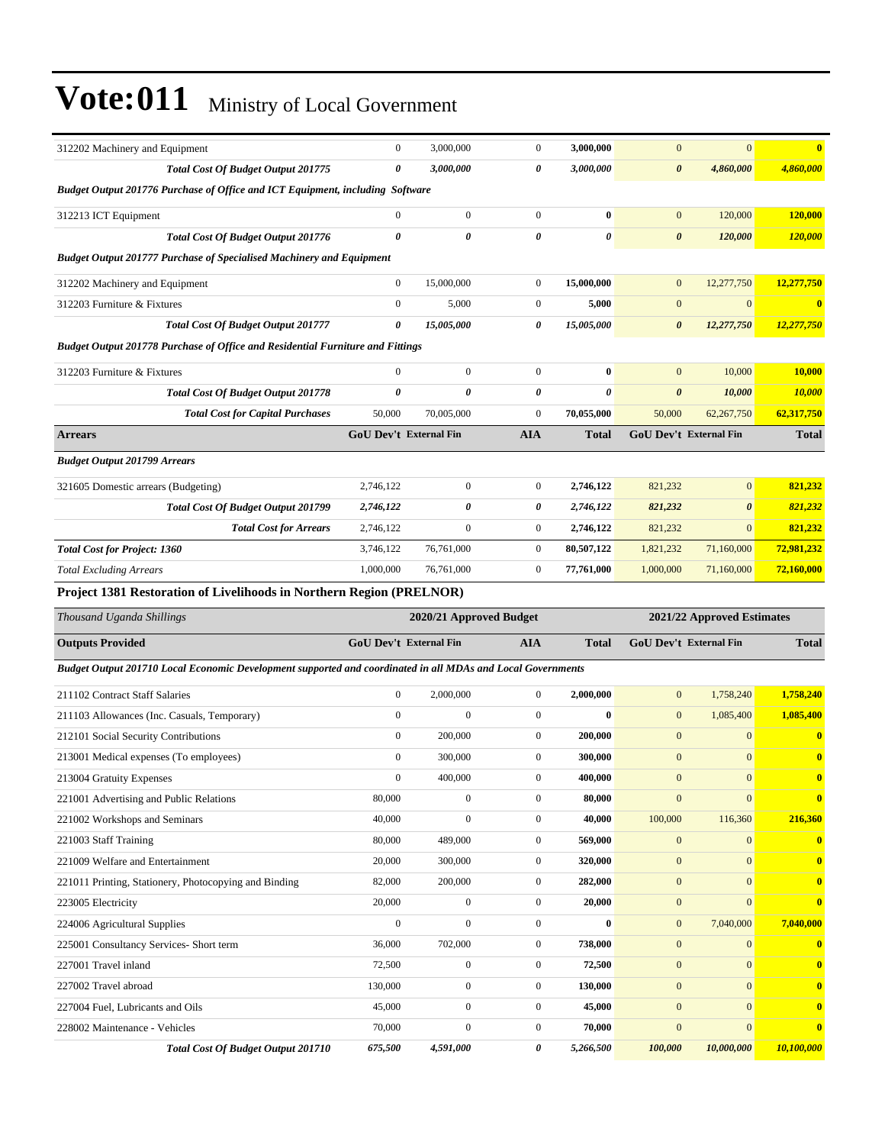| 312202 Machinery and Equipment                                                                              | $\boldsymbol{0}$       | 3,000,000                     | $\boldsymbol{0}$      | 3,000,000           | $\mathbf{0}$                | $\overline{0}$             | $\overline{\mathbf{0}}$                                                |
|-------------------------------------------------------------------------------------------------------------|------------------------|-------------------------------|-----------------------|---------------------|-----------------------------|----------------------------|------------------------------------------------------------------------|
| Total Cost Of Budget Output 201775                                                                          | 0                      | 3,000,000                     | 0                     | 3,000,000           | $\boldsymbol{\theta}$       | 4,860,000                  | 4,860,000                                                              |
| Budget Output 201776 Purchase of Office and ICT Equipment, including Software                               |                        |                               |                       |                     |                             |                            |                                                                        |
| 312213 ICT Equipment                                                                                        | $\boldsymbol{0}$       | $\overline{0}$                | $\boldsymbol{0}$      | $\bf{0}$            | $\mathbf{0}$                | 120,000                    | 120,000                                                                |
| Total Cost Of Budget Output 201776                                                                          | 0                      | $\theta$                      | $\theta$              | 0                   | $\boldsymbol{\theta}$       | 120,000                    | 120,000                                                                |
| <b>Budget Output 201777 Purchase of Specialised Machinery and Equipment</b>                                 |                        |                               |                       |                     |                             |                            |                                                                        |
| 312202 Machinery and Equipment                                                                              | $\boldsymbol{0}$       | 15,000,000                    | $\boldsymbol{0}$      | 15,000,000          | $\mathbf{0}$                | 12,277,750                 | 12,277,750                                                             |
| 312203 Furniture & Fixtures                                                                                 | $\boldsymbol{0}$       | 5,000                         | $\boldsymbol{0}$      | 5,000               | $\mathbf{0}$                | $\mathbf{0}$               | $\bf{0}$                                                               |
| <b>Total Cost Of Budget Output 201777</b>                                                                   | 0                      | 15,005,000                    | 0                     | 15,005,000          | 0                           | 12,277,750                 | 12,277,750                                                             |
| <b>Budget Output 201778 Purchase of Office and Residential Furniture and Fittings</b>                       |                        |                               |                       |                     |                             |                            |                                                                        |
| 312203 Furniture & Fixtures                                                                                 | $\boldsymbol{0}$       | $\mathbf{0}$                  | $\boldsymbol{0}$      | $\bf{0}$            | $\mathbf{0}$                | 10,000                     | 10,000                                                                 |
| Total Cost Of Budget Output 201778                                                                          | 0                      | 0                             | 0                     | 0                   | $\boldsymbol{\theta}$       | 10,000                     | 10,000                                                                 |
| <b>Total Cost for Capital Purchases</b>                                                                     | 50,000                 | 70,005,000                    | $\boldsymbol{0}$      | 70,055,000          | 50,000                      | 62,267,750                 | 62,317,750                                                             |
| <b>Arrears</b>                                                                                              | GoU Dev't External Fin |                               | <b>AIA</b>            | <b>Total</b>        |                             | GoU Dev't External Fin     | <b>Total</b>                                                           |
| <b>Budget Output 201799 Arrears</b>                                                                         |                        |                               |                       |                     |                             |                            |                                                                        |
| 321605 Domestic arrears (Budgeting)                                                                         | 2,746,122              | $\boldsymbol{0}$              | $\boldsymbol{0}$      | 2,746,122           | 821,232                     | $\mathbf{0}$               | 821.232                                                                |
| Total Cost Of Budget Output 201799                                                                          | 2,746,122              | 0                             | 0                     | 2,746,122           | 821,232                     | $\boldsymbol{\theta}$      | 821,232                                                                |
| <b>Total Cost for Arrears</b>                                                                               | 2,746,122              | $\mathbf{0}$                  | $\boldsymbol{0}$      | 2,746,122           | 821,232                     | $\mathbf{0}$               | 821,232                                                                |
| <b>Total Cost for Project: 1360</b>                                                                         | 3,746,122              | 76,761,000                    | $\boldsymbol{0}$      | 80,507,122          | 1,821,232                   | 71,160,000                 | 72,981,232                                                             |
| <b>Total Excluding Arrears</b>                                                                              | 1,000,000              | 76,761,000                    | $\overline{0}$        | 77,761,000          | 1,000,000                   | 71,160,000                 | 72,160,000                                                             |
| Project 1381 Restoration of Livelihoods in Northern Region (PRELNOR)                                        |                        |                               |                       |                     |                             |                            |                                                                        |
| Thousand Uganda Shillings                                                                                   |                        | 2020/21 Approved Budget       |                       |                     |                             | 2021/22 Approved Estimates |                                                                        |
|                                                                                                             | GoU Dev't External Fin |                               | <b>AIA</b>            | <b>Total</b>        |                             | GoU Dev't External Fin     | <b>Total</b>                                                           |
| <b>Outputs Provided</b>                                                                                     |                        |                               |                       |                     |                             |                            |                                                                        |
| Budget Output 201710 Local Economic Development supported and coordinated in all MDAs and Local Governments |                        |                               |                       |                     |                             |                            |                                                                        |
| 211102 Contract Staff Salaries                                                                              | $\boldsymbol{0}$       | 2,000,000                     | $\boldsymbol{0}$      | 2,000,000           | $\mathbf{0}$                | 1,758,240                  | 1,758,240                                                              |
| 211103 Allowances (Inc. Casuals, Temporary)                                                                 | $\boldsymbol{0}$       | $\boldsymbol{0}$              | $\boldsymbol{0}$      | $\bf{0}$            | $\mathbf{0}$                | 1,085,400                  | 1,085,400                                                              |
| 212101 Social Security Contributions                                                                        | $\boldsymbol{0}$       | 200,000                       | $\boldsymbol{0}$      | 200,000             | $\mathbf{0}$                | $\mathbf{0}$               | $\bf{0}$                                                               |
| 213001 Medical expenses (To employees)                                                                      | $\boldsymbol{0}$       | 300,000                       | $\boldsymbol{0}$      | 300,000             | $\mathbf{0}$                | $\mathbf{0}$               | $\bf{0}$                                                               |
| 213004 Gratuity Expenses                                                                                    | 0                      | 400,000                       | 0                     | 400,000             | $\mathbf{0}$                | $\mathbf{0}$               | $\bf{0}$                                                               |
| 221001 Advertising and Public Relations                                                                     | 80,000                 | $\boldsymbol{0}$              | $\boldsymbol{0}$      | 80,000              | $\overline{0}$              | $\mathbf{0}$               | $\bf{0}$                                                               |
| 221002 Workshops and Seminars                                                                               | 40,000                 | $\boldsymbol{0}$              | $\boldsymbol{0}$      | 40,000              | 100,000                     | 116,360                    | 216,360                                                                |
| 221003 Staff Training                                                                                       | 80,000                 | 489,000                       | $\boldsymbol{0}$      | 569,000             | $\mathbf{0}$                | $\mathbf{0}$               | $\bf{0}$                                                               |
| 221009 Welfare and Entertainment                                                                            | 20,000                 | 300,000                       | $\boldsymbol{0}$      | 320,000             | $\mathbf{0}$                | $\mathbf{0}$               | $\bf{0}$                                                               |
| 221011 Printing, Stationery, Photocopying and Binding                                                       | 82,000                 | 200,000                       | $\boldsymbol{0}$      | 282,000             | $\boldsymbol{0}$            | $\boldsymbol{0}$           | $\bf{0}$                                                               |
| 223005 Electricity                                                                                          | 20,000                 | $\boldsymbol{0}$              | $\boldsymbol{0}$      | 20,000              | $\boldsymbol{0}$            | $\boldsymbol{0}$           | $\bf{0}$                                                               |
|                                                                                                             |                        |                               | $\boldsymbol{0}$      | $\bf{0}$            | $\boldsymbol{0}$            |                            | 7,040,000                                                              |
| 224006 Agricultural Supplies                                                                                | $\boldsymbol{0}$       | $\boldsymbol{0}$              |                       |                     |                             | 7,040,000                  |                                                                        |
| 225001 Consultancy Services- Short term                                                                     | 36,000                 | 702,000                       | $\boldsymbol{0}$      | 738,000             | $\mathbf{0}$                | $\mathbf{0}$               |                                                                        |
| 227001 Travel inland                                                                                        | 72,500                 | $\boldsymbol{0}$              | $\boldsymbol{0}$      | 72,500              | $\mathbf{0}$                | $\boldsymbol{0}$           |                                                                        |
| 227002 Travel abroad                                                                                        | 130,000                | $\boldsymbol{0}$              | $\boldsymbol{0}$      | 130,000             | $\boldsymbol{0}$            | $\boldsymbol{0}$           |                                                                        |
| 227004 Fuel, Lubricants and Oils                                                                            | 45,000                 | $\boldsymbol{0}$              | $\boldsymbol{0}$      | 45,000              | $\boldsymbol{0}$            | $\mathbf{0}$               |                                                                        |
| 228002 Maintenance - Vehicles<br>Total Cost Of Budget Output 201710                                         | 70,000<br>675,500      | $\boldsymbol{0}$<br>4,591,000 | $\boldsymbol{0}$<br>0 | 70,000<br>5,266,500 | $\boldsymbol{0}$<br>100,000 | $\mathbf{0}$<br>10,000,000 | $\bf{0}$<br>$\bf{0}$<br>$\bf{0}$<br>$\bf{0}$<br>$\bf{0}$<br>10,100,000 |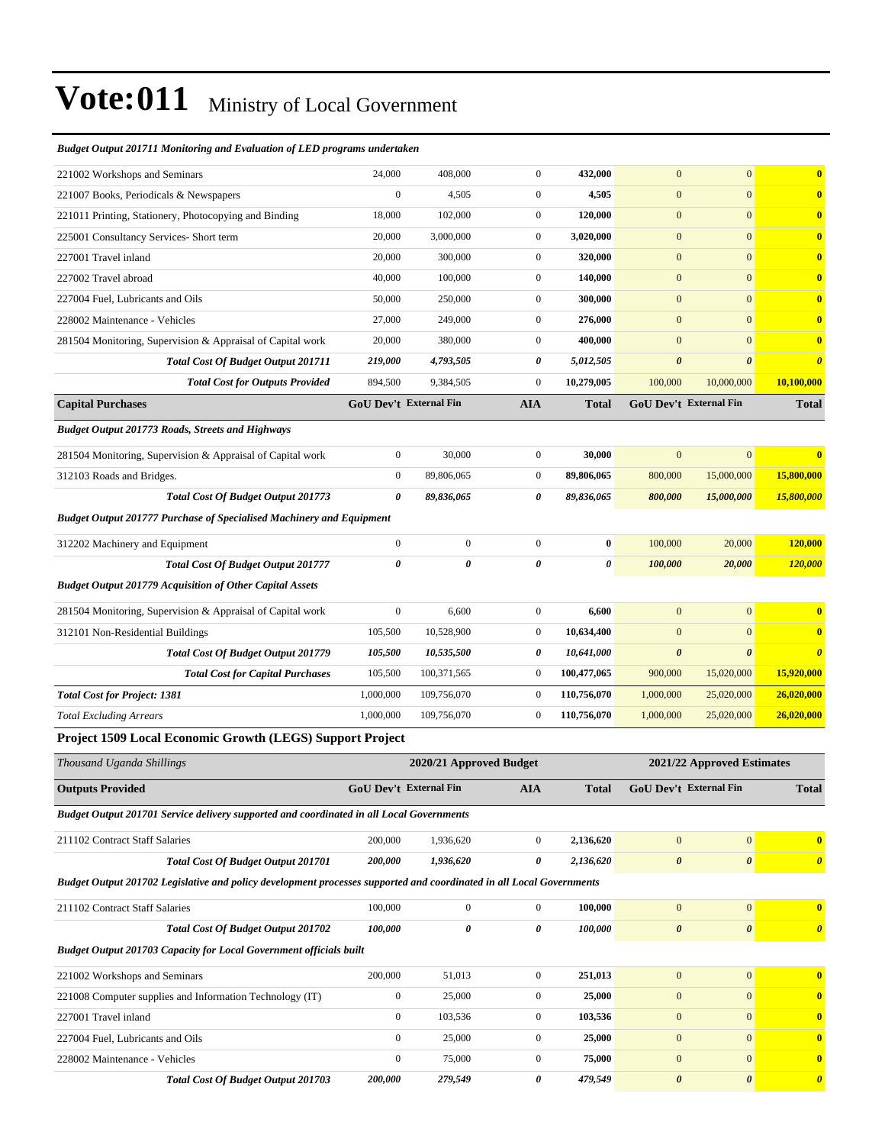#### *Budget Output 201711 Monitoring and Evaluation of LED programs undertaken*

| 221002 Workshops and Seminars                                                                                        | 24,000                | 408,000                       | $\boldsymbol{0}$ | 432,000      | $\mathbf{0}$          | $\mathbf{0}$                  | $\bf{0}$                |
|----------------------------------------------------------------------------------------------------------------------|-----------------------|-------------------------------|------------------|--------------|-----------------------|-------------------------------|-------------------------|
| 221007 Books, Periodicals & Newspapers                                                                               | $\boldsymbol{0}$      | 4,505                         | $\boldsymbol{0}$ | 4,505        | $\boldsymbol{0}$      | $\mathbf{0}$                  | $\bf{0}$                |
| 221011 Printing, Stationery, Photocopying and Binding                                                                | 18,000                | 102,000                       | $\boldsymbol{0}$ | 120,000      | $\mathbf{0}$          | $\mathbf{0}$                  | $\bf{0}$                |
| 225001 Consultancy Services- Short term                                                                              | 20,000                | 3,000,000                     | $\boldsymbol{0}$ | 3,020,000    | $\mathbf{0}$          | $\mathbf{0}$                  | $\bf{0}$                |
| 227001 Travel inland                                                                                                 | 20,000                | 300,000                       | $\boldsymbol{0}$ | 320,000      | $\boldsymbol{0}$      | $\mathbf{0}$                  | $\bf{0}$                |
| 227002 Travel abroad                                                                                                 | 40,000                | 100,000                       | $\boldsymbol{0}$ | 140,000      | $\mathbf{0}$          | $\mathbf{0}$                  | $\bf{0}$                |
| 227004 Fuel, Lubricants and Oils                                                                                     | 50,000                | 250,000                       | $\boldsymbol{0}$ | 300,000      | $\boldsymbol{0}$      | $\mathbf{0}$                  | $\bf{0}$                |
| 228002 Maintenance - Vehicles                                                                                        | 27,000                | 249,000                       | $\boldsymbol{0}$ | 276,000      | $\mathbf{0}$          | $\mathbf{0}$                  | $\bf{0}$                |
| 281504 Monitoring, Supervision & Appraisal of Capital work                                                           | 20,000                | 380,000                       | $\boldsymbol{0}$ | 400,000      | $\mathbf{0}$          | $\mathbf{0}$                  | $\bf{0}$                |
| <b>Total Cost Of Budget Output 201711</b>                                                                            | 219,000               | 4,793,505                     | 0                | 5,012,505    | $\boldsymbol{\theta}$ | $\boldsymbol{\theta}$         | $\boldsymbol{\theta}$   |
| <b>Total Cost for Outputs Provided</b>                                                                               | 894,500               | 9,384,505                     | $\boldsymbol{0}$ | 10,279,005   | 100,000               | 10,000,000                    | 10,100,000              |
| <b>Capital Purchases</b>                                                                                             |                       | <b>GoU Dev't External Fin</b> | <b>AIA</b>       | <b>Total</b> |                       | <b>GoU Dev't External Fin</b> | <b>Total</b>            |
| <b>Budget Output 201773 Roads, Streets and Highways</b>                                                              |                       |                               |                  |              |                       |                               |                         |
| 281504 Monitoring, Supervision & Appraisal of Capital work                                                           | $\boldsymbol{0}$      | 30,000                        | $\boldsymbol{0}$ | 30,000       | $\mathbf{0}$          | $\mathbf{0}$                  | $\overline{\mathbf{0}}$ |
| 312103 Roads and Bridges.                                                                                            | $\mathbf{0}$          | 89,806,065                    | $\boldsymbol{0}$ | 89,806,065   | 800,000               | 15,000,000                    | 15,800,000              |
| Total Cost Of Budget Output 201773                                                                                   | 0                     | 89,836,065                    | 0                | 89,836,065   | 800,000               | 15,000,000                    | 15,800,000              |
| <b>Budget Output 201777 Purchase of Specialised Machinery and Equipment</b>                                          |                       |                               |                  |              |                       |                               |                         |
| 312202 Machinery and Equipment                                                                                       | $\boldsymbol{0}$      | $\boldsymbol{0}$              | $\mathbf{0}$     | $\bf{0}$     | 100,000               | 20,000                        | 120,000                 |
| <b>Total Cost Of Budget Output 201777</b>                                                                            | $\boldsymbol{\theta}$ | 0                             | 0                | 0            | 100,000               | 20,000                        | 120,000                 |
| <b>Budget Output 201779 Acquisition of Other Capital Assets</b>                                                      |                       |                               |                  |              |                       |                               |                         |
| 281504 Monitoring, Supervision & Appraisal of Capital work                                                           | $\boldsymbol{0}$      | 6,600                         | $\boldsymbol{0}$ | 6,600        | $\boldsymbol{0}$      | $\boldsymbol{0}$              | $\bf{0}$                |
| 312101 Non-Residential Buildings                                                                                     | 105,500               | 10,528,900                    | $\boldsymbol{0}$ | 10,634,400   | $\mathbf{0}$          | $\mathbf{0}$                  | $\bf{0}$                |
| Total Cost Of Budget Output 201779                                                                                   | 105,500               | 10,535,500                    | 0                | 10,641,000   | $\boldsymbol{\theta}$ | $\boldsymbol{\theta}$         | $\boldsymbol{\theta}$   |
| <b>Total Cost for Capital Purchases</b>                                                                              | 105,500               | 100,371,565                   | $\boldsymbol{0}$ | 100,477,065  | 900,000               | 15,020,000                    | 15,920,000              |
| <b>Total Cost for Project: 1381</b>                                                                                  | 1,000,000             | 109,756,070                   | $\boldsymbol{0}$ | 110,756,070  | 1,000,000             | 25,020,000                    | 26,020,000              |
| <b>Total Excluding Arrears</b>                                                                                       | 1,000,000             | 109,756,070                   | $\boldsymbol{0}$ | 110,756,070  | 1,000,000             | 25,020,000                    | 26,020,000              |
| Project 1509 Local Economic Growth (LEGS) Support Project                                                            |                       |                               |                  |              |                       |                               |                         |
| Thousand Uganda Shillings                                                                                            |                       | 2020/21 Approved Budget       |                  |              |                       | 2021/22 Approved Estimates    |                         |
| <b>Outputs Provided</b>                                                                                              |                       | <b>GoU Dev't External Fin</b> | <b>AIA</b>       | <b>Total</b> |                       | GoU Dev't External Fin        | <b>Total</b>            |
| <b>Budget Output 201701 Service delivery supported and coordinated in all Local Governments</b>                      |                       |                               |                  |              |                       |                               |                         |
| 211102 Contract Staff Salaries                                                                                       | 200,000               | 1,936,620                     | $\boldsymbol{0}$ | 2,136,620    | $\mathbf{0}$          | $\mathbf{0}$                  | $\bf{0}$                |
| <b>Total Cost Of Budget Output 201701</b>                                                                            | 200,000               | 1,936,620                     | 0                | 2,136,620    | $\pmb{\theta}$        | $\boldsymbol{\theta}$         | $\boldsymbol{\theta}$   |
| Budget Output 201702 Legislative and policy development processes supported and coordinated in all Local Governments |                       |                               |                  |              |                       |                               |                         |
| 211102 Contract Staff Salaries                                                                                       | 100,000               | $\boldsymbol{0}$              | $\mathbf{0}$     | 100,000      | $\boldsymbol{0}$      | $\mathbf{0}$                  | $\bf{0}$                |
| <b>Total Cost Of Budget Output 201702</b>                                                                            | 100,000               | $\pmb{\theta}$                | 0                | 100,000      | $\pmb{\theta}$        | $\boldsymbol{\theta}$         | $\boldsymbol{\theta}$   |
| <b>Budget Output 201703 Capacity for Local Government officials built</b>                                            |                       |                               |                  |              |                       |                               |                         |
| 221002 Workshops and Seminars                                                                                        | 200,000               | 51,013                        | $\boldsymbol{0}$ | 251,013      | $\boldsymbol{0}$      | $\mathbf{0}$                  | $\bf{0}$                |
| 221008 Computer supplies and Information Technology (IT)                                                             | $\boldsymbol{0}$      | 25,000                        | $\boldsymbol{0}$ | 25,000       | $\boldsymbol{0}$      | $\mathbf{0}$                  | $\bf{0}$                |
| 227001 Travel inland                                                                                                 | $\mathbf{0}$          | 103,536                       | $\boldsymbol{0}$ | 103,536      | $\boldsymbol{0}$      | $\mathbf{0}$                  | $\bf{0}$                |
| 227004 Fuel, Lubricants and Oils                                                                                     | $\boldsymbol{0}$      | 25,000                        | $\boldsymbol{0}$ | 25,000       | $\boldsymbol{0}$      | $\mathbf{0}$                  | $\bf{0}$                |
| 228002 Maintenance - Vehicles                                                                                        | $\boldsymbol{0}$      | 75,000                        | $\boldsymbol{0}$ | 75,000       | $\boldsymbol{0}$      | $\mathbf{0}$                  | $\bf{0}$                |
|                                                                                                                      |                       |                               |                  |              |                       |                               |                         |

*Total Cost Of Budget Output 201703 200,000 279,549 0 479,549 0 0 0*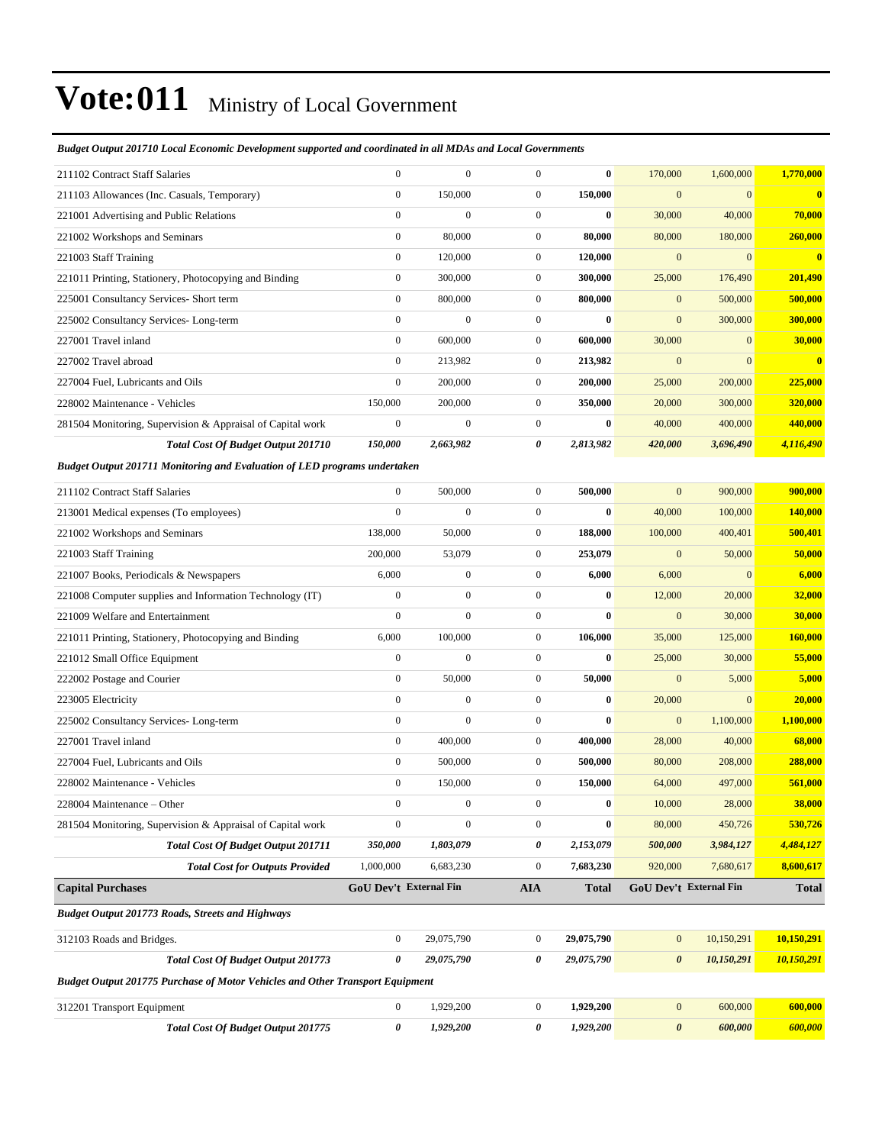#### *Budget Output 201710 Local Economic Development supported and coordinated in all MDAs and Local Governments*

| 211102 Contract Staff Salaries                                                       | $\mathbf{0}$     | $\mathbf{0}$           | $\boldsymbol{0}$ | $\bf{0}$     | 170,000               | 1,600,000              | 1,770,000      |
|--------------------------------------------------------------------------------------|------------------|------------------------|------------------|--------------|-----------------------|------------------------|----------------|
| 211103 Allowances (Inc. Casuals, Temporary)                                          | $\boldsymbol{0}$ | 150,000                | $\boldsymbol{0}$ | 150,000      | $\mathbf{0}$          | $\mathbf{0}$           | $\bf{0}$       |
| 221001 Advertising and Public Relations                                              | $\boldsymbol{0}$ | $\boldsymbol{0}$       | $\boldsymbol{0}$ | $\bf{0}$     | 30,000                | 40,000                 | 70,000         |
| 221002 Workshops and Seminars                                                        | $\boldsymbol{0}$ | 80,000                 | $\boldsymbol{0}$ | 80,000       | 80,000                | 180,000                | 260,000        |
| 221003 Staff Training                                                                | $\boldsymbol{0}$ | 120,000                | $\boldsymbol{0}$ | 120,000      | $\mathbf{0}$          | $\mathbf{0}$           | $\bf{0}$       |
| 221011 Printing, Stationery, Photocopying and Binding                                | $\boldsymbol{0}$ | 300,000                | $\boldsymbol{0}$ | 300,000      | 25,000                | 176,490                | 201,490        |
| 225001 Consultancy Services- Short term                                              | $\boldsymbol{0}$ | 800,000                | $\boldsymbol{0}$ | 800,000      | $\bf{0}$              | 500,000                | 500,000        |
| 225002 Consultancy Services-Long-term                                                | $\boldsymbol{0}$ | $\boldsymbol{0}$       | $\boldsymbol{0}$ | $\bf{0}$     | $\mathbf{0}$          | 300,000                | 300,000        |
| 227001 Travel inland                                                                 | $\boldsymbol{0}$ | 600,000                | $\boldsymbol{0}$ | 600,000      | 30,000                | $\mathbf{0}$           | 30,000         |
| 227002 Travel abroad                                                                 | $\mathbf{0}$     | 213,982                | $\boldsymbol{0}$ | 213,982      | $\mathbf{0}$          | $\overline{0}$         | $\bf{0}$       |
| 227004 Fuel, Lubricants and Oils                                                     | $\mathbf{0}$     | 200,000                | $\boldsymbol{0}$ | 200,000      | 25,000                | 200,000                | 225,000        |
| 228002 Maintenance - Vehicles                                                        | 150,000          | 200,000                | $\boldsymbol{0}$ | 350,000      | 20,000                | 300,000                | 320,000        |
| 281504 Monitoring, Supervision & Appraisal of Capital work                           | $\boldsymbol{0}$ | $\boldsymbol{0}$       | $\boldsymbol{0}$ | $\bf{0}$     | 40,000                | 400,000                | 440,000        |
| <b>Total Cost Of Budget Output 201710</b>                                            | 150,000          | 2,663,982              | 0                | 2,813,982    | 420,000               | 3,696,490              | 4,116,490      |
| <b>Budget Output 201711 Monitoring and Evaluation of LED programs undertaken</b>     |                  |                        |                  |              |                       |                        |                |
| 211102 Contract Staff Salaries                                                       | $\boldsymbol{0}$ | 500,000                | $\boldsymbol{0}$ | 500,000      | $\mathbf{0}$          | 900,000                | 900,000        |
| 213001 Medical expenses (To employees)                                               | $\boldsymbol{0}$ | $\boldsymbol{0}$       | $\boldsymbol{0}$ | $\bf{0}$     | 40,000                | 100,000                | 140,000        |
| 221002 Workshops and Seminars                                                        | 138,000          | 50,000                 | $\boldsymbol{0}$ | 188,000      | 100,000               | 400,401                | 500,401        |
| 221003 Staff Training                                                                | 200,000          | 53,079                 | $\boldsymbol{0}$ | 253,079      | $\mathbf{0}$          | 50,000                 | 50,000         |
| 221007 Books, Periodicals & Newspapers                                               | 6,000            | $\boldsymbol{0}$       | $\boldsymbol{0}$ | 6,000        | 6,000                 | $\mathbf{0}$           | 6,000          |
| 221008 Computer supplies and Information Technology (IT)                             | $\mathbf{0}$     | $\boldsymbol{0}$       | $\boldsymbol{0}$ | $\bf{0}$     | 12,000                | 20,000                 | 32,000         |
| 221009 Welfare and Entertainment                                                     | $\boldsymbol{0}$ | $\boldsymbol{0}$       | $\boldsymbol{0}$ | $\bf{0}$     | $\mathbf{0}$          | 30,000                 | 30,000         |
| 221011 Printing, Stationery, Photocopying and Binding                                | 6,000            | 100,000                | $\boldsymbol{0}$ | 106,000      | 35,000                | 125,000                | <b>160,000</b> |
| 221012 Small Office Equipment                                                        | $\boldsymbol{0}$ | $\overline{0}$         | $\boldsymbol{0}$ | $\bf{0}$     | 25,000                | 30,000                 | 55,000         |
| 222002 Postage and Courier                                                           | $\boldsymbol{0}$ | 50,000                 | $\boldsymbol{0}$ | 50,000       | $\mathbf{0}$          | 5,000                  | 5,000          |
| 223005 Electricity                                                                   | $\boldsymbol{0}$ | $\boldsymbol{0}$       | $\boldsymbol{0}$ | $\bf{0}$     | 20,000                | $\mathbf{0}$           | 20,000         |
| 225002 Consultancy Services-Long-term                                                | $\boldsymbol{0}$ | $\boldsymbol{0}$       | $\boldsymbol{0}$ | $\bf{0}$     | $\mathbf{0}$          | 1,100,000              | 1,100,000      |
| 227001 Travel inland                                                                 | $\boldsymbol{0}$ | 400,000                | $\boldsymbol{0}$ | 400,000      | 28,000                | 40,000                 | 68,000         |
| 227004 Fuel, Lubricants and Oils                                                     | $\boldsymbol{0}$ | 500,000                | $\boldsymbol{0}$ | 500,000      | 80,000                | 208,000                | 288,000        |
| 228002 Maintenance - Vehicles                                                        | $\boldsymbol{0}$ | 150,000                | $\boldsymbol{0}$ | 150,000      | 64,000                | 497,000                | 561,000        |
| 228004 Maintenance – Other                                                           | $\mathbf{0}$     | $\boldsymbol{0}$       | $\overline{0}$   | $\bf{0}$     | 10,000                | 28,000                 | 38,000         |
| 281504 Monitoring, Supervision & Appraisal of Capital work                           | $\boldsymbol{0}$ | $\boldsymbol{0}$       | $\boldsymbol{0}$ | $\bf{0}$     | 80,000                | 450,726                | 530,726        |
| Total Cost Of Budget Output 201711                                                   | 350,000          | 1,803,079              | 0                | 2,153,079    | 500,000               | 3,984,127              | 4,484,127      |
| <b>Total Cost for Outputs Provided</b>                                               | 1,000,000        | 6,683,230              | $\boldsymbol{0}$ | 7,683,230    | 920,000               | 7,680,617              | 8,600,617      |
| <b>Capital Purchases</b>                                                             |                  | GoU Dev't External Fin | <b>AIA</b>       | <b>Total</b> |                       | GoU Dev't External Fin | <b>Total</b>   |
| <b>Budget Output 201773 Roads, Streets and Highways</b>                              |                  |                        |                  |              |                       |                        |                |
| 312103 Roads and Bridges.                                                            | $\mathbf{0}$     | 29,075,790             | $\boldsymbol{0}$ | 29,075,790   | $\bf{0}$              | 10,150,291             | 10,150,291     |
| Total Cost Of Budget Output 201773                                                   | 0                | 29,075,790             | 0                | 29,075,790   | $\boldsymbol{\theta}$ | 10,150,291             | 10,150,291     |
| <b>Budget Output 201775 Purchase of Motor Vehicles and Other Transport Equipment</b> |                  |                        |                  |              |                       |                        |                |
|                                                                                      |                  |                        |                  |              |                       |                        |                |
| 312201 Transport Equipment                                                           | $\mathbf{0}$     | 1,929,200              | $\boldsymbol{0}$ | 1,929,200    | $\bf{0}$              | 600,000                | 600,000        |
| Total Cost Of Budget Output 201775                                                   | 0                | 1,929,200              | 0                | 1,929,200    | $\boldsymbol{\theta}$ | 600,000                | 600,000        |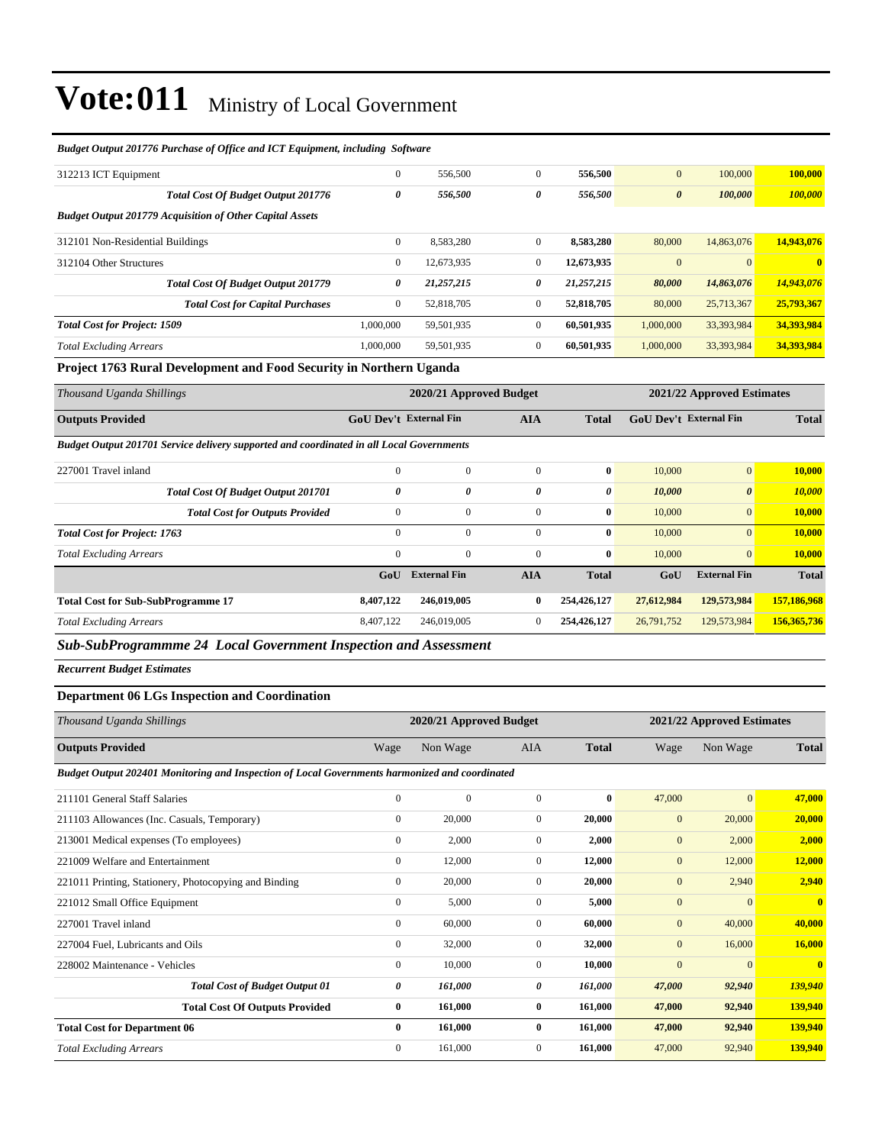| вшеги Ошриг 201770 Гинлизе од Однесина ICI Едифтен, пинанте зодичате       |              |            |                |            |                       |            |            |
|----------------------------------------------------------------------------|--------------|------------|----------------|------------|-----------------------|------------|------------|
| 312213 ICT Equipment                                                       | $\mathbf{0}$ | 556,500    | $\mathbf{0}$   | 556,500    | $\mathbf{0}$          | 100,000    | 100,000    |
| <b>Total Cost Of Budget Output 201776</b>                                  | 0            | 556,500    | 0              | 556,500    | $\boldsymbol{\theta}$ | 100,000    | 100,000    |
| <b>Budget Output 201779 Acquisition of Other Capital Assets</b>            |              |            |                |            |                       |            |            |
| 312101 Non-Residential Buildings                                           | $\mathbf{0}$ | 8,583,280  | $\mathbf{0}$   | 8,583,280  | 80,000                | 14,863,076 | 14,943,076 |
| 312104 Other Structures                                                    | $\mathbf{0}$ | 12,673,935 | $\overline{0}$ | 12,673,935 | $\mathbf{0}$          | $\Omega$   | $\bf{0}$   |
| <b>Total Cost Of Budget Output 201779</b>                                  | 0            | 21,257,215 | 0              | 21,257,215 | 80,000                | 14,863,076 | 14,943,076 |
| <b>Total Cost for Capital Purchases</b>                                    | $\mathbf{0}$ | 52,818,705 | $\overline{0}$ | 52,818,705 | 80,000                | 25,713,367 | 25,793,367 |
| <b>Total Cost for Project: 1509</b>                                        | 1,000,000    | 59,501,935 | $\mathbf{0}$   | 60,501,935 | 1,000,000             | 33,393,984 | 34,393,984 |
| <b>Total Excluding Arrears</b>                                             | 1.000.000    | 59,501,935 | $\overline{0}$ | 60,501,935 | 1,000,000             | 33,393,984 | 34,393,984 |
| <b>Project 1763 Rural Development and Food Security in Northern Hoanda</b> |              |            |                |            |                       |            |            |

#### *Budget Output 201776 Purchase of Office and ICT Equipment, including Software*

#### **Project 1763 Rural Development and Food Security in Northern Uganda**

| Thousand Uganda Shillings                                                                | 2020/21 Approved Budget<br>2021/22 Approved Estimates |                     |                |              |            |                               |              |
|------------------------------------------------------------------------------------------|-------------------------------------------------------|---------------------|----------------|--------------|------------|-------------------------------|--------------|
| <b>Outputs Provided</b>                                                                  | <b>GoU Dev't External Fin</b>                         |                     | <b>AIA</b>     | <b>Total</b> |            | <b>GoU Dev't External Fin</b> | <b>Total</b> |
| Budget Output 201701 Service delivery supported and coordinated in all Local Governments |                                                       |                     |                |              |            |                               |              |
| 227001 Travel inland                                                                     | $\mathbf{0}$                                          | $\mathbf{0}$        | $\overline{0}$ | $\bf{0}$     | 10,000     | $\vert 0 \vert$               | 10,000       |
| <b>Total Cost Of Budget Output 201701</b>                                                | 0                                                     | 0                   | 0              | 0            | 10,000     | $\boldsymbol{\theta}$         | 10,000       |
| <b>Total Cost for Outputs Provided</b>                                                   | $\mathbf{0}$                                          | $\mathbf{0}$        | $\overline{0}$ | $\bf{0}$     | 10,000     | $\mathbf{0}$                  | 10,000       |
| <b>Total Cost for Project: 1763</b>                                                      | $\mathbf{0}$                                          | $\mathbf{0}$        | $\Omega$       | $\bf{0}$     | 10,000     | $\vert 0 \vert$               | 10,000       |
| <b>Total Excluding Arrears</b>                                                           | $\mathbf{0}$                                          | $\mathbf{0}$        | $\overline{0}$ | $\bf{0}$     | 10,000     | $\mathbf{0}$                  | 10,000       |
|                                                                                          | GoU                                                   | <b>External Fin</b> | <b>AIA</b>     | <b>Total</b> | GoU        | <b>External Fin</b>           | <b>Total</b> |
| <b>Total Cost for Sub-SubProgramme 17</b>                                                | 8,407,122                                             | 246,019,005         | 0              | 254,426,127  | 27,612,984 | 129,573,984                   | 157,186,968  |
| <b>Total Excluding Arrears</b>                                                           | 8,407,122                                             | 246,019,005         | $\mathbf{0}$   | 254,426,127  | 26,791,752 | 129,573,984                   | 156,365,736  |
| - - -<br>____                                                                            |                                                       |                     |                |              |            |                               |              |

*Sub-SubProgrammme 24 Local Government Inspection and Assessment*

*Recurrent Budget Estimates*

#### **Department 06 LGs Inspection and Coordination**

| Thousand Uganda Shillings                                                                      |              | 2020/21 Approved Budget |                |              |              | 2021/22 Approved Estimates |                         |  |
|------------------------------------------------------------------------------------------------|--------------|-------------------------|----------------|--------------|--------------|----------------------------|-------------------------|--|
| <b>Outputs Provided</b>                                                                        | Wage         | Non Wage                | <b>AIA</b>     | <b>Total</b> | Wage         | Non Wage                   | <b>Total</b>            |  |
| Budget Output 202401 Monitoring and Inspection of Local Governments harmonized and coordinated |              |                         |                |              |              |                            |                         |  |
| 211101 General Staff Salaries                                                                  | $\mathbf{0}$ | $\mathbf{0}$            | $\mathbf{0}$   | $\bf{0}$     | 47,000       | $\overline{0}$             | 47,000                  |  |
| 211103 Allowances (Inc. Casuals, Temporary)                                                    | $\mathbf{0}$ | 20,000                  | $\overline{0}$ | 20,000       | $\mathbf{0}$ | 20,000                     | 20,000                  |  |
| 213001 Medical expenses (To employees)                                                         | $\mathbf{0}$ | 2,000                   | $\mathbf{0}$   | 2,000        | $\mathbf{0}$ | 2,000                      | 2,000                   |  |
| 221009 Welfare and Entertainment                                                               | $\mathbf{0}$ | 12,000                  | $\mathbf{0}$   | 12,000       | $\mathbf{0}$ | 12,000                     | 12,000                  |  |
| 221011 Printing, Stationery, Photocopying and Binding                                          | $\mathbf{0}$ | 20,000                  | $\Omega$       | 20,000       | $\mathbf{0}$ | 2,940                      | 2,940                   |  |
| 221012 Small Office Equipment                                                                  | $\mathbf{0}$ | 5,000                   | $\mathbf{0}$   | 5,000        | $\mathbf{0}$ | $\overline{0}$             | $\overline{\mathbf{0}}$ |  |
| 227001 Travel inland                                                                           | $\mathbf{0}$ | 60,000                  | $\mathbf{0}$   | 60.000       | $\mathbf{0}$ | 40,000                     | 40,000                  |  |
| 227004 Fuel, Lubricants and Oils                                                               | $\Omega$     | 32,000                  | $\Omega$       | 32,000       | $\mathbf{0}$ | 16,000                     | 16,000                  |  |
| 228002 Maintenance - Vehicles                                                                  | $\mathbf{0}$ | 10,000                  | $\Omega$       | 10,000       | $\mathbf{0}$ | $\overline{0}$             | $\mathbf{0}$            |  |
| <b>Total Cost of Budget Output 01</b>                                                          | 0            | 161,000                 | 0              | 161,000      | 47,000       | 92,940                     | 139,940                 |  |
| <b>Total Cost Of Outputs Provided</b>                                                          | $\bf{0}$     | 161,000                 | $\bf{0}$       | 161,000      | 47,000       | 92,940                     | 139,940                 |  |
| <b>Total Cost for Department 06</b>                                                            | $\bf{0}$     | 161,000                 | $\bf{0}$       | 161,000      | 47,000       | 92,940                     | 139,940                 |  |
| <b>Total Excluding Arrears</b>                                                                 | $\mathbf{0}$ | 161,000                 | $\mathbf{0}$   | 161,000      | 47,000       | 92,940                     | 139,940                 |  |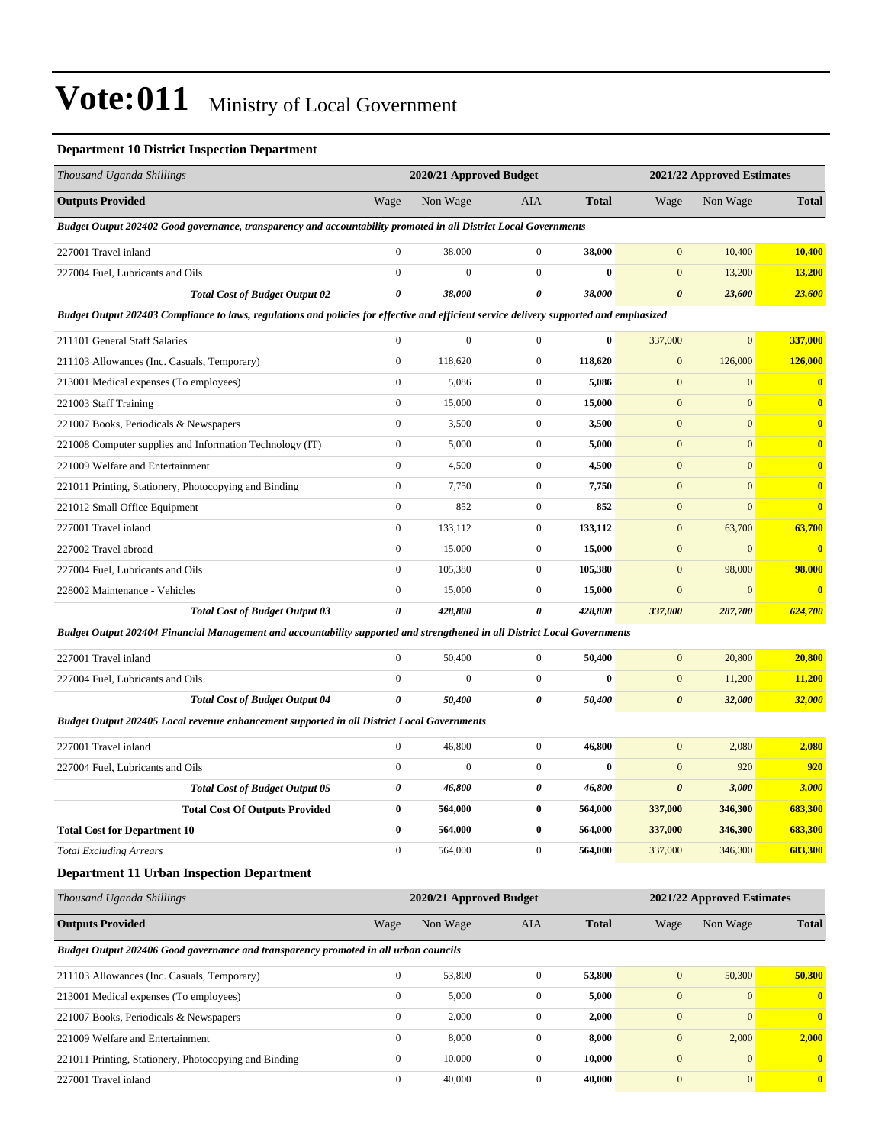### **Department 10 District Inspection Department**

| Thousand Uganda Shillings                                                                                                               |                       | 2020/21 Approved Budget |                  |              |                       | 2021/22 Approved Estimates |                |
|-----------------------------------------------------------------------------------------------------------------------------------------|-----------------------|-------------------------|------------------|--------------|-----------------------|----------------------------|----------------|
| <b>Outputs Provided</b>                                                                                                                 | Wage                  | Non Wage                | <b>AIA</b>       | <b>Total</b> | Wage                  | Non Wage                   | <b>Total</b>   |
| Budget Output 202402 Good governance, transparency and accountability promoted in all District Local Governments                        |                       |                         |                  |              |                       |                            |                |
| 227001 Travel inland                                                                                                                    | $\mathbf{0}$          | 38,000                  | $\overline{0}$   | 38,000       | $\mathbf{0}$          | 10,400                     | <b>10,400</b>  |
| 227004 Fuel, Lubricants and Oils                                                                                                        | $\mathbf{0}$          | $\overline{0}$          | $\overline{0}$   | $\bf{0}$     | $\mathbf{0}$          | 13,200                     | 13,200         |
| <b>Total Cost of Budget Output 02</b>                                                                                                   | $\boldsymbol{\theta}$ | 38,000                  | 0                | 38,000       | $\boldsymbol{\theta}$ | 23,600                     | 23,600         |
| Budget Output 202403 Compliance to laws, regulations and policies for effective and efficient service delivery supported and emphasized |                       |                         |                  |              |                       |                            |                |
| 211101 General Staff Salaries                                                                                                           | $\boldsymbol{0}$      | $\mathbf{0}$            | $\mathbf{0}$     | $\bf{0}$     | 337,000               | $\mathbf{0}$               | 337,000        |
| 211103 Allowances (Inc. Casuals, Temporary)                                                                                             | $\boldsymbol{0}$      | 118,620                 | $\mathbf{0}$     | 118,620      | $\mathbf{0}$          | 126,000                    | 126,000        |
| 213001 Medical expenses (To employees)                                                                                                  | $\boldsymbol{0}$      | 5,086                   | $\mathbf{0}$     | 5,086        | $\mathbf{0}$          | $\boldsymbol{0}$           | $\bf{0}$       |
| 221003 Staff Training                                                                                                                   | $\boldsymbol{0}$      | 15,000                  | $\mathbf{0}$     | 15,000       | $\mathbf{0}$          | $\mathbf{0}$               | $\bf{0}$       |
| 221007 Books, Periodicals & Newspapers                                                                                                  | $\boldsymbol{0}$      | 3,500                   | $\boldsymbol{0}$ | 3,500        | $\mathbf{0}$          | $\mathbf{0}$               | $\bf{0}$       |
| 221008 Computer supplies and Information Technology (IT)                                                                                | $\boldsymbol{0}$      | 5,000                   | $\mathbf{0}$     | 5,000        | $\mathbf{0}$          | $\mathbf{0}$               | $\bf{0}$       |
| 221009 Welfare and Entertainment                                                                                                        | $\boldsymbol{0}$      | 4,500                   | $\mathbf{0}$     | 4,500        | $\mathbf{0}$          | $\mathbf{0}$               | $\bf{0}$       |
| 221011 Printing, Stationery, Photocopying and Binding                                                                                   | $\boldsymbol{0}$      | 7,750                   | $\mathbf{0}$     | 7,750        | $\mathbf{0}$          | $\mathbf{0}$               | $\bf{0}$       |
| 221012 Small Office Equipment                                                                                                           | $\boldsymbol{0}$      | 852                     | $\mathbf{0}$     | 852          | $\mathbf{0}$          | $\mathbf{0}$               | $\bf{0}$       |
| 227001 Travel inland                                                                                                                    | $\boldsymbol{0}$      | 133,112                 | $\boldsymbol{0}$ | 133,112      | $\mathbf{0}$          | 63,700                     | 63,700         |
| 227002 Travel abroad                                                                                                                    | $\mathbf{0}$          | 15,000                  | $\boldsymbol{0}$ | 15,000       | $\mathbf{0}$          | $\mathbf{0}$               | $\mathbf{0}$   |
| 227004 Fuel, Lubricants and Oils                                                                                                        | $\boldsymbol{0}$      | 105,380                 | $\mathbf{0}$     | 105,380      | $\mathbf{0}$          | 98,000                     | 98,000         |
| 228002 Maintenance - Vehicles                                                                                                           | $\boldsymbol{0}$      | 15,000                  | $\mathbf{0}$     | 15,000       | $\mathbf{0}$          | $\boldsymbol{0}$           | $\bf{0}$       |
| <b>Total Cost of Budget Output 03</b>                                                                                                   | $\boldsymbol{\theta}$ | 428,800                 | 0                | 428,800      | 337,000               | 287,700                    | 624,700        |
| Budget Output 202404 Financial Management and accountability supported and strengthened in all District Local Governments               |                       |                         |                  |              |                       |                            |                |
| 227001 Travel inland                                                                                                                    | $\boldsymbol{0}$      | 50,400                  | $\boldsymbol{0}$ | 50,400       | $\mathbf{0}$          | 20,800                     | 20,800         |
| 227004 Fuel, Lubricants and Oils                                                                                                        | $\boldsymbol{0}$      | $\boldsymbol{0}$        | $\mathbf{0}$     | $\bf{0}$     | $\mathbf{0}$          | 11,200                     | 11,200         |
| <b>Total Cost of Budget Output 04</b>                                                                                                   | 0                     | 50,400                  | 0                | 50,400       | $\boldsymbol{\theta}$ | 32,000                     | 32,000         |
| Budget Output 202405 Local revenue enhancement supported in all District Local Governments                                              |                       |                         |                  |              |                       |                            |                |
| 227001 Travel inland                                                                                                                    | $\mathbf{0}$          | 46,800                  | $\boldsymbol{0}$ | 46,800       | $\mathbf{0}$          | 2,080                      | 2,080          |
| 227004 Fuel, Lubricants and Oils                                                                                                        | $\boldsymbol{0}$      | $\boldsymbol{0}$        | $\overline{0}$   | $\bf{0}$     | $\boldsymbol{0}$      | 920                        | 920            |
| <b>Total Cost of Budget Output 05</b>                                                                                                   | 0                     | 46,800                  | 0                | 46,800       | $\boldsymbol{\theta}$ | 3,000                      | 3,000          |
| <b>Total Cost Of Outputs Provided</b>                                                                                                   | $\bf{0}$              | 564,000                 | $\bf{0}$         | 564,000      | 337,000               | 346,300                    | <b>683,300</b> |
| <b>Total Cost for Department 10</b>                                                                                                     | $\bf{0}$              | 564,000                 | $\bf{0}$         | 564,000      | 337,000               | 346,300                    | 683,300        |
| <b>Total Excluding Arrears</b>                                                                                                          | $\boldsymbol{0}$      | 564,000                 | $\boldsymbol{0}$ | 564,000      | 337,000               | 346,300                    | 683,300        |
| <b>Department 11 Urban Inspection Department</b>                                                                                        |                       |                         |                  |              |                       |                            |                |
| Thousand Uganda Shillings                                                                                                               |                       | 2020/21 Approved Budget |                  |              |                       | 2021/22 Approved Estimates |                |
| <b>Outputs Provided</b>                                                                                                                 | Wage                  | Non Wage                | AIA              | <b>Total</b> | Wage                  | Non Wage                   | <b>Total</b>   |
| Budget Output 202406 Good governance and transparency promoted in all urban councils                                                    |                       |                         |                  |              |                       |                            |                |
| 211103 Allowances (Inc. Casuals, Temporary)                                                                                             | $\boldsymbol{0}$      | 53,800                  | $\boldsymbol{0}$ | 53,800       | $\boldsymbol{0}$      | 50,300                     | 50,300         |
| 213001 Medical expenses (To employees)                                                                                                  | $\boldsymbol{0}$      | 5,000                   | $\boldsymbol{0}$ | 5,000        | $\mathbf{0}$          | $\mathbf{0}$               | $\mathbf{0}$   |
| 221007 Books, Periodicals & Newspapers                                                                                                  | $\boldsymbol{0}$      | 2,000                   | $\boldsymbol{0}$ | 2,000        | $\boldsymbol{0}$      | $\mathbf{0}$               | $\mathbf{0}$   |
| 221009 Welfare and Entertainment                                                                                                        | $\boldsymbol{0}$      | 8,000                   | $\boldsymbol{0}$ | 8,000        | $\boldsymbol{0}$      | 2,000                      | 2,000          |
| 221011 Printing, Stationery, Photocopying and Binding                                                                                   | $\boldsymbol{0}$      | 10,000                  | $\boldsymbol{0}$ | 10,000       | $\boldsymbol{0}$      | $\mathbf{0}$               | $\bf{0}$       |
| 227001 Travel inland                                                                                                                    | $\boldsymbol{0}$      | 40,000                  | $\boldsymbol{0}$ | 40,000       | $\boldsymbol{0}$      | $\boldsymbol{0}$           | $\bf{0}$       |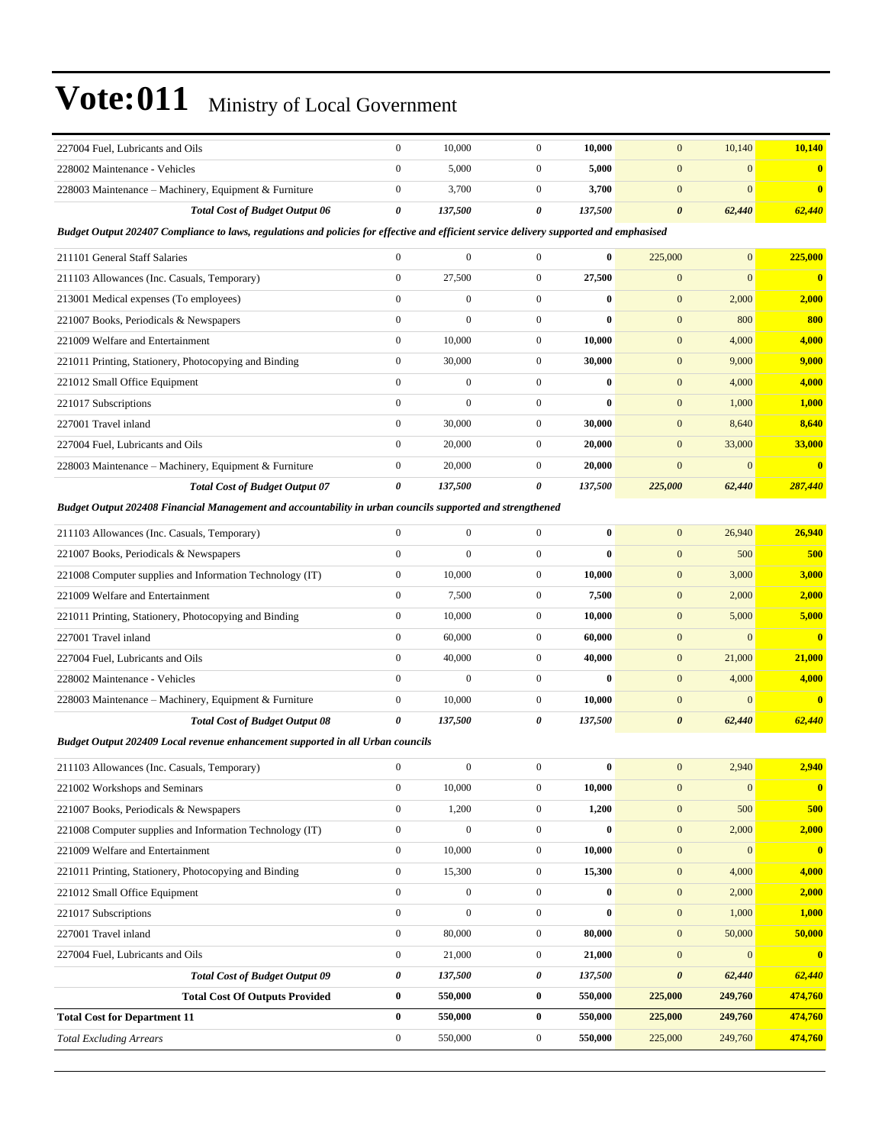| 227004 Fuel, Lubricants and Oils                                                                                                        | $\boldsymbol{0}$ | 10,000           | $\boldsymbol{0}$ | 10,000   | $\boldsymbol{0}$      | 10,140       | 10,140                  |
|-----------------------------------------------------------------------------------------------------------------------------------------|------------------|------------------|------------------|----------|-----------------------|--------------|-------------------------|
| 228002 Maintenance - Vehicles                                                                                                           | $\mathbf{0}$     | 5,000            | $\mathbf{0}$     | 5,000    | $\overline{0}$        | $\mathbf{0}$ | $\bf{0}$                |
| 228003 Maintenance - Machinery, Equipment & Furniture                                                                                   | $\boldsymbol{0}$ | 3,700            | $\boldsymbol{0}$ | 3,700    | $\overline{0}$        | $\mathbf{0}$ | $\bf{0}$                |
| <b>Total Cost of Budget Output 06</b>                                                                                                   | 0                | 137,500          | 0                | 137,500  | $\pmb{\theta}$        | 62,440       | 62,440                  |
| Budget Output 202407 Compliance to laws, regulations and policies for effective and efficient service delivery supported and emphasised |                  |                  |                  |          |                       |              |                         |
| 211101 General Staff Salaries                                                                                                           | $\boldsymbol{0}$ | $\mathbf{0}$     | $\mathbf{0}$     | 0        | 225,000               | $\mathbf{0}$ | 225,000                 |
| 211103 Allowances (Inc. Casuals, Temporary)                                                                                             | $\boldsymbol{0}$ | 27,500           | $\boldsymbol{0}$ | 27,500   | $\boldsymbol{0}$      | $\mathbf{0}$ | $\bf{0}$                |
| 213001 Medical expenses (To employees)                                                                                                  | $\mathbf{0}$     | $\boldsymbol{0}$ | $\boldsymbol{0}$ | $\bf{0}$ | $\boldsymbol{0}$      | 2,000        | 2,000                   |
| 221007 Books, Periodicals & Newspapers                                                                                                  | $\mathbf{0}$     | $\mathbf{0}$     | $\boldsymbol{0}$ | 0        | $\boldsymbol{0}$      | 800          | 800                     |
| 221009 Welfare and Entertainment                                                                                                        | $\mathbf{0}$     | 10,000           | $\boldsymbol{0}$ | 10,000   | $\boldsymbol{0}$      | 4,000        | 4,000                   |
| 221011 Printing, Stationery, Photocopying and Binding                                                                                   | $\boldsymbol{0}$ | 30,000           | $\boldsymbol{0}$ | 30,000   | $\boldsymbol{0}$      | 9,000        | 9,000                   |
| 221012 Small Office Equipment                                                                                                           | $\mathbf{0}$     | $\boldsymbol{0}$ | $\boldsymbol{0}$ | $\bf{0}$ | $\boldsymbol{0}$      | 4,000        | 4,000                   |
| 221017 Subscriptions                                                                                                                    | $\mathbf{0}$     | $\boldsymbol{0}$ | $\boldsymbol{0}$ | 0        | $\boldsymbol{0}$      | 1,000        | 1,000                   |
| 227001 Travel inland                                                                                                                    | $\boldsymbol{0}$ | 30,000           | $\boldsymbol{0}$ | 30,000   | $\mathbf{0}$          | 8,640        | 8,640                   |
| 227004 Fuel, Lubricants and Oils                                                                                                        | $\mathbf{0}$     | 20,000           | $\boldsymbol{0}$ | 20,000   | $\mathbf{0}$          | 33,000       | 33,000                  |
| 228003 Maintenance – Machinery, Equipment & Furniture                                                                                   | $\boldsymbol{0}$ | 20,000           | $\boldsymbol{0}$ | 20,000   | $\overline{0}$        | $\mathbf{0}$ | $\mathbf{0}$            |
| <b>Total Cost of Budget Output 07</b>                                                                                                   | 0                | 137,500          | 0                | 137,500  | 225,000               | 62,440       | 287,440                 |
| Budget Output 202408 Financial Management and accountability in urban councils supported and strengthened                               |                  |                  |                  |          |                       |              |                         |
| 211103 Allowances (Inc. Casuals, Temporary)                                                                                             | $\mathbf{0}$     | $\mathbf{0}$     | $\mathbf{0}$     | $\bf{0}$ | $\boldsymbol{0}$      | 26,940       | 26,940                  |
| 221007 Books, Periodicals & Newspapers                                                                                                  | $\mathbf{0}$     | $\mathbf{0}$     | $\boldsymbol{0}$ | 0        | $\mathbf{0}$          | 500          | 500                     |
| 221008 Computer supplies and Information Technology (IT)                                                                                | $\boldsymbol{0}$ | 10,000           | $\boldsymbol{0}$ | 10,000   | $\mathbf{0}$          | 3,000        | <b>3,000</b>            |
| 221009 Welfare and Entertainment                                                                                                        | $\boldsymbol{0}$ | 7,500            | $\boldsymbol{0}$ | 7,500    | $\boldsymbol{0}$      | 2,000        | 2,000                   |
| 221011 Printing, Stationery, Photocopying and Binding                                                                                   | $\mathbf{0}$     | 10,000           | $\overline{0}$   | 10,000   | $\boldsymbol{0}$      | 5,000        | 5,000                   |
| 227001 Travel inland                                                                                                                    | $\mathbf{0}$     | 60,000           | $\boldsymbol{0}$ | 60,000   | $\mathbf{0}$          | $\mathbf{0}$ | $\overline{\mathbf{0}}$ |
| 227004 Fuel, Lubricants and Oils                                                                                                        | $\mathbf{0}$     | 40,000           | $\boldsymbol{0}$ | 40,000   | $\boldsymbol{0}$      | 21,000       | 21,000                  |
| 228002 Maintenance - Vehicles                                                                                                           | $\mathbf{0}$     | $\boldsymbol{0}$ | $\boldsymbol{0}$ | $\bf{0}$ | $\mathbf{0}$          | 4,000        | 4,000                   |
| 228003 Maintenance – Machinery, Equipment & Furniture                                                                                   | $\boldsymbol{0}$ | 10,000           | $\boldsymbol{0}$ | 10,000   | $\boldsymbol{0}$      | $\mathbf{0}$ | $\mathbf{0}$            |
| <b>Total Cost of Budget Output 08</b>                                                                                                   | 0                | 137,500          | 0                | 137,500  | $\boldsymbol{\theta}$ | 62,440       | 62,440                  |
| Budget Output 202409 Local revenue enhancement supported in all Urban councils                                                          |                  |                  |                  |          |                       |              |                         |
| 211103 Allowances (Inc. Casuals, Temporary)                                                                                             | $\boldsymbol{0}$ | $\boldsymbol{0}$ | $\boldsymbol{0}$ | 0        | $\overline{0}$        | 2,940        | 2,940                   |
| 221002 Workshops and Seminars                                                                                                           | $\boldsymbol{0}$ | 10,000           | 0                | 10,000   | $\mathbf{0}$          | $\mathbf{0}$ |                         |
| 221007 Books, Periodicals & Newspapers                                                                                                  | $\boldsymbol{0}$ | 1,200            | $\boldsymbol{0}$ | 1,200    | $\boldsymbol{0}$      | 500          | 500                     |
| 221008 Computer supplies and Information Technology (IT)                                                                                | $\boldsymbol{0}$ | $\boldsymbol{0}$ | $\boldsymbol{0}$ | $\bf{0}$ | $\boldsymbol{0}$      | 2,000        | 2,000                   |
| 221009 Welfare and Entertainment                                                                                                        | $\boldsymbol{0}$ | 10,000           | $\boldsymbol{0}$ | 10,000   | $\boldsymbol{0}$      | $\mathbf{0}$ | $\bf{0}$                |
| 221011 Printing, Stationery, Photocopying and Binding                                                                                   | $\boldsymbol{0}$ | 15,300           | $\boldsymbol{0}$ | 15,300   | $\boldsymbol{0}$      | 4,000        | 4,000                   |
| 221012 Small Office Equipment                                                                                                           | $\boldsymbol{0}$ | $\boldsymbol{0}$ | $\boldsymbol{0}$ | $\bf{0}$ | $\boldsymbol{0}$      | 2,000        | 2,000                   |
| 221017 Subscriptions                                                                                                                    | $\boldsymbol{0}$ | $\boldsymbol{0}$ | $\boldsymbol{0}$ | $\bf{0}$ | $\mathbf{0}$          | 1,000        | 1,000                   |
| 227001 Travel inland                                                                                                                    | $\boldsymbol{0}$ | 80,000           | $\boldsymbol{0}$ | 80,000   | $\boldsymbol{0}$      | 50,000       | 50,000                  |
| 227004 Fuel, Lubricants and Oils                                                                                                        | $\boldsymbol{0}$ | 21,000           | $\boldsymbol{0}$ | 21,000   | $\boldsymbol{0}$      | $\mathbf{0}$ | $\bf{0}$                |
| <b>Total Cost of Budget Output 09</b>                                                                                                   | 0                | 137,500          | 0                | 137,500  | $\boldsymbol{\theta}$ | 62,440       | 62,440                  |
| <b>Total Cost Of Outputs Provided</b>                                                                                                   | $\pmb{0}$        | 550,000          | $\bf{0}$         | 550,000  | 225,000               | 249,760      | 474,760                 |
| <b>Total Cost for Department 11</b>                                                                                                     | $\bf{0}$         | 550,000          | $\bf{0}$         | 550,000  | 225,000               | 249,760      | 474,760                 |
| <b>Total Excluding Arrears</b>                                                                                                          | $\boldsymbol{0}$ | 550,000          | $\boldsymbol{0}$ | 550,000  | 225,000               | 249,760      | 474,760                 |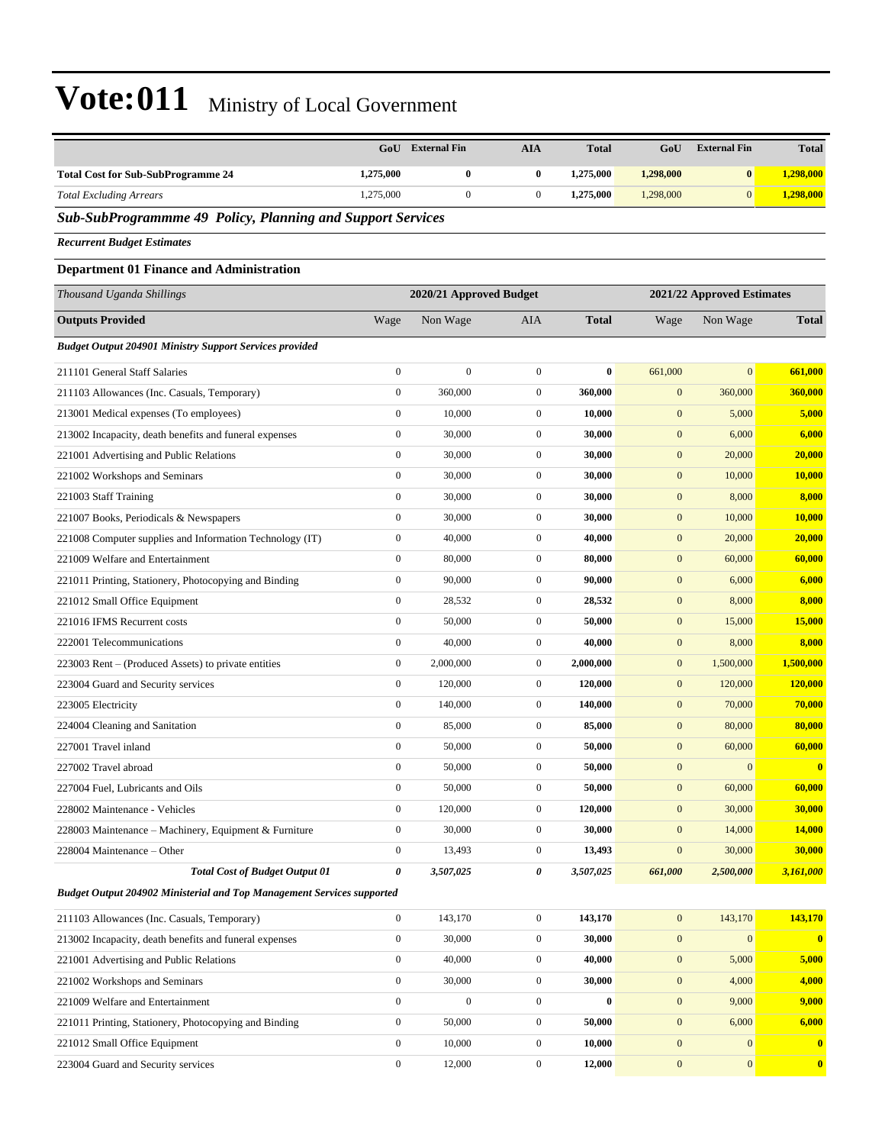|                                                                        | GoU              | <b>External Fin</b>     | <b>AIA</b>       | <b>Total</b> | GoU              | <b>External Fin</b>        | <b>Total</b>            |
|------------------------------------------------------------------------|------------------|-------------------------|------------------|--------------|------------------|----------------------------|-------------------------|
| <b>Total Cost for Sub-SubProgramme 24</b>                              | 1,275,000        | $\bf{0}$                | $\bf{0}$         | 1,275,000    | 1,298,000        | $\bf{0}$                   | 1,298,000               |
| <b>Total Excluding Arrears</b>                                         | 1,275,000        | $\mathbf{0}$            | $\boldsymbol{0}$ | 1,275,000    | 1,298,000        | $\mathbf{0}$               | 1,298,000               |
| Sub-SubProgrammme 49 Policy, Planning and Support Services             |                  |                         |                  |              |                  |                            |                         |
| <b>Recurrent Budget Estimates</b>                                      |                  |                         |                  |              |                  |                            |                         |
| <b>Department 01 Finance and Administration</b>                        |                  |                         |                  |              |                  |                            |                         |
| Thousand Uganda Shillings                                              |                  | 2020/21 Approved Budget |                  |              |                  | 2021/22 Approved Estimates |                         |
| <b>Outputs Provided</b>                                                | Wage             | Non Wage                | AIA              | <b>Total</b> | Wage             | Non Wage                   | Total                   |
| <b>Budget Output 204901 Ministry Support Services provided</b>         |                  |                         |                  |              |                  |                            |                         |
| 211101 General Staff Salaries                                          | $\boldsymbol{0}$ | $\boldsymbol{0}$        | $\boldsymbol{0}$ | $\bf{0}$     | 661,000          | $\overline{0}$             | 661,000                 |
| 211103 Allowances (Inc. Casuals, Temporary)                            | $\boldsymbol{0}$ | 360,000                 | $\boldsymbol{0}$ | 360,000      | $\mathbf{0}$     | 360,000                    | 360,000                 |
| 213001 Medical expenses (To employees)                                 | $\boldsymbol{0}$ | 10,000                  | $\boldsymbol{0}$ | 10,000       | $\mathbf{0}$     | 5,000                      | 5,000                   |
| 213002 Incapacity, death benefits and funeral expenses                 | $\boldsymbol{0}$ | 30,000                  | $\boldsymbol{0}$ | 30,000       | $\mathbf{0}$     | 6,000                      | 6,000                   |
| 221001 Advertising and Public Relations                                | $\boldsymbol{0}$ | 30,000                  | $\boldsymbol{0}$ | 30,000       | $\mathbf{0}$     | 20,000                     | 20,000                  |
| 221002 Workshops and Seminars                                          | $\boldsymbol{0}$ | 30,000                  | $\mathbf{0}$     | 30,000       | $\mathbf{0}$     | 10,000                     | 10,000                  |
| 221003 Staff Training                                                  | $\boldsymbol{0}$ | 30,000                  | $\boldsymbol{0}$ | 30,000       | $\boldsymbol{0}$ | 8,000                      | 8,000                   |
| 221007 Books, Periodicals & Newspapers                                 | $\boldsymbol{0}$ | 30,000                  | $\mathbf{0}$     | 30,000       | $\mathbf{0}$     | 10,000                     | <b>10,000</b>           |
| 221008 Computer supplies and Information Technology (IT)               | $\boldsymbol{0}$ | 40,000                  | $\boldsymbol{0}$ | 40,000       | $\mathbf{0}$     | 20,000                     | 20,000                  |
| 221009 Welfare and Entertainment                                       | $\boldsymbol{0}$ | 80,000                  | $\boldsymbol{0}$ | 80,000       | $\mathbf{0}$     | 60,000                     | 60,000                  |
| 221011 Printing, Stationery, Photocopying and Binding                  | $\boldsymbol{0}$ | 90,000                  | $\mathbf{0}$     | 90,000       | $\mathbf{0}$     | 6,000                      | 6,000                   |
| 221012 Small Office Equipment                                          | $\boldsymbol{0}$ | 28,532                  | $\boldsymbol{0}$ | 28,532       | $\boldsymbol{0}$ | 8,000                      | 8,000                   |
| 221016 IFMS Recurrent costs                                            | $\boldsymbol{0}$ | 50,000                  | $\boldsymbol{0}$ | 50,000       | $\mathbf{0}$     | 15,000                     | 15,000                  |
| 222001 Telecommunications                                              | $\boldsymbol{0}$ | 40,000                  | $\boldsymbol{0}$ | 40,000       | $\boldsymbol{0}$ | 8,000                      | 8,000                   |
| 223003 Rent – (Produced Assets) to private entities                    | $\boldsymbol{0}$ | 2,000,000               | $\boldsymbol{0}$ | 2,000,000    | $\boldsymbol{0}$ | 1,500,000                  | 1,500,000               |
| 223004 Guard and Security services                                     | $\boldsymbol{0}$ | 120,000                 | $\mathbf{0}$     | 120,000      | $\mathbf{0}$     | 120,000                    | 120,000                 |
| 223005 Electricity                                                     | $\boldsymbol{0}$ | 140,000                 | $\mathbf{0}$     | 140,000      | $\boldsymbol{0}$ | 70,000                     | 70,000                  |
| 224004 Cleaning and Sanitation                                         | $\boldsymbol{0}$ | 85,000                  | $\mathbf{0}$     | 85,000       | $\mathbf{0}$     | 80,000                     | 80,000                  |
| 227001 Travel inland                                                   | $\boldsymbol{0}$ | 50,000                  | $\boldsymbol{0}$ | 50,000       | $\mathbf{0}$     | 60,000                     | 60,000                  |
| 227002 Travel abroad                                                   | $\boldsymbol{0}$ | 50,000                  | $\boldsymbol{0}$ | 50,000       | $\mathbf{0}$     | $\mathbf{0}$               | $\bf{0}$                |
| 227004 Fuel, Lubricants and Oils                                       | $\boldsymbol{0}$ | 50,000                  | $\boldsymbol{0}$ | 50,000       | $\boldsymbol{0}$ | 60,000                     | 60,000                  |
| 228002 Maintenance - Vehicles                                          | $\boldsymbol{0}$ | 120,000                 | $\boldsymbol{0}$ | 120,000      | $\boldsymbol{0}$ | 30,000                     | 30,000                  |
| 228003 Maintenance - Machinery, Equipment & Furniture                  | $\boldsymbol{0}$ | 30,000                  | $\boldsymbol{0}$ | 30,000       | $\boldsymbol{0}$ | 14,000                     | 14,000                  |
| 228004 Maintenance – Other                                             | $\boldsymbol{0}$ | 13,493                  | $\boldsymbol{0}$ | 13,493       | $\boldsymbol{0}$ | 30,000                     | 30,000                  |
| <b>Total Cost of Budget Output 01</b>                                  | $\pmb{\theta}$   | 3,507,025               | $\pmb{\theta}$   | 3,507,025    | 661,000          | 2,500,000                  | 3,161,000               |
| Budget Output 204902 Ministerial and Top Management Services supported |                  |                         |                  |              |                  |                            |                         |
| 211103 Allowances (Inc. Casuals, Temporary)                            | $\boldsymbol{0}$ | 143,170                 | $\boldsymbol{0}$ | 143,170      | $\boldsymbol{0}$ | 143,170                    | 143,170                 |
| 213002 Incapacity, death benefits and funeral expenses                 | $\boldsymbol{0}$ | 30,000                  | $\boldsymbol{0}$ | 30,000       | $\boldsymbol{0}$ | $\boldsymbol{0}$           | $\overline{\mathbf{0}}$ |
| 221001 Advertising and Public Relations                                | $\boldsymbol{0}$ | 40,000                  | $\boldsymbol{0}$ | 40,000       | $\boldsymbol{0}$ | 5,000                      | 5,000                   |
| 221002 Workshops and Seminars                                          | $\boldsymbol{0}$ | 30,000                  | $\boldsymbol{0}$ | 30,000       | $\boldsymbol{0}$ | 4,000                      | 4,000                   |
| 221009 Welfare and Entertainment                                       | $\boldsymbol{0}$ | $\boldsymbol{0}$        | $\boldsymbol{0}$ | $\bf{0}$     | $\boldsymbol{0}$ | 9,000                      | 9,000                   |
| 221011 Printing, Stationery, Photocopying and Binding                  | $\boldsymbol{0}$ | 50,000                  | $\boldsymbol{0}$ | 50,000       | $\boldsymbol{0}$ | 6,000                      | 6,000                   |
| 221012 Small Office Equipment                                          | $\boldsymbol{0}$ | 10,000                  | $\boldsymbol{0}$ | 10,000       | $\boldsymbol{0}$ | $\boldsymbol{0}$           | $\bf{0}$                |
| 223004 Guard and Security services                                     | $\boldsymbol{0}$ | 12,000                  | $\boldsymbol{0}$ | 12,000       | $\boldsymbol{0}$ | $\boldsymbol{0}$           | $\mathbf{0}$            |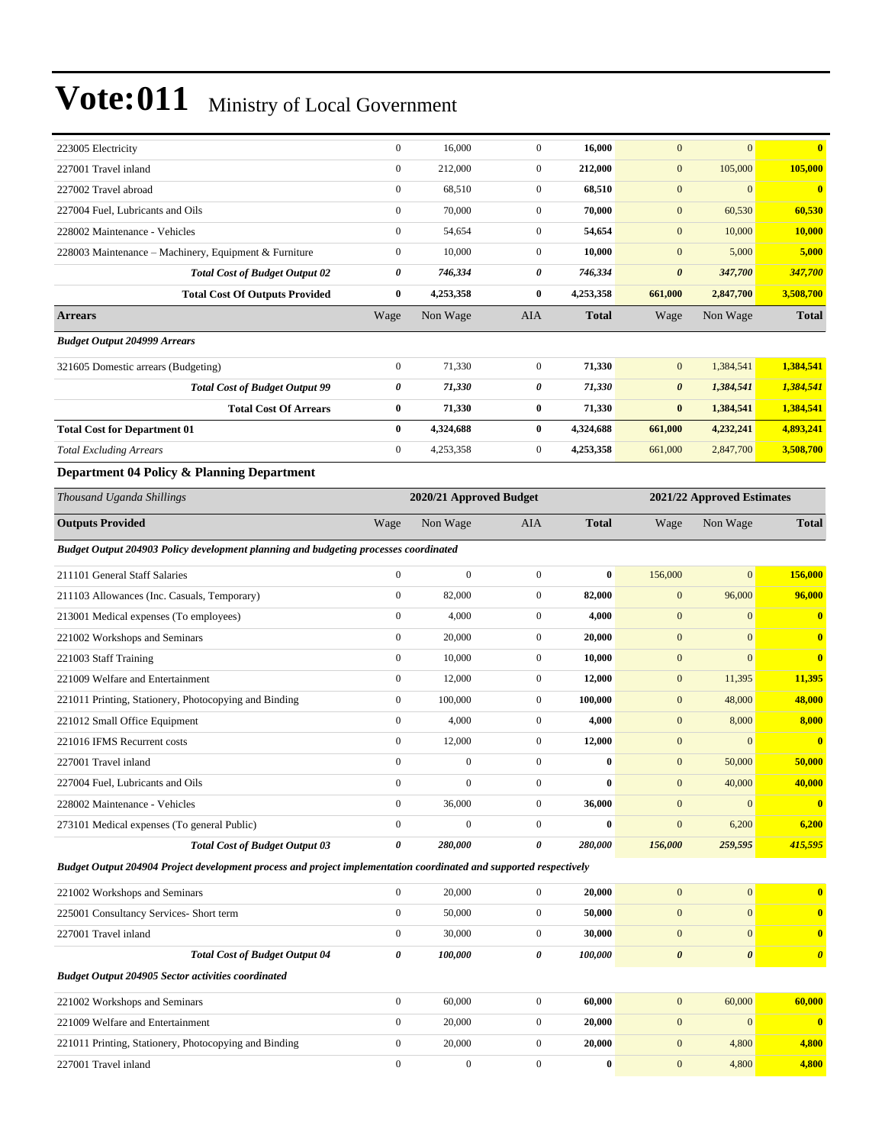| 223005 Electricity                                                                                                 | $\boldsymbol{0}$ | 16,000                  | $\mathbf{0}$          | 16,000       | $\mathbf{0}$     | $\mathbf{0}$               | $\bf{0}$              |
|--------------------------------------------------------------------------------------------------------------------|------------------|-------------------------|-----------------------|--------------|------------------|----------------------------|-----------------------|
| 227001 Travel inland                                                                                               | $\boldsymbol{0}$ | 212,000                 | $\boldsymbol{0}$      | 212,000      | $\mathbf{0}$     | 105,000                    | 105,000               |
| 227002 Travel abroad                                                                                               | $\boldsymbol{0}$ | 68,510                  | $\mathbf{0}$          | 68,510       | $\mathbf{0}$     | $\boldsymbol{0}$           | $\bf{0}$              |
| 227004 Fuel, Lubricants and Oils                                                                                   | $\boldsymbol{0}$ | 70,000                  | $\mathbf{0}$          | 70,000       | $\mathbf{0}$     | 60,530                     | 60,530                |
| 228002 Maintenance - Vehicles                                                                                      | $\boldsymbol{0}$ | 54,654                  | $\mathbf{0}$          | 54,654       | $\boldsymbol{0}$ | 10,000                     | <b>10,000</b>         |
| 228003 Maintenance - Machinery, Equipment & Furniture                                                              | $\boldsymbol{0}$ | 10,000                  | $\mathbf{0}$          | 10,000       | $\mathbf{0}$     | 5,000                      | 5,000                 |
| <b>Total Cost of Budget Output 02</b>                                                                              | 0                | 746,334                 | $\pmb{\theta}$        | 746,334      | $\pmb{\theta}$   | 347,700                    | 347,700               |
| <b>Total Cost Of Outputs Provided</b>                                                                              | 0                | 4,253,358               | $\bf{0}$              | 4,253,358    | 661,000          | 2,847,700                  | 3,508,700             |
| <b>Arrears</b>                                                                                                     | Wage             | Non Wage                | AIA                   | <b>Total</b> | Wage             | Non Wage                   | <b>Total</b>          |
| <b>Budget Output 204999 Arrears</b>                                                                                |                  |                         |                       |              |                  |                            |                       |
| 321605 Domestic arrears (Budgeting)                                                                                | $\boldsymbol{0}$ | 71,330                  | $\mathbf{0}$          | 71,330       | $\mathbf{0}$     | 1,384,541                  | 1,384,541             |
| <b>Total Cost of Budget Output 99</b>                                                                              | 0                | 71,330                  | 0                     | 71,330       | $\pmb{\theta}$   | 1,384,541                  | 1,384,541             |
| <b>Total Cost Of Arrears</b>                                                                                       | 0                | 71,330                  | $\bf{0}$              | 71,330       | $\bf{0}$         | 1,384,541                  | 1,384,541             |
| <b>Total Cost for Department 01</b>                                                                                | 0                | 4,324,688               | $\bf{0}$              | 4,324,688    | 661,000          | 4,232,241                  | 4,893,241             |
| <b>Total Excluding Arrears</b>                                                                                     | $\boldsymbol{0}$ | 4,253,358               | $\boldsymbol{0}$      | 4,253,358    | 661,000          | 2,847,700                  | 3,508,700             |
| Department 04 Policy & Planning Department                                                                         |                  |                         |                       |              |                  |                            |                       |
| Thousand Uganda Shillings                                                                                          |                  | 2020/21 Approved Budget |                       |              |                  | 2021/22 Approved Estimates |                       |
| <b>Outputs Provided</b>                                                                                            | Wage             | Non Wage                | AIA                   | <b>Total</b> | Wage             | Non Wage                   | <b>Total</b>          |
| Budget Output 204903 Policy development planning and budgeting processes coordinated                               |                  |                         |                       |              |                  |                            |                       |
| 211101 General Staff Salaries                                                                                      | $\boldsymbol{0}$ | $\boldsymbol{0}$        | $\mathbf{0}$          | $\bf{0}$     | 156,000          | $\mathbf{0}$               | 156,000               |
| 211103 Allowances (Inc. Casuals, Temporary)                                                                        | $\boldsymbol{0}$ | 82,000                  | $\mathbf{0}$          | 82,000       | $\mathbf{0}$     | 96,000                     | 96,000                |
| 213001 Medical expenses (To employees)                                                                             | $\boldsymbol{0}$ | 4,000                   | $\mathbf{0}$          | 4,000        | $\mathbf{0}$     | $\mathbf{0}$               | $\bf{0}$              |
| 221002 Workshops and Seminars                                                                                      | $\boldsymbol{0}$ | 20,000                  | $\mathbf{0}$          | 20,000       | $\boldsymbol{0}$ | $\mathbf{0}$               | $\bf{0}$              |
| 221003 Staff Training                                                                                              | $\boldsymbol{0}$ | 10,000                  | $\mathbf{0}$          | 10,000       | $\mathbf{0}$     | $\mathbf{0}$               | $\mathbf{0}$          |
| 221009 Welfare and Entertainment                                                                                   | $\boldsymbol{0}$ | 12,000                  | $\mathbf{0}$          | 12,000       | $\mathbf{0}$     | 11,395                     | 11,395                |
| 221011 Printing, Stationery, Photocopying and Binding                                                              | $\boldsymbol{0}$ | 100,000                 | $\mathbf{0}$          | 100,000      | $\mathbf{0}$     | 48,000                     | 48,000                |
| 221012 Small Office Equipment                                                                                      | $\boldsymbol{0}$ | 4,000                   | $\mathbf{0}$          | 4,000        | $\mathbf{0}$     | 8,000                      | 8,000                 |
| 221016 IFMS Recurrent costs                                                                                        | $\boldsymbol{0}$ | 12,000                  | $\mathbf{0}$          | 12,000       | $\mathbf{0}$     | $\mathbf{0}$               | $\bf{0}$              |
| 227001 Travel inland                                                                                               | $\boldsymbol{0}$ | $\boldsymbol{0}$        | $\mathbf{0}$          | $\bf{0}$     | $\mathbf{0}$     | 50,000                     | 50,000                |
| 227004 Fuel, Lubricants and Oils                                                                                   | $\overline{0}$   | $\Omega$                | $\Omega$              | $\bf{0}$     | $\mathbf{0}$     | 40,000                     | 40,000                |
| 228002 Maintenance - Vehicles                                                                                      | $\boldsymbol{0}$ | 36,000                  | $\boldsymbol{0}$      | 36,000       | $\boldsymbol{0}$ | $\boldsymbol{0}$           | $\bf{0}$              |
| 273101 Medical expenses (To general Public)                                                                        | $\boldsymbol{0}$ | $\boldsymbol{0}$        | $\mathbf{0}$          | $\bf{0}$     | $\boldsymbol{0}$ | 6,200                      | 6,200                 |
| <b>Total Cost of Budget Output 03</b>                                                                              | 0                | 280,000                 | 0                     | 280,000      | 156,000          | 259,595                    | 415,595               |
| Budget Output 204904 Project development process and project implementation coordinated and supported respectively |                  |                         |                       |              |                  |                            |                       |
| 221002 Workshops and Seminars                                                                                      | $\boldsymbol{0}$ | 20,000                  | $\mathbf{0}$          | 20,000       | $\boldsymbol{0}$ | $\boldsymbol{0}$           | $\bf{0}$              |
| 225001 Consultancy Services- Short term                                                                            | $\boldsymbol{0}$ | 50,000                  | $\mathbf{0}$          | 50,000       | $\mathbf{0}$     | $\boldsymbol{0}$           | $\bf{0}$              |
| 227001 Travel inland                                                                                               | $\boldsymbol{0}$ | 30,000                  | $\boldsymbol{0}$      | 30,000       | $\boldsymbol{0}$ | $\boldsymbol{0}$           | $\bf{0}$              |
| <b>Total Cost of Budget Output 04</b>                                                                              | 0                | 100,000                 | $\boldsymbol{\theta}$ | 100,000      | $\pmb{\theta}$   | $\pmb{\theta}$             | $\boldsymbol{\theta}$ |
| <b>Budget Output 204905 Sector activities coordinated</b>                                                          |                  |                         |                       |              |                  |                            |                       |
| 221002 Workshops and Seminars                                                                                      | $\boldsymbol{0}$ | 60,000                  | $\boldsymbol{0}$      | 60,000       | $\mathbf{0}$     | 60,000                     | 60,000                |
| 221009 Welfare and Entertainment                                                                                   | $\boldsymbol{0}$ | 20,000                  | $\boldsymbol{0}$      | 20,000       | $\mathbf{0}$     | $\boldsymbol{0}$           | $\mathbf{0}$          |
| 221011 Printing, Stationery, Photocopying and Binding                                                              | $\boldsymbol{0}$ | 20,000                  | $\mathbf{0}$          | 20,000       | $\mathbf{0}$     | 4,800                      | 4,800                 |
| 227001 Travel inland                                                                                               | $\boldsymbol{0}$ | $\boldsymbol{0}$        | $\boldsymbol{0}$      | $\bf{0}$     | $\boldsymbol{0}$ | 4,800                      | 4,800                 |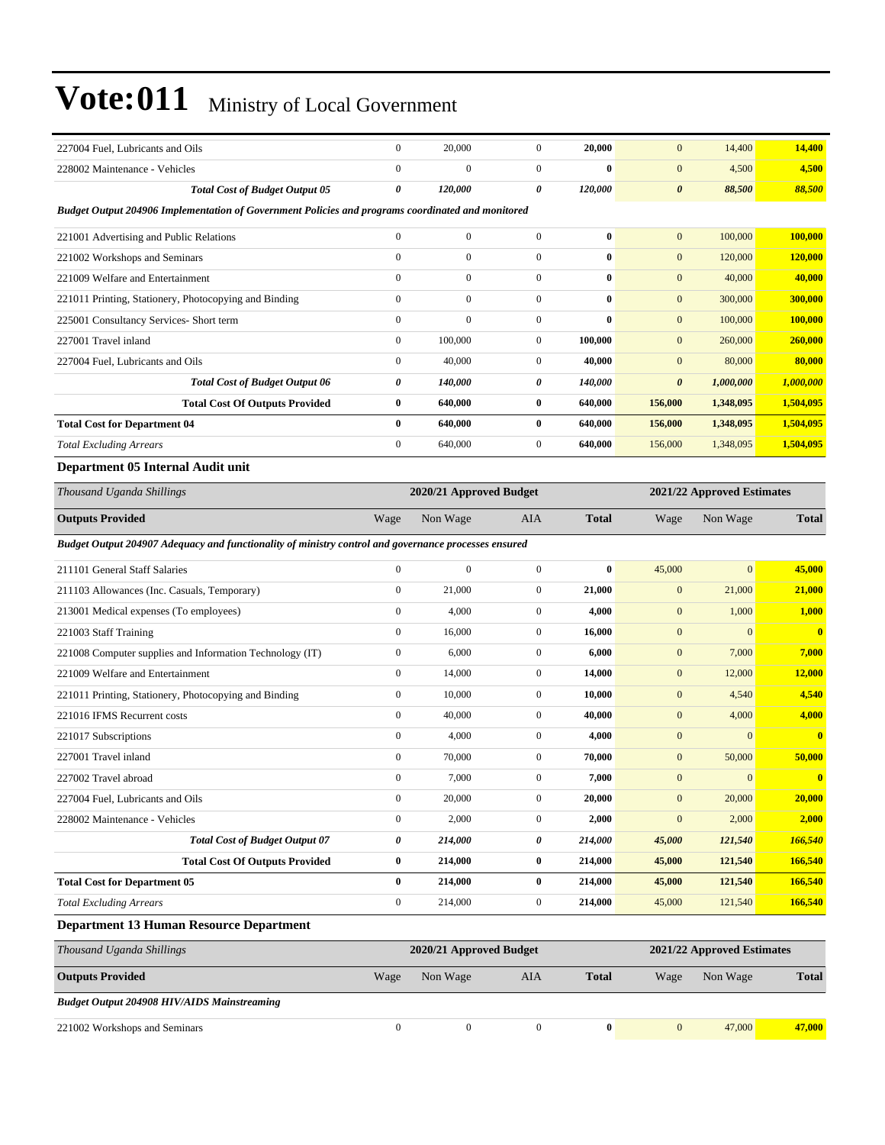| 227004 Fuel, Lubricants and Oils                                                                     | $\boldsymbol{0}$      | 20,000                  | $\boldsymbol{0}$ | 20,000       | $\mathbf{0}$          | 14,400                     | 14,400                  |
|------------------------------------------------------------------------------------------------------|-----------------------|-------------------------|------------------|--------------|-----------------------|----------------------------|-------------------------|
| 228002 Maintenance - Vehicles                                                                        | $\boldsymbol{0}$      | $\mathbf{0}$            | $\boldsymbol{0}$ | $\bf{0}$     | $\mathbf{0}$          | 4,500                      | 4,500                   |
| <b>Total Cost of Budget Output 05</b>                                                                | $\boldsymbol{\theta}$ | 120,000                 | 0                | 120,000      | $\boldsymbol{\theta}$ | 88,500                     | 88,500                  |
| Budget Output 204906 Implementation of Government Policies and programs coordinated and monitored    |                       |                         |                  |              |                       |                            |                         |
| 221001 Advertising and Public Relations                                                              | $\boldsymbol{0}$      | $\mathbf{0}$            | $\boldsymbol{0}$ | $\bf{0}$     | $\mathbf{0}$          | 100,000                    | 100,000                 |
| 221002 Workshops and Seminars                                                                        | $\mathbf{0}$          | $\boldsymbol{0}$        | $\mathbf{0}$     | $\bf{0}$     | $\mathbf{0}$          | 120,000                    | 120,000                 |
| 221009 Welfare and Entertainment                                                                     | $\mathbf{0}$          | $\mathbf{0}$            | $\mathbf{0}$     | $\bf{0}$     | $\mathbf{0}$          | 40,000                     | 40,000                  |
| 221011 Printing, Stationery, Photocopying and Binding                                                | $\boldsymbol{0}$      | $\boldsymbol{0}$        | $\boldsymbol{0}$ | $\bf{0}$     | $\mathbf{0}$          | 300,000                    | 300,000                 |
| 225001 Consultancy Services- Short term                                                              | $\boldsymbol{0}$      | $\mathbf{0}$            | $\mathbf{0}$     | $\bf{0}$     | $\mathbf{0}$          | 100,000                    | 100,000                 |
| 227001 Travel inland                                                                                 | $\boldsymbol{0}$      | 100,000                 | $\boldsymbol{0}$ | 100,000      | $\mathbf{0}$          | 260,000                    | 260,000                 |
| 227004 Fuel, Lubricants and Oils                                                                     | $\mathbf{0}$          | 40,000                  | $\boldsymbol{0}$ | 40,000       | $\mathbf{0}$          | 80,000                     | 80,000                  |
| <b>Total Cost of Budget Output 06</b>                                                                | 0                     | 140,000                 | 0                | 140,000      | $\boldsymbol{\theta}$ | 1,000,000                  | 1,000,000               |
| <b>Total Cost Of Outputs Provided</b>                                                                | $\bf{0}$              | 640,000                 | $\bf{0}$         | 640,000      | 156,000               | 1,348,095                  | 1,504,095               |
| <b>Total Cost for Department 04</b>                                                                  | $\bf{0}$              | 640,000                 | $\bf{0}$         | 640,000      | 156,000               | 1,348,095                  | 1,504,095               |
| <b>Total Excluding Arrears</b>                                                                       | $\boldsymbol{0}$      | 640,000                 | $\boldsymbol{0}$ | 640,000      | 156,000               | 1,348,095                  | 1,504,095               |
| Department 05 Internal Audit unit                                                                    |                       |                         |                  |              |                       |                            |                         |
| Thousand Uganda Shillings                                                                            |                       | 2020/21 Approved Budget |                  |              |                       | 2021/22 Approved Estimates |                         |
| <b>Outputs Provided</b>                                                                              | Wage                  | Non Wage                | <b>AIA</b>       | <b>Total</b> | Wage                  | Non Wage                   | Total                   |
| Budget Output 204907 Adequacy and functionality of ministry control and governance processes ensured |                       |                         |                  |              |                       |                            |                         |
| 211101 General Staff Salaries                                                                        | $\mathbf{0}$          | $\mathbf{0}$            | $\boldsymbol{0}$ | $\bf{0}$     | 45,000                | $\overline{0}$             | 45,000                  |
| 211103 Allowances (Inc. Casuals, Temporary)                                                          | $\boldsymbol{0}$      | 21,000                  | $\boldsymbol{0}$ | 21,000       | $\mathbf{0}$          | 21,000                     | 21,000                  |
| 213001 Medical expenses (To employees)                                                               | $\boldsymbol{0}$      | 4,000                   | $\boldsymbol{0}$ | 4,000        | $\mathbf{0}$          | 1,000                      | 1,000                   |
| 221003 Staff Training                                                                                | $\boldsymbol{0}$      | 16,000                  | $\mathbf{0}$     | 16,000       | $\mathbf{0}$          | $\mathbf{0}$               | $\overline{\mathbf{0}}$ |
| 221008 Computer supplies and Information Technology (IT)                                             | $\boldsymbol{0}$      | 6,000                   | $\boldsymbol{0}$ | 6,000        | $\mathbf{0}$          | 7,000                      | 7,000                   |
| 221009 Welfare and Entertainment                                                                     | $\mathbf{0}$          | 14,000                  | $\mathbf{0}$     | 14,000       | $\mathbf{0}$          | 12,000                     | 12,000                  |
| 221011 Printing, Stationery, Photocopying and Binding                                                | $\boldsymbol{0}$      | 10,000                  | $\boldsymbol{0}$ | 10,000       | $\mathbf{0}$          | 4,540                      | 4,540                   |
| 221016 IFMS Recurrent costs                                                                          | $\boldsymbol{0}$      | 40,000                  | $\boldsymbol{0}$ | 40,000       | $\mathbf{0}$          | 4,000                      | 4,000                   |
| 221017 Subscriptions                                                                                 | $\boldsymbol{0}$      | 4,000                   | $\boldsymbol{0}$ | 4,000        | $\mathbf{0}$          | $\overline{0}$             | $\overline{\mathbf{0}}$ |
| 227001 Travel inland                                                                                 | $\boldsymbol{0}$      | 70,000                  | $\boldsymbol{0}$ | 70,000       | $\mathbf{0}$          | 50,000                     | 50,000                  |
| 227002 Travel abroad                                                                                 | $\boldsymbol{0}$      | 7,000                   | 0                | 7,000        | $\mathbf{0}$          | $\mathbf{0}$               | $\mathbf{0}$            |
| 227004 Fuel, Lubricants and Oils                                                                     | $\boldsymbol{0}$      | 20,000                  | $\mathbf{0}$     | 20,000       | $\mathbf{0}$          | 20,000                     | 20,000                  |
| 228002 Maintenance - Vehicles                                                                        | $\boldsymbol{0}$      | 2,000                   | $\boldsymbol{0}$ | 2,000        | $\boldsymbol{0}$      | 2,000                      | 2,000                   |
| <b>Total Cost of Budget Output 07</b>                                                                | 0                     | 214,000                 | 0                | 214,000      | 45,000                | 121,540                    | 166,540                 |
| <b>Total Cost Of Outputs Provided</b>                                                                | $\bf{0}$              | 214,000                 | $\bf{0}$         | 214,000      | 45,000                | 121,540                    | 166,540                 |
| <b>Total Cost for Department 05</b>                                                                  | $\bf{0}$              | 214,000                 | $\bf{0}$         | 214,000      | 45,000                | 121,540                    | 166,540                 |
| <b>Total Excluding Arrears</b>                                                                       | $\boldsymbol{0}$      | 214,000                 | $\boldsymbol{0}$ | 214,000      | 45,000                | 121,540                    | 166,540                 |
| <b>Department 13 Human Resource Department</b>                                                       |                       |                         |                  |              |                       |                            |                         |
| Thousand Uganda Shillings                                                                            |                       | 2020/21 Approved Budget |                  |              |                       | 2021/22 Approved Estimates |                         |
| <b>Outputs Provided</b>                                                                              | Wage                  | Non Wage                | <b>AIA</b>       | <b>Total</b> | Wage                  | Non Wage                   | <b>Total</b>            |
| <b>Budget Output 204908 HIV/AIDS Mainstreaming</b>                                                   |                       |                         |                  |              |                       |                            |                         |

221002 Workshops and Seminars 0 0 0 **0** 0 47,000 **47,000**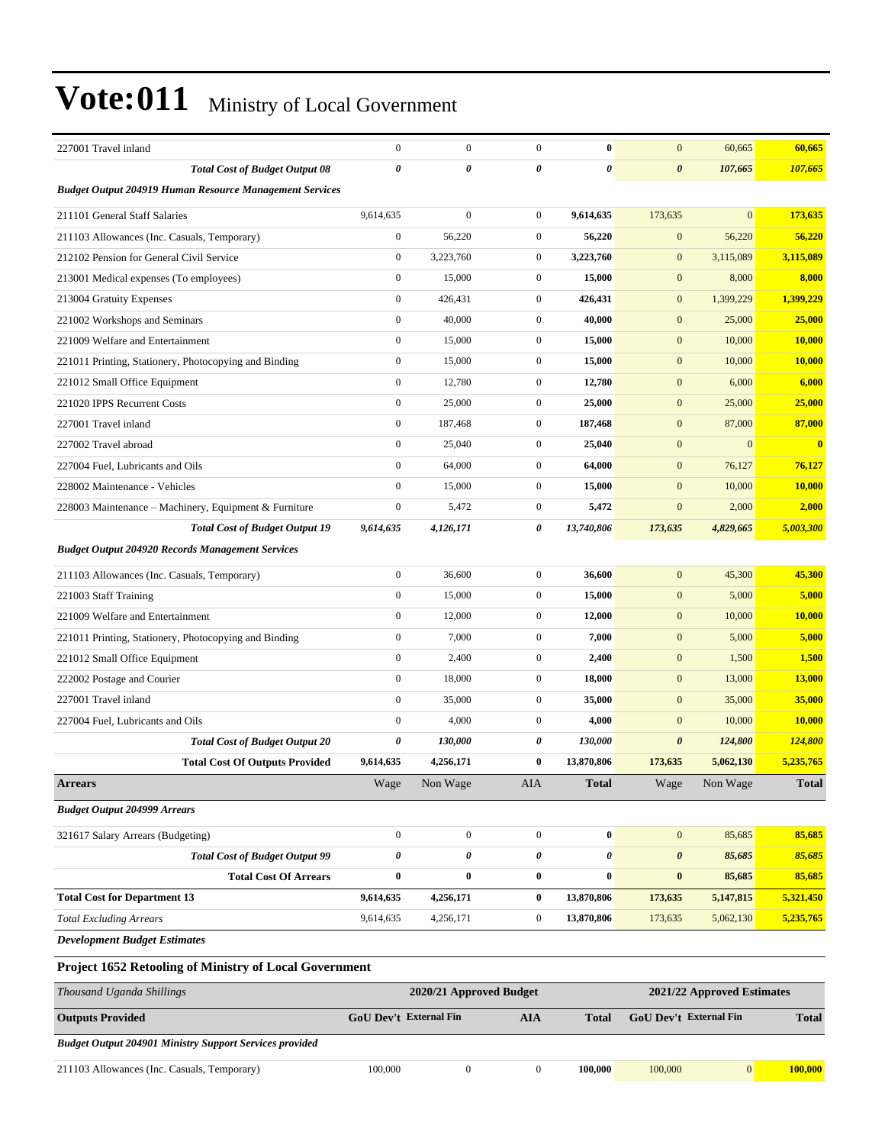| 227001 Travel inland                                           | $\boldsymbol{0}$ | $\boldsymbol{0}$        | $\overline{0}$   | $\bf{0}$              | $\mathbf{0}$          | 60,665                     | 60,665        |
|----------------------------------------------------------------|------------------|-------------------------|------------------|-----------------------|-----------------------|----------------------------|---------------|
| <b>Total Cost of Budget Output 08</b>                          | 0                | 0                       | 0                | $\boldsymbol{\theta}$ | $\boldsymbol{\theta}$ | 107,665                    | 107,665       |
| <b>Budget Output 204919 Human Resource Management Services</b> |                  |                         |                  |                       |                       |                            |               |
| 211101 General Staff Salaries                                  | 9,614,635        | $\boldsymbol{0}$        | $\mathbf{0}$     | 9,614,635             | 173,635               | $\overline{0}$             | 173,635       |
| 211103 Allowances (Inc. Casuals, Temporary)                    | $\mathbf{0}$     | 56,220                  | $\mathbf{0}$     | 56,220                | $\boldsymbol{0}$      | 56,220                     | 56,220        |
| 212102 Pension for General Civil Service                       | $\mathbf{0}$     | 3,223,760               | $\mathbf{0}$     | 3,223,760             | $\mathbf{0}$          | 3,115,089                  | 3,115,089     |
| 213001 Medical expenses (To employees)                         | $\boldsymbol{0}$ | 15,000                  | $\mathbf{0}$     | 15,000                | $\mathbf{0}$          | 8,000                      | 8,000         |
| 213004 Gratuity Expenses                                       | $\boldsymbol{0}$ | 426,431                 | $\mathbf{0}$     | 426,431               | $\mathbf{0}$          | 1,399,229                  | 1,399,229     |
| 221002 Workshops and Seminars                                  | $\boldsymbol{0}$ | 40,000                  | $\overline{0}$   | 40,000                | $\mathbf{0}$          | 25,000                     | 25,000        |
| 221009 Welfare and Entertainment                               | $\boldsymbol{0}$ | 15,000                  | $\overline{0}$   | 15,000                | $\mathbf{0}$          | 10,000                     | 10,000        |
| 221011 Printing, Stationery, Photocopying and Binding          | $\boldsymbol{0}$ | 15,000                  | $\mathbf{0}$     | 15,000                | $\mathbf{0}$          | 10,000                     | 10,000        |
| 221012 Small Office Equipment                                  | $\boldsymbol{0}$ | 12,780                  | $\mathbf{0}$     | 12,780                | $\mathbf{0}$          | 6,000                      | 6,000         |
| 221020 IPPS Recurrent Costs                                    | $\boldsymbol{0}$ | 25,000                  | $\mathbf{0}$     | 25,000                | $\mathbf{0}$          | 25,000                     | 25,000        |
| 227001 Travel inland                                           | $\overline{0}$   | 187,468                 | $\overline{0}$   | 187,468               | $\mathbf{0}$          | 87,000                     | 87,000        |
| 227002 Travel abroad                                           | $\mathbf{0}$     | 25,040                  | $\mathbf{0}$     | 25,040                | $\mathbf{0}$          | $\mathbf{0}$               | $\bf{0}$      |
| 227004 Fuel, Lubricants and Oils                               | $\overline{0}$   | 64,000                  | $\mathbf{0}$     | 64,000                | $\mathbf{0}$          | 76,127                     | 76,127        |
| 228002 Maintenance - Vehicles                                  | $\mathbf{0}$     | 15,000                  | $\mathbf{0}$     | 15,000                | $\mathbf{0}$          | 10,000                     | <b>10,000</b> |
| 228003 Maintenance - Machinery, Equipment & Furniture          | $\boldsymbol{0}$ | 5,472                   | $\mathbf{0}$     | 5,472                 | $\mathbf{0}$          | 2,000                      | 2,000         |
| <b>Total Cost of Budget Output 19</b>                          | 9,614,635        | 4,126,171               | 0                | 13,740,806            | 173,635               | 4,829,665                  | 5,003,300     |
| <b>Budget Output 204920 Records Management Services</b>        |                  |                         |                  |                       |                       |                            |               |
| 211103 Allowances (Inc. Casuals, Temporary)                    | $\boldsymbol{0}$ | 36,600                  | $\overline{0}$   | 36,600                | $\mathbf{0}$          | 45,300                     | 45,300        |
| 221003 Staff Training                                          | $\boldsymbol{0}$ | 15,000                  | $\mathbf{0}$     | 15,000                | $\mathbf{0}$          | 5,000                      | 5,000         |
| 221009 Welfare and Entertainment                               | $\boldsymbol{0}$ | 12,000                  | $\mathbf{0}$     | 12,000                | $\mathbf{0}$          | 10,000                     | 10,000        |
| 221011 Printing, Stationery, Photocopying and Binding          | $\boldsymbol{0}$ | 7,000                   | $\overline{0}$   | 7,000                 | $\mathbf{0}$          | 5,000                      | 5,000         |
| 221012 Small Office Equipment                                  | $\boldsymbol{0}$ | 2,400                   | $\overline{0}$   | 2,400                 | $\mathbf{0}$          | 1,500                      | 1,500         |
| 222002 Postage and Courier                                     | $\mathbf{0}$     | 18,000                  | $\overline{0}$   | 18,000                | $\mathbf{0}$          | 13,000                     | 13,000        |
| 227001 Travel inland                                           | $\boldsymbol{0}$ | 35,000                  | $\mathbf{0}$     | 35,000                | $\mathbf{0}$          | 35,000                     | 35,000        |
| 227004 Fuel, Lubricants and Oils                               | $\boldsymbol{0}$ | 4,000                   | $\mathbf{0}$     | 4,000                 | $\mathbf{0}$          | 10,000                     | <b>10,000</b> |
| <b>Total Cost of Budget Output 20</b>                          | 0                | 130,000                 | 0                | 130,000               | $\boldsymbol{\theta}$ | 124,800                    | 124,800       |
| <b>Total Cost Of Outputs Provided</b>                          | 9,614,635        | 4,256,171               | $\bf{0}$         | 13,870,806            | 173,635               | 5,062,130                  | 5,235,765     |
| <b>Arrears</b>                                                 | Wage             | Non Wage                | <b>AIA</b>       | <b>Total</b>          | Wage                  | Non Wage                   | <b>Total</b>  |
| <b>Budget Output 204999 Arrears</b>                            |                  |                         |                  |                       |                       |                            |               |
| 321617 Salary Arrears (Budgeting)                              | $\boldsymbol{0}$ | $\boldsymbol{0}$        | $\boldsymbol{0}$ | $\bf{0}$              | $\mathbf{0}$          | 85,685                     | 85,685        |
| <b>Total Cost of Budget Output 99</b>                          | 0                | 0                       | 0                | 0                     | $\boldsymbol{\theta}$ | 85,685                     | 85,685        |
| <b>Total Cost Of Arrears</b>                                   | $\bf{0}$         | 0                       | $\bf{0}$         | $\bf{0}$              | $\bf{0}$              | 85,685                     | 85,685        |
| <b>Total Cost for Department 13</b>                            | 9,614,635        | 4,256,171               | $\bf{0}$         | 13,870,806            | 173,635               | 5,147,815                  | 5,321,450     |
| <b>Total Excluding Arrears</b>                                 | 9,614,635        | 4,256,171               | $\boldsymbol{0}$ | 13,870,806            | 173,635               | 5,062,130                  | 5,235,765     |
| <b>Development Budget Estimates</b>                            |                  |                         |                  |                       |                       |                            |               |
| Project 1652 Retooling of Ministry of Local Government         |                  |                         |                  |                       |                       |                            |               |
| Thousand Hoanda Shillings                                      |                  | 2020/21 Approved Rudget |                  |                       |                       | 2021/22 Approved Fetimates |               |

| Thousand Uganda Shillings                                      | 2020/21 Approved Budget       |  |  |              | 2021/22 Approved Estimates    |  |              |
|----------------------------------------------------------------|-------------------------------|--|--|--------------|-------------------------------|--|--------------|
| <b>Outputs Provided</b>                                        | GoU Dev't External Fin<br>AIA |  |  | <b>Total</b> | <b>GoU</b> Dev't External Fin |  | <b>Total</b> |
| <b>Budget Output 204901 Ministry Support Services provided</b> |                               |  |  |              |                               |  |              |
| 211103 Allowances (Inc. Casuals, Temporary)                    | 100,000                       |  |  | 100.000      | 100,000                       |  | 100,000      |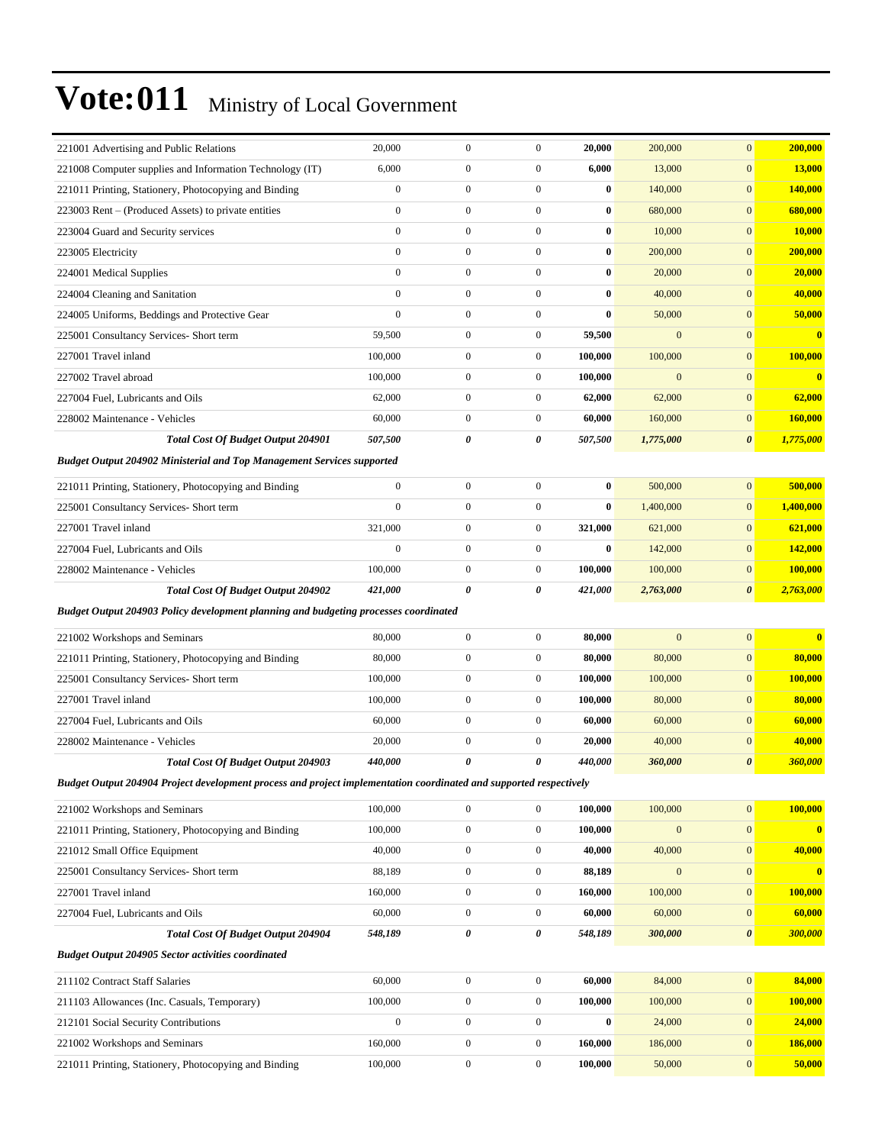| 221001 Advertising and Public Relations                                                                            | 20,000             | $\mathbf{0}$                         | $\boldsymbol{0}$                     | 20,000             | 200,000           | $\mathbf{0}$                         | 200,000                                               |
|--------------------------------------------------------------------------------------------------------------------|--------------------|--------------------------------------|--------------------------------------|--------------------|-------------------|--------------------------------------|-------------------------------------------------------|
| 221008 Computer supplies and Information Technology (IT)                                                           | 6,000              | $\boldsymbol{0}$                     | $\boldsymbol{0}$                     | 6,000              | 13,000            | $\mathbf{0}$                         | <b>13,000</b>                                         |
| 221011 Printing, Stationery, Photocopying and Binding                                                              | $\boldsymbol{0}$   | $\boldsymbol{0}$                     | $\boldsymbol{0}$                     | $\bf{0}$           | 140,000           | $\boldsymbol{0}$                     | 140,000                                               |
| 223003 Rent – (Produced Assets) to private entities                                                                | $\boldsymbol{0}$   | $\mathbf{0}$                         | $\boldsymbol{0}$                     | $\bf{0}$           | 680,000           | $\mathbf{0}$                         | 680,000                                               |
| 223004 Guard and Security services                                                                                 | $\mathbf{0}$       | $\boldsymbol{0}$                     | $\boldsymbol{0}$                     | $\bf{0}$           | 10,000            | $\mathbf{0}$                         | 10,000                                                |
| 223005 Electricity                                                                                                 | $\mathbf{0}$       | $\boldsymbol{0}$                     | $\boldsymbol{0}$                     | $\bf{0}$           | 200,000           | $\boldsymbol{0}$                     | 200,000                                               |
| 224001 Medical Supplies                                                                                            | $\mathbf{0}$       | $\mathbf{0}$                         | $\boldsymbol{0}$                     | $\bf{0}$           | 20,000            | $\boldsymbol{0}$                     | 20,000                                                |
| 224004 Cleaning and Sanitation                                                                                     | $\mathbf{0}$       | $\boldsymbol{0}$                     | $\boldsymbol{0}$                     | $\bf{0}$           | 40,000            | $\boldsymbol{0}$                     | 40,000                                                |
| 224005 Uniforms, Beddings and Protective Gear                                                                      | $\mathbf{0}$       | $\boldsymbol{0}$                     | $\boldsymbol{0}$                     | $\bf{0}$           | 50,000            | $\mathbf{0}$                         | 50,000                                                |
| 225001 Consultancy Services- Short term                                                                            | 59,500             | $\boldsymbol{0}$                     | $\boldsymbol{0}$                     | 59,500             | $\mathbf{0}$      | $\mathbf{0}$                         | $\bf{0}$                                              |
| 227001 Travel inland                                                                                               | 100,000            | $\boldsymbol{0}$                     | $\boldsymbol{0}$                     | 100,000            | 100,000           | $\boldsymbol{0}$                     | 100,000                                               |
| 227002 Travel abroad                                                                                               | 100,000            | $\boldsymbol{0}$                     | $\boldsymbol{0}$                     | 100,000            | $\overline{0}$    | $\mathbf{0}$                         | $\overline{\mathbf{0}}$                               |
| 227004 Fuel, Lubricants and Oils                                                                                   | 62,000             | $\boldsymbol{0}$                     | $\boldsymbol{0}$                     | 62,000             | 62,000            | $\mathbf{0}$                         | 62,000                                                |
| 228002 Maintenance - Vehicles                                                                                      | 60,000             | $\boldsymbol{0}$                     | $\boldsymbol{0}$                     | 60,000             | 160,000           | $\mathbf{0}$                         | 160,000                                               |
| <b>Total Cost Of Budget Output 204901</b>                                                                          | 507,500            | 0                                    | 0                                    | 507,500            | 1,775,000         | $\boldsymbol{\theta}$                | 1,775,000                                             |
| <b>Budget Output 204902 Ministerial and Top Management Services supported</b>                                      |                    |                                      |                                      |                    |                   |                                      |                                                       |
| 221011 Printing, Stationery, Photocopying and Binding                                                              | $\boldsymbol{0}$   | $\boldsymbol{0}$                     | $\boldsymbol{0}$                     | $\bf{0}$           | 500,000           | $\boldsymbol{0}$                     | 500,000                                               |
| 225001 Consultancy Services- Short term                                                                            | $\mathbf{0}$       | $\boldsymbol{0}$                     | $\boldsymbol{0}$                     | $\bf{0}$           | 1,400,000         | $\mathbf{0}$                         | 1,400,000                                             |
| 227001 Travel inland                                                                                               | 321,000            | $\boldsymbol{0}$                     | $\boldsymbol{0}$                     | 321,000            | 621,000           | $\mathbf{0}$                         | 621,000                                               |
| 227004 Fuel, Lubricants and Oils                                                                                   | $\mathbf{0}$       | $\boldsymbol{0}$                     | $\boldsymbol{0}$                     | $\bf{0}$           | 142,000           | $\mathbf{0}$                         | 142,000                                               |
| 228002 Maintenance - Vehicles                                                                                      | 100,000            | $\boldsymbol{0}$                     | $\boldsymbol{0}$                     | 100,000            | 100,000           | $\mathbf{0}$                         | 100,000                                               |
| <b>Total Cost Of Budget Output 204902</b>                                                                          | 421,000            | $\pmb{\theta}$                       | 0                                    | 421,000            | 2,763,000         | 0                                    | 2,763,000                                             |
|                                                                                                                    |                    |                                      |                                      |                    |                   |                                      |                                                       |
| Budget Output 204903 Policy development planning and budgeting processes coordinated                               |                    |                                      |                                      |                    |                   |                                      |                                                       |
|                                                                                                                    |                    |                                      |                                      |                    |                   |                                      |                                                       |
| 221002 Workshops and Seminars                                                                                      | 80,000             | $\boldsymbol{0}$                     | $\boldsymbol{0}$                     | 80,000             | $\mathbf{0}$      | $\mathbf{0}$                         |                                                       |
| 221011 Printing, Stationery, Photocopying and Binding                                                              | 80,000             | $\boldsymbol{0}$                     | $\boldsymbol{0}$                     | 80,000             | 80,000            | $\mathbf{0}$                         |                                                       |
| 225001 Consultancy Services- Short term                                                                            | 100,000            | $\boldsymbol{0}$                     | $\boldsymbol{0}$                     | 100,000            | 100,000           | $\mathbf{0}$                         | 100,000                                               |
| 227001 Travel inland                                                                                               | 100,000            | $\boldsymbol{0}$                     | $\boldsymbol{0}$                     | 100,000            | 80,000            | $\mathbf{0}$                         | 80,000                                                |
| 227004 Fuel, Lubricants and Oils                                                                                   | 60,000             | $\boldsymbol{0}$                     | $\boldsymbol{0}$                     | 60,000             | 60,000            | $\mathbf{0}$                         |                                                       |
| 228002 Maintenance - Vehicles                                                                                      | 20,000             | $\boldsymbol{0}$                     | $\boldsymbol{0}$                     | 20,000             | 40,000            | $\mathbf{0}$                         |                                                       |
| Total Cost Of Budget Output 204903                                                                                 | 440,000            | $\boldsymbol{\theta}$                | 0                                    | 440,000            | 360,000           | $\boldsymbol{\theta}$                | 360,000                                               |
| Budget Output 204904 Project development process and project implementation coordinated and supported respectively |                    |                                      |                                      |                    |                   |                                      | $\overline{\mathbf{0}}$<br>80,000<br>60,000<br>40,000 |
| 221002 Workshops and Seminars                                                                                      | 100,000            | $\boldsymbol{0}$                     | $\boldsymbol{0}$                     | 100,000            | 100,000           | $\mathbf{0}$                         | 100,000                                               |
| 221011 Printing, Stationery, Photocopying and Binding                                                              | 100,000            | $\boldsymbol{0}$                     | $\boldsymbol{0}$                     | 100,000            | $\mathbf{0}$      | $\boldsymbol{0}$                     | $\bf{0}$                                              |
| 221012 Small Office Equipment                                                                                      | 40,000             | $\boldsymbol{0}$                     | $\boldsymbol{0}$                     | 40,000             | 40,000            | $\boldsymbol{0}$                     | 40,000                                                |
| 225001 Consultancy Services- Short term                                                                            | 88,189             | $\boldsymbol{0}$                     | $\boldsymbol{0}$                     | 88,189             | $\boldsymbol{0}$  | $\mathbf{0}$                         | $\overline{\mathbf{0}}$                               |
| 227001 Travel inland                                                                                               | 160,000            | $\boldsymbol{0}$                     | $\boldsymbol{0}$                     | 160,000            | 100,000           | $\boldsymbol{0}$                     | 100,000                                               |
| 227004 Fuel, Lubricants and Oils                                                                                   | 60,000             | $\boldsymbol{0}$                     | $\boldsymbol{0}$                     | 60,000             | 60,000            | $\boldsymbol{0}$                     |                                                       |
| <b>Total Cost Of Budget Output 204904</b>                                                                          | 548,189            | 0                                    | 0                                    | 548,189            | 300,000           | $\pmb{\theta}$                       |                                                       |
| <b>Budget Output 204905 Sector activities coordinated</b>                                                          |                    |                                      |                                      |                    |                   |                                      | 60,000<br>300,000                                     |
| 211102 Contract Staff Salaries                                                                                     | 60,000             | $\boldsymbol{0}$                     | $\boldsymbol{0}$                     | 60,000             | 84,000            | $\bf{0}$                             | 84,000                                                |
| 211103 Allowances (Inc. Casuals, Temporary)                                                                        | 100,000            | $\boldsymbol{0}$                     | $\boldsymbol{0}$                     | 100,000            | 100,000           | $\boldsymbol{0}$                     | 100,000                                               |
| 212101 Social Security Contributions                                                                               | $\boldsymbol{0}$   | $\boldsymbol{0}$                     | $\boldsymbol{0}$                     | $\bf{0}$           | 24,000            | $\mathbf{0}$                         | 24,000                                                |
| 221002 Workshops and Seminars<br>221011 Printing, Stationery, Photocopying and Binding                             | 160,000<br>100,000 | $\boldsymbol{0}$<br>$\boldsymbol{0}$ | $\boldsymbol{0}$<br>$\boldsymbol{0}$ | 160,000<br>100,000 | 186,000<br>50,000 | $\boldsymbol{0}$<br>$\boldsymbol{0}$ | 186,000<br>50,000                                     |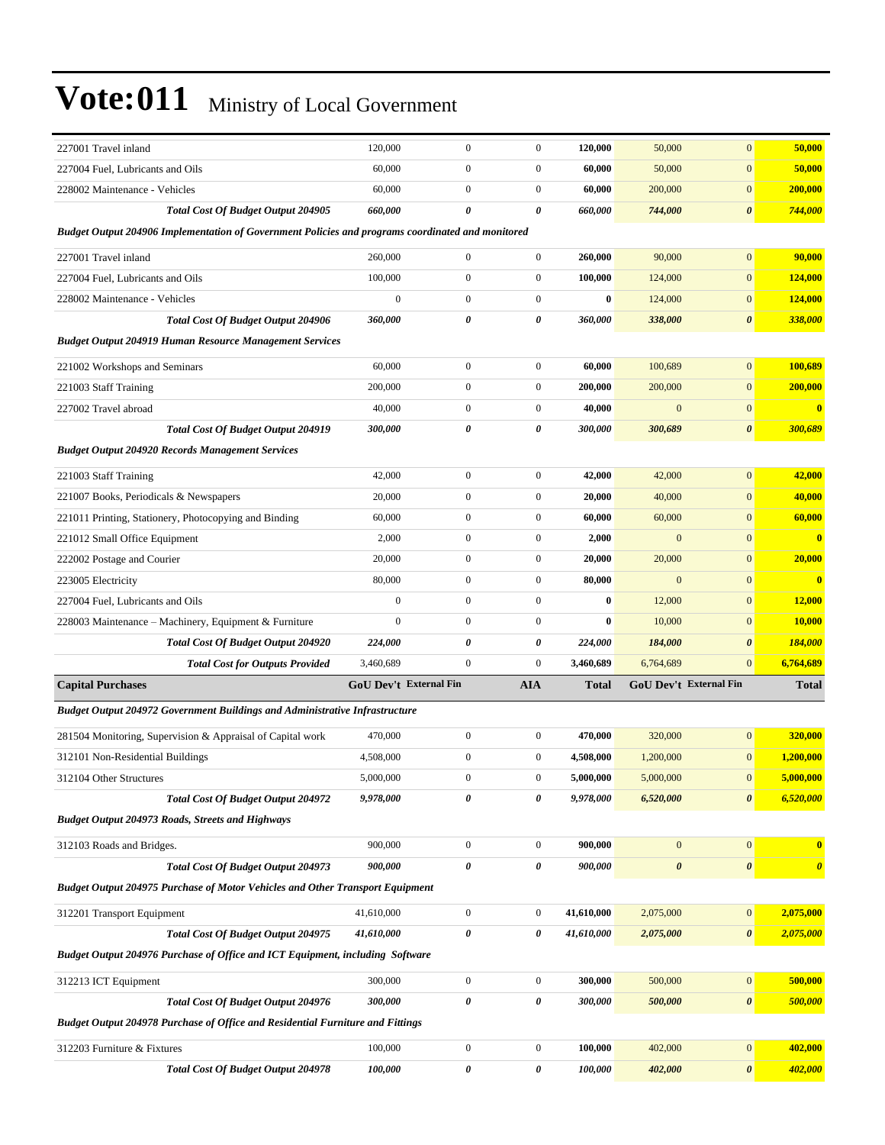| 227001 Travel inland                                                                              | 120,000                | $\boldsymbol{0}$ | $\boldsymbol{0}$ | 120,000      | 50,000                 | $\boldsymbol{0}$      | 50,000                |
|---------------------------------------------------------------------------------------------------|------------------------|------------------|------------------|--------------|------------------------|-----------------------|-----------------------|
| 227004 Fuel, Lubricants and Oils                                                                  | 60,000                 | $\boldsymbol{0}$ | $\boldsymbol{0}$ | 60,000       | 50,000                 | $\boldsymbol{0}$      | 50,000                |
| 228002 Maintenance - Vehicles                                                                     | 60,000                 | $\boldsymbol{0}$ | $\boldsymbol{0}$ | 60,000       | 200,000                | $\boldsymbol{0}$      | 200,000               |
| <b>Total Cost Of Budget Output 204905</b>                                                         | 660,000                | 0                | 0                | 660,000      | 744,000                | 0                     | 744,000               |
| Budget Output 204906 Implementation of Government Policies and programs coordinated and monitored |                        |                  |                  |              |                        |                       |                       |
| 227001 Travel inland                                                                              | 260,000                | $\mathbf{0}$     | $\boldsymbol{0}$ | 260,000      | 90,000                 | $\mathbf{0}$          | 90,000                |
| 227004 Fuel, Lubricants and Oils                                                                  | 100,000                | $\boldsymbol{0}$ | $\boldsymbol{0}$ | 100,000      | 124,000                | $\boldsymbol{0}$      | 124,000               |
| 228002 Maintenance - Vehicles                                                                     | $\mathbf{0}$           | $\overline{0}$   | $\boldsymbol{0}$ | $\bf{0}$     | 124,000                | $\mathbf{0}$          | 124,000               |
| Total Cost Of Budget Output 204906                                                                | 360,000                | 0                | 0                | 360,000      | 338,000                | $\boldsymbol{\theta}$ | 338,000               |
| <b>Budget Output 204919 Human Resource Management Services</b>                                    |                        |                  |                  |              |                        |                       |                       |
| 221002 Workshops and Seminars                                                                     | 60,000                 | $\boldsymbol{0}$ | $\boldsymbol{0}$ | 60,000       | 100,689                | $\mathbf{0}$          | 100,689               |
| 221003 Staff Training                                                                             | 200,000                | $\mathbf{0}$     | $\boldsymbol{0}$ | 200,000      | 200,000                | $\mathbf{0}$          | 200,000               |
| 227002 Travel abroad                                                                              | 40,000                 | $\boldsymbol{0}$ | $\boldsymbol{0}$ | 40,000       | $\boldsymbol{0}$       | $\boldsymbol{0}$      | $\bf{0}$              |
| Total Cost Of Budget Output 204919                                                                | 300,000                | 0                | 0                | 300,000      | 300,689                | $\pmb{\theta}$        | 300,689               |
| <b>Budget Output 204920 Records Management Services</b>                                           |                        |                  |                  |              |                        |                       |                       |
| 221003 Staff Training                                                                             | 42,000                 | $\boldsymbol{0}$ | $\boldsymbol{0}$ | 42,000       | 42,000                 | $\boldsymbol{0}$      | 42,000                |
| 221007 Books, Periodicals & Newspapers                                                            | 20,000                 | $\boldsymbol{0}$ | $\boldsymbol{0}$ | 20,000       | 40,000                 | $\boldsymbol{0}$      | 40,000                |
| 221011 Printing, Stationery, Photocopying and Binding                                             | 60,000                 | $\boldsymbol{0}$ | $\boldsymbol{0}$ | 60,000       | 60,000                 | $\mathbf{0}$          | 60,000                |
| 221012 Small Office Equipment                                                                     | 2,000                  | $\boldsymbol{0}$ | $\boldsymbol{0}$ | 2,000        | $\mathbf{0}$           | $\mathbf{0}$          | $\bf{0}$              |
| 222002 Postage and Courier                                                                        | 20,000                 | $\overline{0}$   | $\boldsymbol{0}$ | 20,000       | 20,000                 | $\boldsymbol{0}$      | 20,000                |
| 223005 Electricity                                                                                | 80,000                 | $\boldsymbol{0}$ | $\boldsymbol{0}$ | 80,000       | $\mathbf{0}$           | $\mathbf{0}$          | $\bf{0}$              |
| 227004 Fuel, Lubricants and Oils                                                                  | $\boldsymbol{0}$       | $\boldsymbol{0}$ | $\boldsymbol{0}$ | $\bf{0}$     | 12,000                 | $\mathbf{0}$          | 12,000                |
| 228003 Maintenance – Machinery, Equipment & Furniture                                             | $\boldsymbol{0}$       | $\mathbf{0}$     | $\boldsymbol{0}$ | $\bf{0}$     | 10,000                 | $\mathbf{0}$          | 10,000                |
| <b>Total Cost Of Budget Output 204920</b>                                                         | 224,000                | 0                | 0                | 224,000      | 184,000                | $\boldsymbol{\theta}$ | 184,000               |
| <b>Total Cost for Outputs Provided</b>                                                            | 3,460,689              | $\boldsymbol{0}$ | $\mathbf{0}$     | 3,460,689    | 6,764,689              | $\mathbf{0}$          | 6,764,689             |
| <b>Capital Purchases</b>                                                                          | GoU Dev't External Fin |                  | <b>AIA</b>       | <b>Total</b> | GoU Dev't External Fin |                       | <b>Total</b>          |
| <b>Budget Output 204972 Government Buildings and Administrative Infrastructure</b>                |                        |                  |                  |              |                        |                       |                       |
| 281504 Monitoring, Supervision & Appraisal of Capital work                                        | 470,000                | $\boldsymbol{0}$ | $\boldsymbol{0}$ | 470,000      | 320,000                | $\boldsymbol{0}$      | 320,000               |
| 312101 Non-Residential Buildings                                                                  | 4,508,000              | $\boldsymbol{0}$ | $\boldsymbol{0}$ | 4,508,000    | 1,200,000              | $\mathbf{0}$          | 1,200,000             |
| 312104 Other Structures                                                                           | 5,000,000              | 0                | 0                | 5,000,000    | 5,000,000              | $\mathbf{0}$          | 5,000,000             |
| <b>Total Cost Of Budget Output 204972</b>                                                         | 9,978,000              | 0                | 0                | 9,978,000    | 6,520,000              | $\pmb{\theta}$        | 6,520,000             |
| Budget Output 204973 Roads, Streets and Highways                                                  |                        |                  |                  |              |                        |                       |                       |
| 312103 Roads and Bridges.                                                                         | 900,000                | $\boldsymbol{0}$ | $\boldsymbol{0}$ | 900,000      | $\boldsymbol{0}$       | $\boldsymbol{0}$      | $\bf{0}$              |
| <b>Total Cost Of Budget Output 204973</b>                                                         | 900,000                | 0                | 0                | 900,000      | $\boldsymbol{\theta}$  | $\pmb{\theta}$        | $\boldsymbol{\theta}$ |
| <b>Budget Output 204975 Purchase of Motor Vehicles and Other Transport Equipment</b>              |                        |                  |                  |              |                        |                       |                       |
| 312201 Transport Equipment                                                                        | 41,610,000             | $\boldsymbol{0}$ | $\boldsymbol{0}$ | 41,610,000   | 2,075,000              | $\bf{0}$              | 2,075,000             |
| <b>Total Cost Of Budget Output 204975</b>                                                         | 41,610,000             | 0                | 0                | 41,610,000   | 2,075,000              | 0                     | 2,075,000             |
| Budget Output 204976 Purchase of Office and ICT Equipment, including Software                     |                        |                  |                  |              |                        |                       |                       |
| 312213 ICT Equipment                                                                              | 300,000                | $\boldsymbol{0}$ | $\boldsymbol{0}$ | 300,000      | 500,000                | $\boldsymbol{0}$      | 500,000               |
| Total Cost Of Budget Output 204976                                                                | 300,000                | 0                | 0                | 300,000      | 500,000                | $\pmb{\theta}$        | 500,000               |
| <b>Budget Output 204978 Purchase of Office and Residential Furniture and Fittings</b>             |                        |                  |                  |              |                        |                       |                       |
| 312203 Furniture & Fixtures                                                                       | 100,000                | $\boldsymbol{0}$ | $\boldsymbol{0}$ | 100,000      | 402,000                | $\boldsymbol{0}$      | 402,000               |
| Total Cost Of Budget Output 204978                                                                | 100,000                | 0                | 0                | 100,000      | 402,000                | 0                     | 402,000               |
|                                                                                                   |                        |                  |                  |              |                        |                       |                       |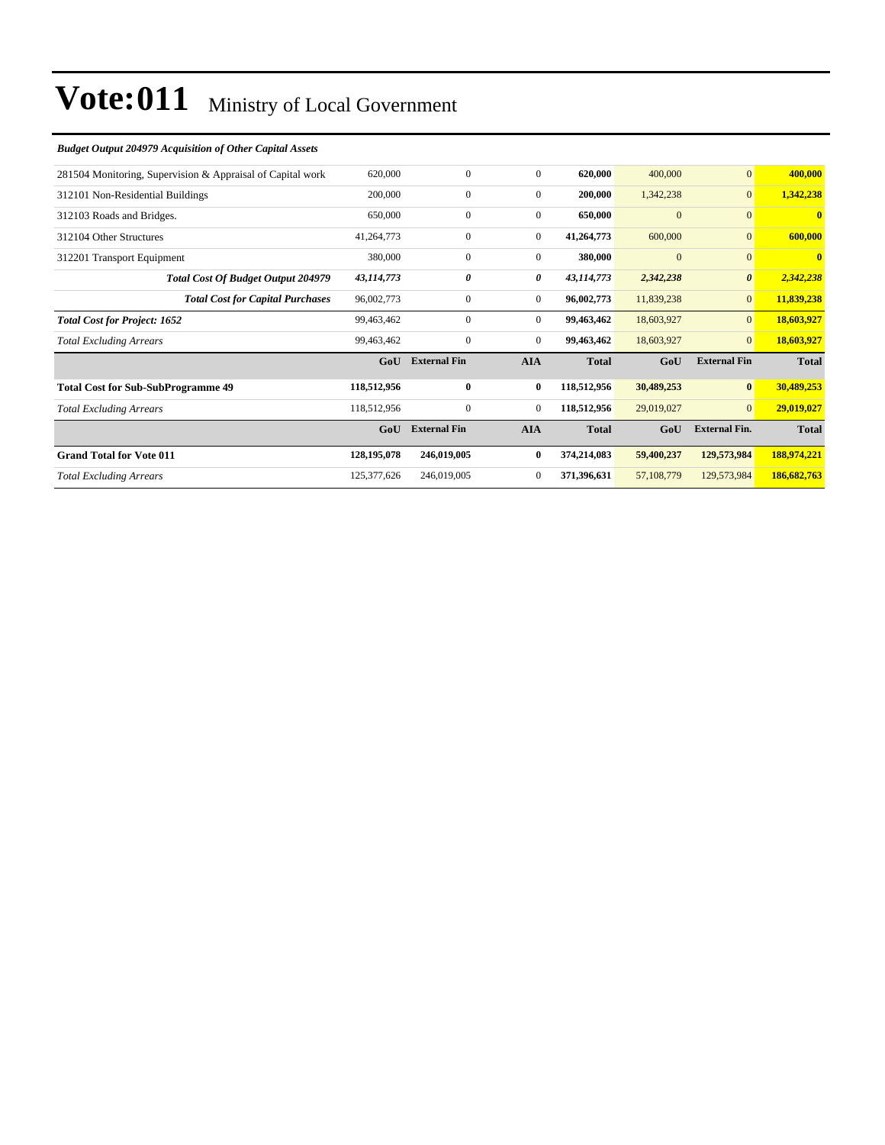| 281504 Monitoring, Supervision & Appraisal of Capital work | 620,000       | $\mathbf{0}$        | $\overline{0}$ | 620,000      | 400,000        | $\mathbf{0}$          | 400,000      |
|------------------------------------------------------------|---------------|---------------------|----------------|--------------|----------------|-----------------------|--------------|
| 312101 Non-Residential Buildings                           | 200,000       | $\mathbf{0}$        | $\overline{0}$ | 200,000      | 1,342,238      | $\mathbf{0}$          | 1,342,238    |
| 312103 Roads and Bridges.                                  | 650,000       | $\mathbf{0}$        | $\overline{0}$ | 650,000      | $\overline{0}$ | $\overline{0}$        | $\mathbf{0}$ |
| 312104 Other Structures                                    | 41,264,773    | $\boldsymbol{0}$    | $\overline{0}$ | 41,264,773   | 600,000        | $\mathbf{0}$          | 600,000      |
| 312201 Transport Equipment                                 | 380,000       | $\mathbf{0}$        | $\overline{0}$ | 380,000      | $\mathbf{0}$   | $\mathbf{0}$          | $\mathbf{0}$ |
| <b>Total Cost Of Budget Output 204979</b>                  | 43,114,773    | 0                   | 0              | 43,114,773   | 2,342,238      | $\boldsymbol{\theta}$ | 2,342,238    |
| <b>Total Cost for Capital Purchases</b>                    | 96,002,773    | $\mathbf{0}$        | $\mathbf{0}$   | 96,002,773   | 11,839,238     | $\mathbf{0}$          | 11,839,238   |
| <b>Total Cost for Project: 1652</b>                        | 99,463,462    | $\mathbf{0}$        | $\overline{0}$ | 99,463,462   | 18,603,927     | $\overline{0}$        | 18,603,927   |
| <b>Total Excluding Arrears</b>                             | 99,463,462    | $\boldsymbol{0}$    | $\overline{0}$ | 99,463,462   | 18,603,927     | $\mathbf{0}$          | 18,603,927   |
|                                                            | GoU           | <b>External Fin</b> | <b>AIA</b>     | <b>Total</b> | GoU            | <b>External Fin</b>   | <b>Total</b> |
| <b>Total Cost for Sub-SubProgramme 49</b>                  | 118,512,956   | $\bf{0}$            | $\bf{0}$       | 118,512,956  | 30,489,253     | $\bf{0}$              | 30,489,253   |
| <b>Total Excluding Arrears</b>                             | 118,512,956   | $\boldsymbol{0}$    | $\overline{0}$ | 118,512,956  | 29,019,027     | $\overline{0}$        | 29,019,027   |
|                                                            | GoU           | <b>External Fin</b> | <b>AIA</b>     | <b>Total</b> | GoU            | <b>External Fin.</b>  | <b>Total</b> |
| <b>Grand Total for Vote 011</b>                            | 128, 195, 078 | 246,019,005         | $\bf{0}$       | 374,214,083  | 59,400,237     | 129,573,984           | 188,974,221  |
| <b>Total Excluding Arrears</b>                             | 125,377,626   | 246,019,005         | $\mathbf{0}$   | 371,396,631  | 57,108,779     | 129,573,984           | 186,682,763  |

#### *Budget Output 204979 Acquisition of Other Capital Assets*